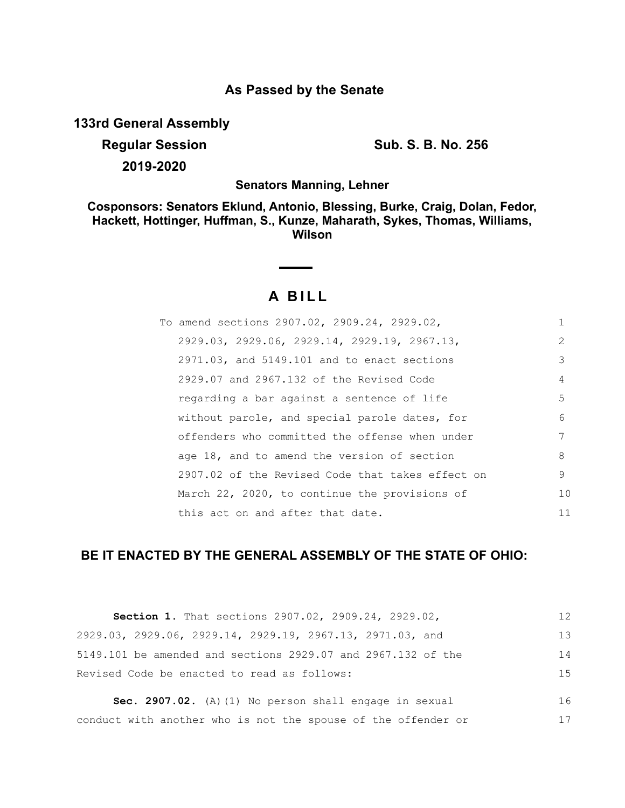### **As Passed by the Senate**

**133rd General Assembly**

**Regular Session Sub. S. B. No. 256 2019-2020**

**Senators Manning, Lehner**

**Cosponsors: Senators Eklund, Antonio, Blessing, Burke, Craig, Dolan, Fedor, Hackett, Hottinger, Huffman, S., Kunze, Maharath, Sykes, Thomas, Williams, Wilson**

# **A B I L L**

| To amend sections 2907.02, 2909.24, 2929.02,     |    |
|--------------------------------------------------|----|
| 2929.03, 2929.06, 2929.14, 2929.19, 2967.13,     | 2  |
| $2971.03$ , and $5149.101$ and to enact sections | 3  |
| 2929.07 and 2967.132 of the Revised Code         | 4  |
| regarding a bar against a sentence of life       | 5  |
| without parole, and special parole dates, for    | 6  |
| offenders who committed the offense when under   | 7  |
| age 18, and to amend the version of section      | 8  |
| 2907.02 of the Revised Code that takes effect on | 9  |
| March 22, 2020, to continue the provisions of    | 10 |
| this act on and after that date.                 | 11 |

## **BE IT ENACTED BY THE GENERAL ASSEMBLY OF THE STATE OF OHIO:**

| <b>Section 1.</b> That sections 2907.02, 2909.24, 2929.02,    | 12 |
|---------------------------------------------------------------|----|
| 2929.03, 2929.06, 2929.14, 2929.19, 2967.13, 2971.03, and     | 13 |
| 5149.101 be amended and sections 2929.07 and 2967.132 of the  | 14 |
| Revised Code be enacted to read as follows:                   | 15 |
| Sec. 2907.02. (A) (1) No person shall engage in sexual        | 16 |
| conduct with another who is not the spouse of the offender or | 17 |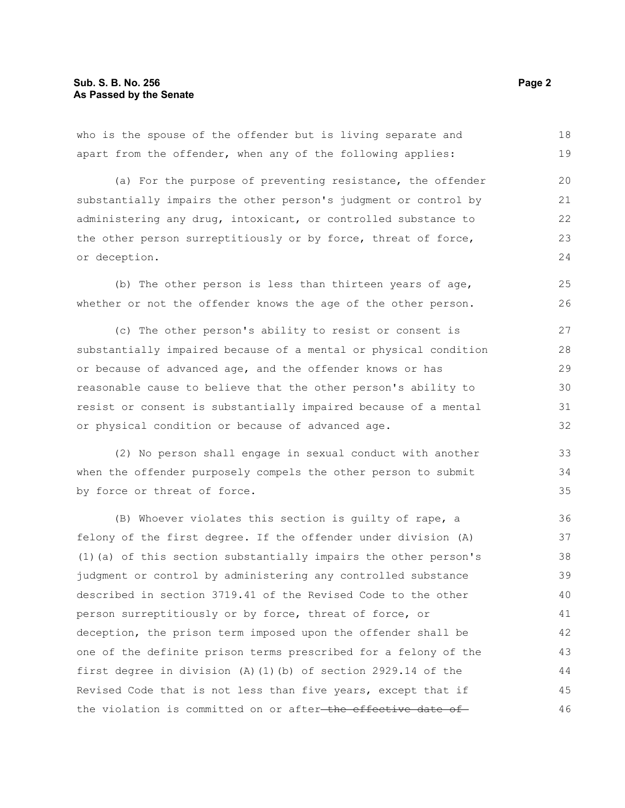apart from the offender, when any of the following applies: (a) For the purpose of preventing resistance, the offender substantially impairs the other person's judgment or control by administering any drug, intoxicant, or controlled substance to the other person surreptitiously or by force, threat of force, or deception. (b) The other person is less than thirteen years of age, whether or not the offender knows the age of the other person. (c) The other person's ability to resist or consent is substantially impaired because of a mental or physical condition or because of advanced age, and the offender knows or has reasonable cause to believe that the other person's ability to resist or consent is substantially impaired because of a mental or physical condition or because of advanced age. (2) No person shall engage in sexual conduct with another when the offender purposely compels the other person to submit by force or threat of force. (B) Whoever violates this section is guilty of rape, a felony of the first degree. If the offender under division (A) (1)(a) of this section substantially impairs the other person's judgment or control by administering any controlled substance described in section 3719.41 of the Revised Code to the other person surreptitiously or by force, threat of force, or deception, the prison term imposed upon the offender shall be one of the definite prison terms prescribed for a felony of the first degree in division (A)(1)(b) of section 2929.14 of the Revised Code that is not less than five years, except that if the violation is committed on or after-the effective date of 19 20 21 22 23  $24$ 25 26 27 28 29 30 31 32 33 34 35 36 37 38 39 40 41 42 43 44 45 46

who is the spouse of the offender but is living separate and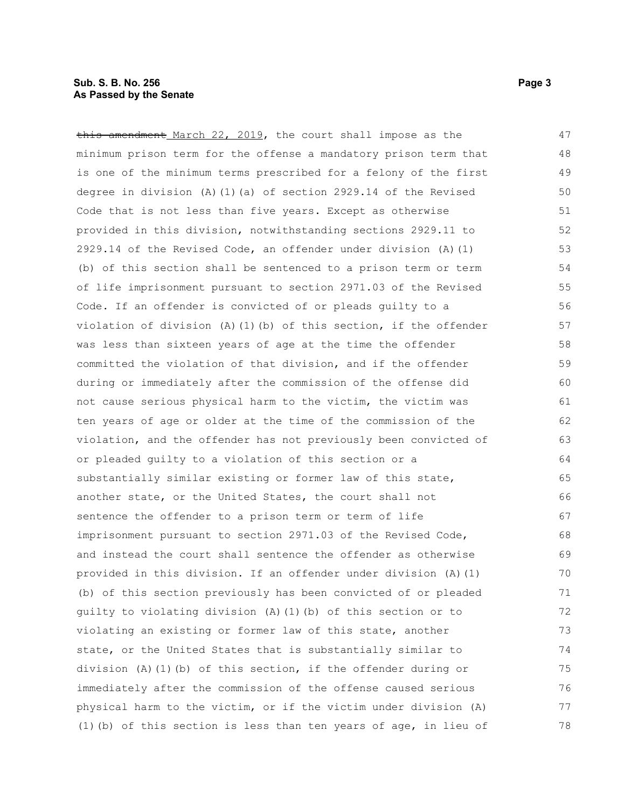#### **Sub. S. B. No. 256 Page 3 As Passed by the Senate**

this amendment March 22, 2019, the court shall impose as the minimum prison term for the offense a mandatory prison term that is one of the minimum terms prescribed for a felony of the first degree in division (A)(1)(a) of section 2929.14 of the Revised Code that is not less than five years. Except as otherwise provided in this division, notwithstanding sections 2929.11 to 2929.14 of the Revised Code, an offender under division (A)(1) (b) of this section shall be sentenced to a prison term or term of life imprisonment pursuant to section 2971.03 of the Revised Code. If an offender is convicted of or pleads guilty to a violation of division  $(A)$   $(1)$   $(b)$  of this section, if the offender was less than sixteen years of age at the time the offender committed the violation of that division, and if the offender during or immediately after the commission of the offense did not cause serious physical harm to the victim, the victim was ten years of age or older at the time of the commission of the violation, and the offender has not previously been convicted of or pleaded guilty to a violation of this section or a substantially similar existing or former law of this state, another state, or the United States, the court shall not sentence the offender to a prison term or term of life imprisonment pursuant to section 2971.03 of the Revised Code, and instead the court shall sentence the offender as otherwise provided in this division. If an offender under division (A)(1) (b) of this section previously has been convicted of or pleaded guilty to violating division (A)(1)(b) of this section or to violating an existing or former law of this state, another state, or the United States that is substantially similar to division (A)(1)(b) of this section, if the offender during or immediately after the commission of the offense caused serious physical harm to the victim, or if the victim under division (A) (1)(b) of this section is less than ten years of age, in lieu of 47 48 49 50 51 52 53 54 55 56 57 58 59 60 61 62 63 64 65 66 67 68 69 70 71 72 73 74 75 76 77 78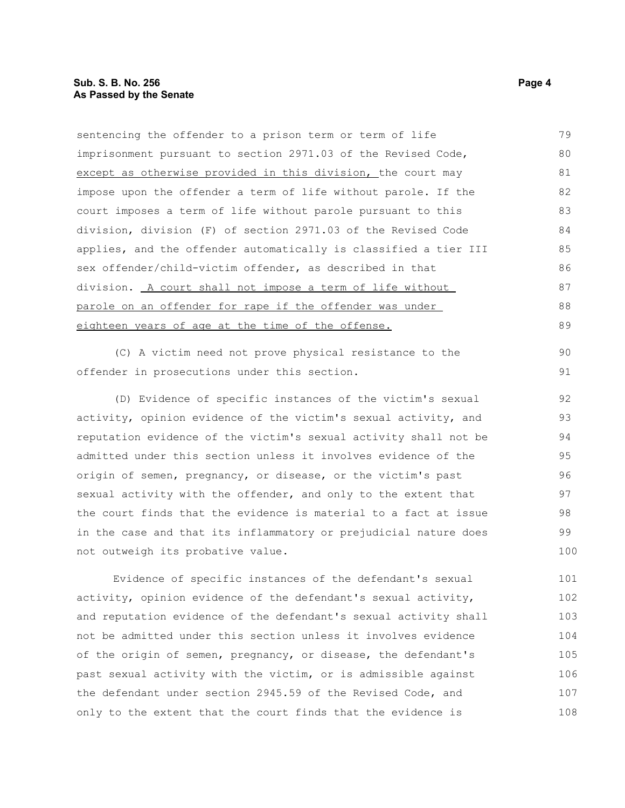sentencing the offender to a prison term or term of life imprisonment pursuant to section 2971.03 of the Revised Code, except as otherwise provided in this division, the court may impose upon the offender a term of life without parole. If the court imposes a term of life without parole pursuant to this division, division (F) of section 2971.03 of the Revised Code applies, and the offender automatically is classified a tier III sex offender/child-victim offender, as described in that division. A court shall not impose a term of life without parole on an offender for rape if the offender was under eighteen years of age at the time of the offense. 79 80 81 82 83 84 85 86 87 88 89

(C) A victim need not prove physical resistance to the offender in prosecutions under this section.

(D) Evidence of specific instances of the victim's sexual activity, opinion evidence of the victim's sexual activity, and reputation evidence of the victim's sexual activity shall not be admitted under this section unless it involves evidence of the origin of semen, pregnancy, or disease, or the victim's past sexual activity with the offender, and only to the extent that the court finds that the evidence is material to a fact at issue in the case and that its inflammatory or prejudicial nature does not outweigh its probative value.

Evidence of specific instances of the defendant's sexual activity, opinion evidence of the defendant's sexual activity, and reputation evidence of the defendant's sexual activity shall not be admitted under this section unless it involves evidence of the origin of semen, pregnancy, or disease, the defendant's past sexual activity with the victim, or is admissible against the defendant under section 2945.59 of the Revised Code, and only to the extent that the court finds that the evidence is 101 102 103 104 105 106 107 108

90 91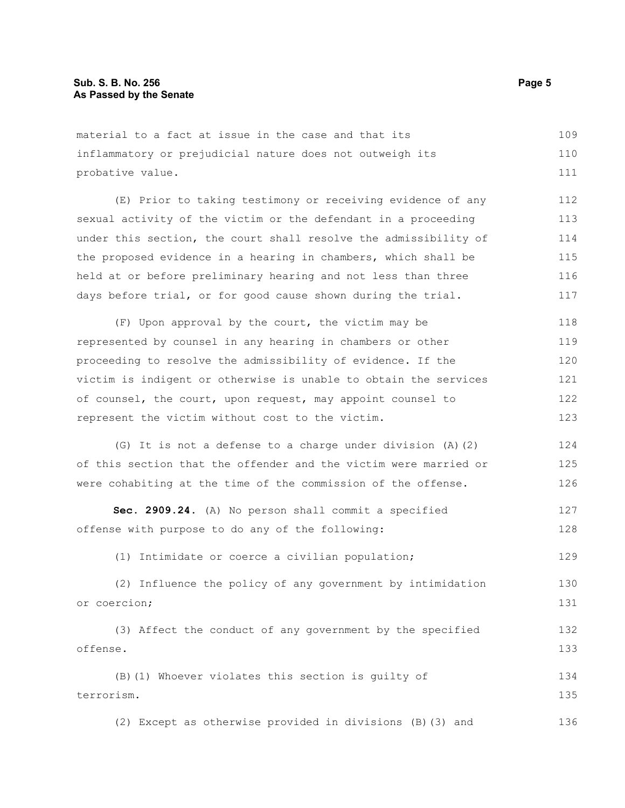| material to a fact at issue in the case and that its             | 109 |
|------------------------------------------------------------------|-----|
| inflammatory or prejudicial nature does not outweigh its         | 110 |
| probative value.                                                 | 111 |
| (E) Prior to taking testimony or receiving evidence of any       | 112 |
| sexual activity of the victim or the defendant in a proceeding   | 113 |
| under this section, the court shall resolve the admissibility of | 114 |
| the proposed evidence in a hearing in chambers, which shall be   | 115 |
| held at or before preliminary hearing and not less than three    | 116 |
| days before trial, or for good cause shown during the trial.     | 117 |
| (F) Upon approval by the court, the victim may be                | 118 |
| represented by counsel in any hearing in chambers or other       | 119 |
| proceeding to resolve the admissibility of evidence. If the      | 120 |
| victim is indigent or otherwise is unable to obtain the services | 121 |
| of counsel, the court, upon request, may appoint counsel to      | 122 |
| represent the victim without cost to the victim.                 | 123 |
| (G) It is not a defense to a charge under division (A) (2)       | 124 |
| of this section that the offender and the victim were married or | 125 |
| were cohabiting at the time of the commission of the offense.    | 126 |
| Sec. 2909.24. (A) No person shall commit a specified             | 127 |
| offense with purpose to do any of the following:                 | 128 |
| (1) Intimidate or coerce a civilian population;                  | 129 |
| (2) Influence the policy of any government by intimidation       | 130 |
| or coercion;                                                     | 131 |
| (3) Affect the conduct of any government by the specified        | 132 |
| offense.                                                         | 133 |
| (B) (1) Whoever violates this section is guilty of               | 134 |
| terrorism.                                                       | 135 |
| (2) Except as otherwise provided in divisions (B) (3) and        | 136 |
|                                                                  |     |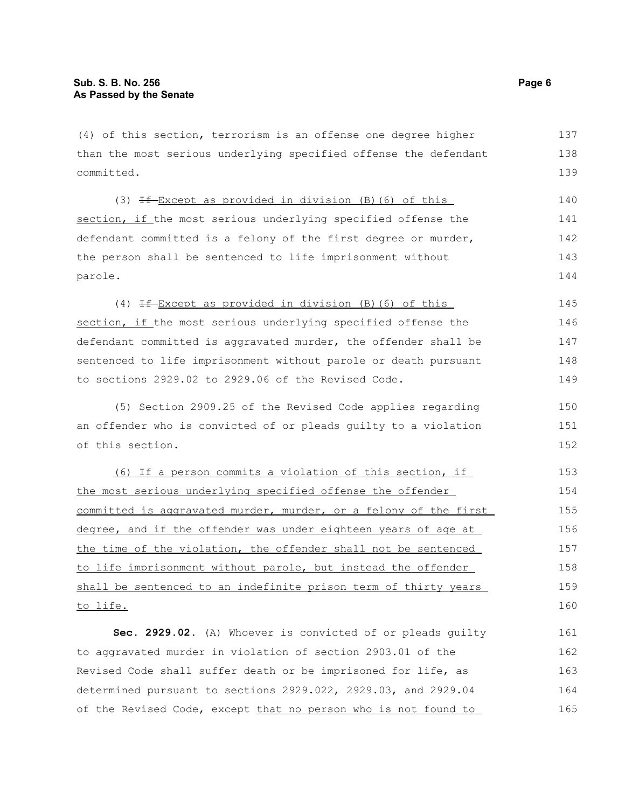(4) of this section, terrorism is an offense one degree higher than the most serious underlying specified offense the defendant committed. 137 138 139

(3)  $H$ Except as provided in division (B)(6) of this section, if the most serious underlying specified offense the defendant committed is a felony of the first degree or murder, the person shall be sentenced to life imprisonment without parole. 140 141 142 143 144

(4) If Except as provided in division (B)(6) of this section, if the most serious underlying specified offense the defendant committed is aggravated murder, the offender shall be sentenced to life imprisonment without parole or death pursuant to sections 2929.02 to 2929.06 of the Revised Code. 145 146 147 148 149

(5) Section 2909.25 of the Revised Code applies regarding an offender who is convicted of or pleads guilty to a violation of this section.

(6) If a person commits a violation of this section, if the most serious underlying specified offense the offender committed is aggravated murder, murder, or a felony of the first degree, and if the offender was under eighteen years of age at the time of the violation, the offender shall not be sentenced to life imprisonment without parole, but instead the offender shall be sentenced to an indefinite prison term of thirty years to life. 153 154 155 156 157 158 159 160

**Sec. 2929.02.** (A) Whoever is convicted of or pleads guilty to aggravated murder in violation of section 2903.01 of the Revised Code shall suffer death or be imprisoned for life, as determined pursuant to sections 2929.022, 2929.03, and 2929.04 of the Revised Code, except that no person who is not found to 161 162 163 164 165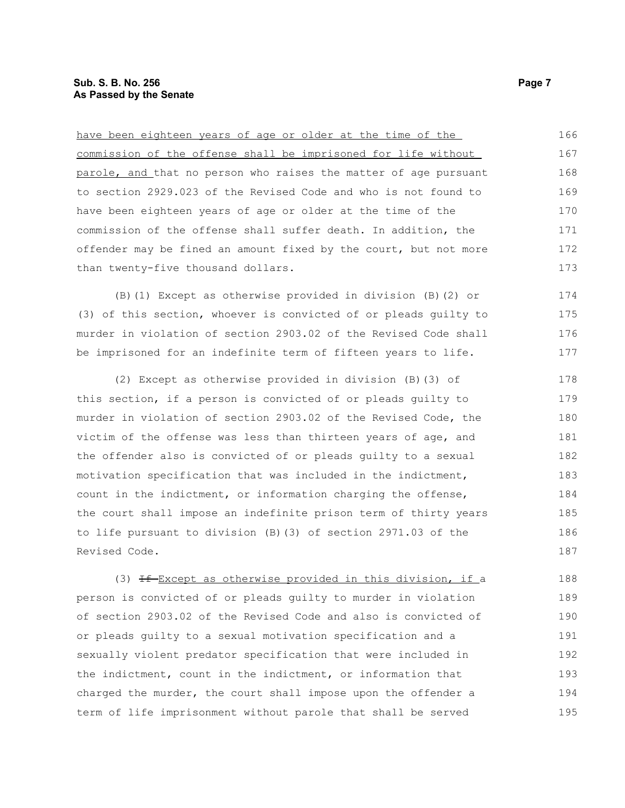| have been eighteen years of age or older at the time of the      | 166 |
|------------------------------------------------------------------|-----|
| commission of the offense shall be imprisoned for life without   | 167 |
| parole, and that no person who raises the matter of age pursuant | 168 |
| to section 2929.023 of the Revised Code and who is not found to  | 169 |
| have been eighteen years of age or older at the time of the      | 170 |
| commission of the offense shall suffer death. In addition, the   | 171 |
| offender may be fined an amount fixed by the court, but not more | 172 |
| than twenty-five thousand dollars.                               | 173 |

(B)(1) Except as otherwise provided in division (B)(2) or (3) of this section, whoever is convicted of or pleads guilty to murder in violation of section 2903.02 of the Revised Code shall be imprisoned for an indefinite term of fifteen years to life. 174 175 176 177

(2) Except as otherwise provided in division (B)(3) of this section, if a person is convicted of or pleads guilty to murder in violation of section 2903.02 of the Revised Code, the victim of the offense was less than thirteen years of age, and the offender also is convicted of or pleads guilty to a sexual motivation specification that was included in the indictment, count in the indictment, or information charging the offense, the court shall impose an indefinite prison term of thirty years to life pursuant to division (B)(3) of section 2971.03 of the Revised Code. 178 179 180 181 182 183 184 185 186 187

(3) If Except as otherwise provided in this division, if a person is convicted of or pleads guilty to murder in violation of section 2903.02 of the Revised Code and also is convicted of or pleads guilty to a sexual motivation specification and a sexually violent predator specification that were included in the indictment, count in the indictment, or information that charged the murder, the court shall impose upon the offender a term of life imprisonment without parole that shall be served 188 189 190 191 192 193 194 195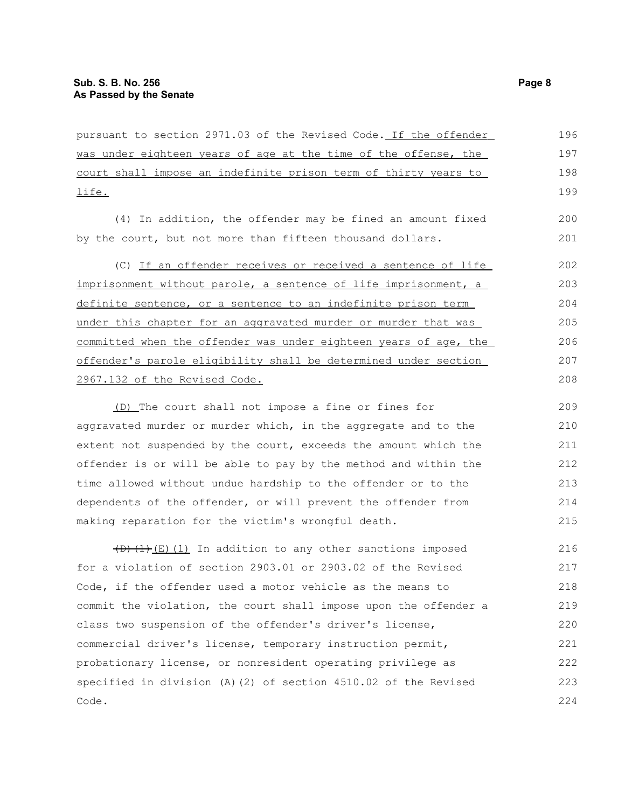| pursuant to section 2971.03 of the Revised Code. If the offender   | 196 |
|--------------------------------------------------------------------|-----|
| was under eighteen years of age at the time of the offense, the    | 197 |
| court shall impose an indefinite prison term of thirty years to    | 198 |
| life.                                                              | 199 |
| (4) In addition, the offender may be fined an amount fixed         | 200 |
| by the court, but not more than fifteen thousand dollars.          | 201 |
| (C) If an offender receives or received a sentence of life         | 202 |
| imprisonment without parole, a sentence of life imprisonment, a    | 203 |
| definite sentence, or a sentence to an indefinite prison term      | 204 |
| under this chapter for an aggravated murder or murder that was     | 205 |
| committed when the offender was under eighteen years of age, the   | 206 |
| offender's parole eligibility shall be determined under section    | 207 |
| 2967.132 of the Revised Code.                                      | 208 |
| (D) The court shall not impose a fine or fines for                 | 209 |
| aggravated murder or murder which, in the aggregate and to the     | 210 |
| extent not suspended by the court, exceeds the amount which the    | 211 |
| offender is or will be able to pay by the method and within the    | 212 |
| time allowed without undue hardship to the offender or to the      | 213 |
| dependents of the offender, or will prevent the offender from      | 214 |
| making reparation for the victim's wrongful death.                 | 215 |
| $(D)$ $(1)$ $(E)$ $(1)$ In addition to any other sanctions imposed | 216 |
| for a violation of section 2903.01 or 2903.02 of the Revised       | 217 |
| Code, if the offender used a motor vehicle as the means to         | 218 |
| commit the violation, the court shall impose upon the offender a   | 219 |
| class two suspension of the offender's driver's license,           | 220 |
| commercial driver's license, temporary instruction permit,         | 221 |
| probationary license, or nonresident operating privilege as        | 222 |
| specified in division (A) (2) of section $4510.02$ of the Revised  | 223 |
| Code.                                                              | 224 |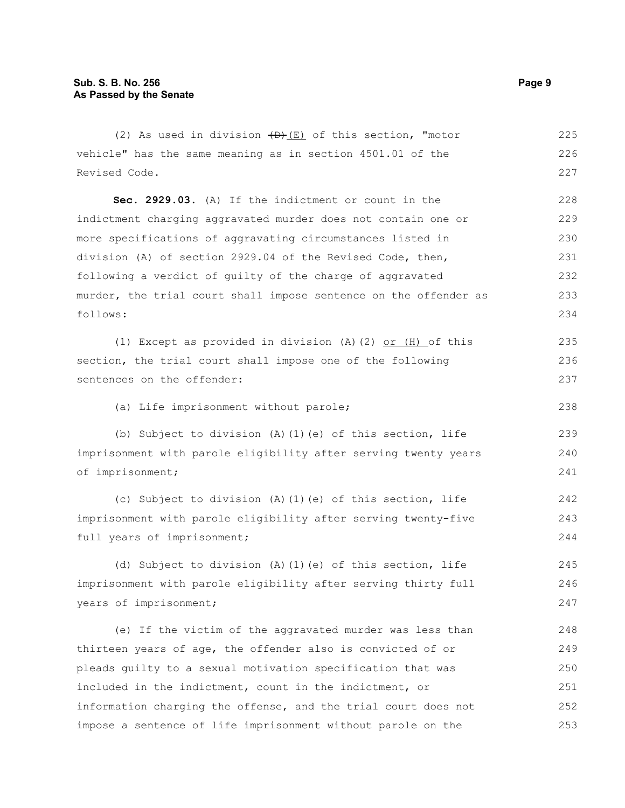(2) As used in division  $(D)$  (E) of this section, "motor vehicle" has the same meaning as in section 4501.01 of the Revised Code. **Sec. 2929.03.** (A) If the indictment or count in the indictment charging aggravated murder does not contain one or more specifications of aggravating circumstances listed in division (A) of section 2929.04 of the Revised Code, then, following a verdict of guilty of the charge of aggravated murder, the trial court shall impose sentence on the offender as follows: (1) Except as provided in division (A)(2)  $or$  (H) of this section, the trial court shall impose one of the following sentences on the offender: (a) Life imprisonment without parole; (b) Subject to division (A)(1)(e) of this section, life imprisonment with parole eligibility after serving twenty years of imprisonment; (c) Subject to division (A)(1)(e) of this section, life imprisonment with parole eligibility after serving twenty-five full years of imprisonment; (d) Subject to division (A)(1)(e) of this section, life imprisonment with parole eligibility after serving thirty full years of imprisonment; (e) If the victim of the aggravated murder was less than thirteen years of age, the offender also is convicted of or pleads guilty to a sexual motivation specification that was included in the indictment, count in the indictment, or information charging the offense, and the trial court does not impose a sentence of life imprisonment without parole on the 225 226 227 228 229 230 231 232 233 234 235 236 237 238 239 240 241 242 243 244 245 246 247 248 249 250 251 252 253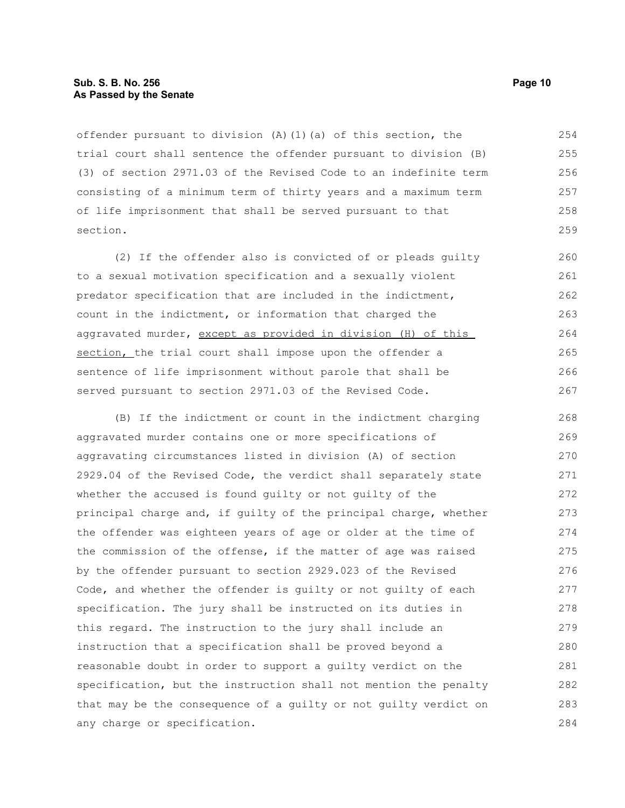#### **Sub. S. B. No. 256 Page 10 As Passed by the Senate**

offender pursuant to division  $(A)$   $(1)$   $(a)$  of this section, the trial court shall sentence the offender pursuant to division (B) (3) of section 2971.03 of the Revised Code to an indefinite term consisting of a minimum term of thirty years and a maximum term of life imprisonment that shall be served pursuant to that section. 254 255 256 257 258 259

(2) If the offender also is convicted of or pleads guilty to a sexual motivation specification and a sexually violent predator specification that are included in the indictment, count in the indictment, or information that charged the aggravated murder, except as provided in division (H) of this section, the trial court shall impose upon the offender a sentence of life imprisonment without parole that shall be served pursuant to section 2971.03 of the Revised Code. 260 261 262 263 264 265 266 267

(B) If the indictment or count in the indictment charging aggravated murder contains one or more specifications of aggravating circumstances listed in division (A) of section 2929.04 of the Revised Code, the verdict shall separately state whether the accused is found guilty or not guilty of the principal charge and, if guilty of the principal charge, whether the offender was eighteen years of age or older at the time of the commission of the offense, if the matter of age was raised by the offender pursuant to section 2929.023 of the Revised Code, and whether the offender is guilty or not guilty of each specification. The jury shall be instructed on its duties in this regard. The instruction to the jury shall include an instruction that a specification shall be proved beyond a reasonable doubt in order to support a guilty verdict on the specification, but the instruction shall not mention the penalty that may be the consequence of a guilty or not guilty verdict on any charge or specification. 268 269 270 271 272 273 274 275 276 277 278 279 280 281 282 283 284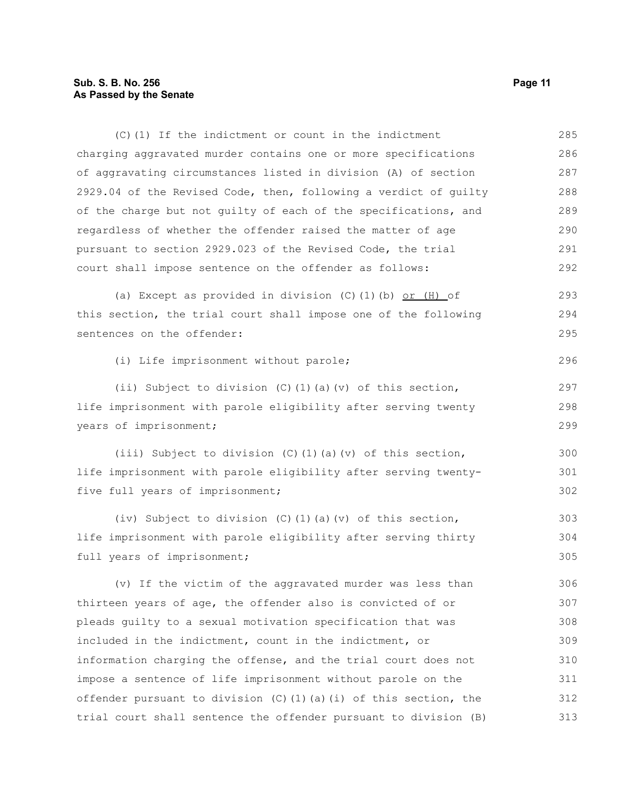### **Sub. S. B. No. 256 Page 11 As Passed by the Senate**

| (C) (1) If the indictment or count in the indictment                 | 285 |
|----------------------------------------------------------------------|-----|
| charging aggravated murder contains one or more specifications       | 286 |
| of aggravating circumstances listed in division (A) of section       | 287 |
| 2929.04 of the Revised Code, then, following a verdict of quilty     | 288 |
| of the charge but not guilty of each of the specifications, and      | 289 |
| regardless of whether the offender raised the matter of age          | 290 |
| pursuant to section 2929.023 of the Revised Code, the trial          | 291 |
| court shall impose sentence on the offender as follows:              | 292 |
| (a) Except as provided in division (C) (1) (b) $or$ (H) of           | 293 |
| this section, the trial court shall impose one of the following      | 294 |
| sentences on the offender:                                           | 295 |
| (i) Life imprisonment without parole;                                | 296 |
| (ii) Subject to division $(C)$ $(1)$ $(a)$ $(v)$ of this section,    | 297 |
| life imprisonment with parole eligibility after serving twenty       | 298 |
| years of imprisonment;                                               | 299 |
| (iii) Subject to division $(C)$ $(1)$ $(a)$ $(v)$ of this section,   | 300 |
| life imprisonment with parole eligibility after serving twenty-      | 301 |
| five full years of imprisonment;                                     | 302 |
| (iv) Subject to division $(C)$ $(1)$ $(a)$ $(v)$ of this section,    | 303 |
| life imprisonment with parole eligibility after serving thirty       | 304 |
| full years of imprisonment;                                          | 305 |
| (v) If the victim of the aggravated murder was less than             | 306 |
| thirteen years of age, the offender also is convicted of or          | 307 |
| pleads quilty to a sexual motivation specification that was          | 308 |
| included in the indictment, count in the indictment, or              | 309 |
| information charging the offense, and the trial court does not       | 310 |
| impose a sentence of life imprisonment without parole on the         | 311 |
| offender pursuant to division $(C)$ (1) (a) (i) of this section, the | 312 |
| trial court shall sentence the offender pursuant to division (B)     | 313 |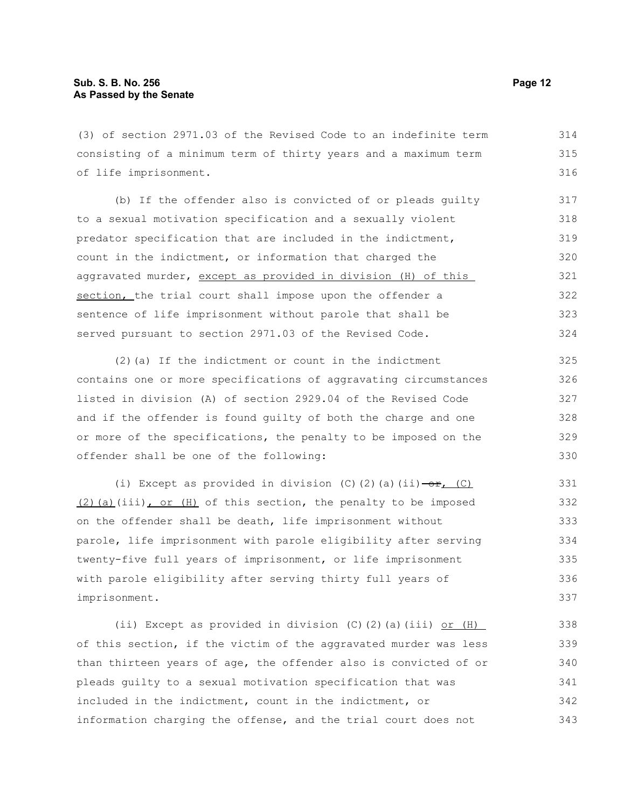(3) of section 2971.03 of the Revised Code to an indefinite term consisting of a minimum term of thirty years and a maximum term of life imprisonment. 314 315 316

(b) If the offender also is convicted of or pleads guilty to a sexual motivation specification and a sexually violent predator specification that are included in the indictment, count in the indictment, or information that charged the aggravated murder, except as provided in division (H) of this section, the trial court shall impose upon the offender a sentence of life imprisonment without parole that shall be served pursuant to section 2971.03 of the Revised Code. 317 318 319 320 321 322 323 324

(2)(a) If the indictment or count in the indictment contains one or more specifications of aggravating circumstances listed in division (A) of section 2929.04 of the Revised Code and if the offender is found guilty of both the charge and one or more of the specifications, the penalty to be imposed on the offender shall be one of the following:

(i) Except as provided in division (C)(2)(a)(ii)  $-6f$ <sub>1</sub> (C)  $(2)$  (a)(iii), or (H) of this section, the penalty to be imposed on the offender shall be death, life imprisonment without parole, life imprisonment with parole eligibility after serving twenty-five full years of imprisonment, or life imprisonment with parole eligibility after serving thirty full years of imprisonment. 331 332 333 334 335 336 337

(ii) Except as provided in division (C)(2)(a)(iii) or  $(H)$ of this section, if the victim of the aggravated murder was less than thirteen years of age, the offender also is convicted of or pleads guilty to a sexual motivation specification that was included in the indictment, count in the indictment, or information charging the offense, and the trial court does not 338 339 340 341 342 343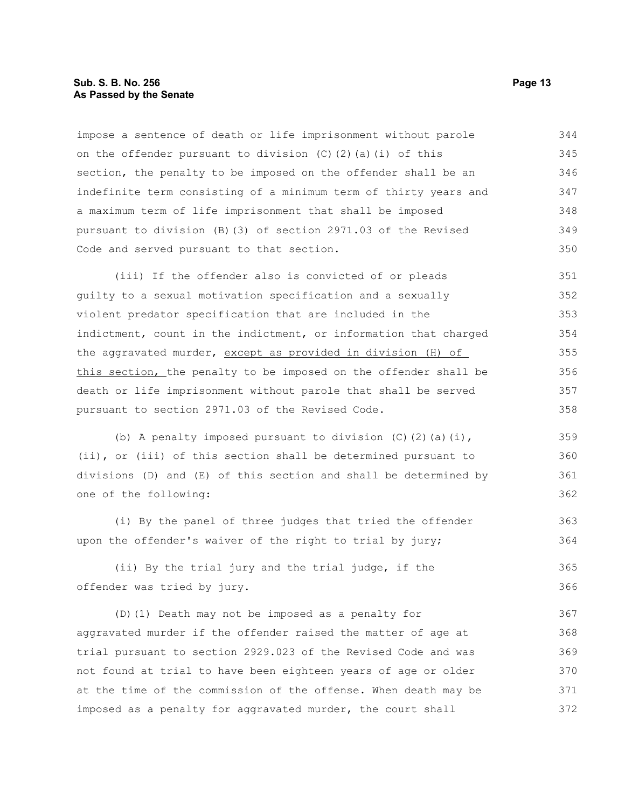#### **Sub. S. B. No. 256 Page 13 As Passed by the Senate**

impose a sentence of death or life imprisonment without parole on the offender pursuant to division  $(C)$   $(2)$   $(a)$   $(i)$  of this section, the penalty to be imposed on the offender shall be an indefinite term consisting of a minimum term of thirty years and a maximum term of life imprisonment that shall be imposed pursuant to division (B)(3) of section 2971.03 of the Revised Code and served pursuant to that section. 344 345 346 347 348 349 350

(iii) If the offender also is convicted of or pleads guilty to a sexual motivation specification and a sexually violent predator specification that are included in the indictment, count in the indictment, or information that charged the aggravated murder, except as provided in division (H) of this section, the penalty to be imposed on the offender shall be death or life imprisonment without parole that shall be served pursuant to section 2971.03 of the Revised Code. 351 352 353 354 355 356 357 358

(b) A penalty imposed pursuant to division (C)(2)(a)(i), (ii), or (iii) of this section shall be determined pursuant to divisions (D) and (E) of this section and shall be determined by one of the following:

(i) By the panel of three judges that tried the offender upon the offender's waiver of the right to trial by jury; 363 364

(ii) By the trial jury and the trial judge, if the offender was tried by jury. 365 366

(D)(1) Death may not be imposed as a penalty for aggravated murder if the offender raised the matter of age at trial pursuant to section 2929.023 of the Revised Code and was not found at trial to have been eighteen years of age or older at the time of the commission of the offense. When death may be imposed as a penalty for aggravated murder, the court shall 367 368 369 370 371 372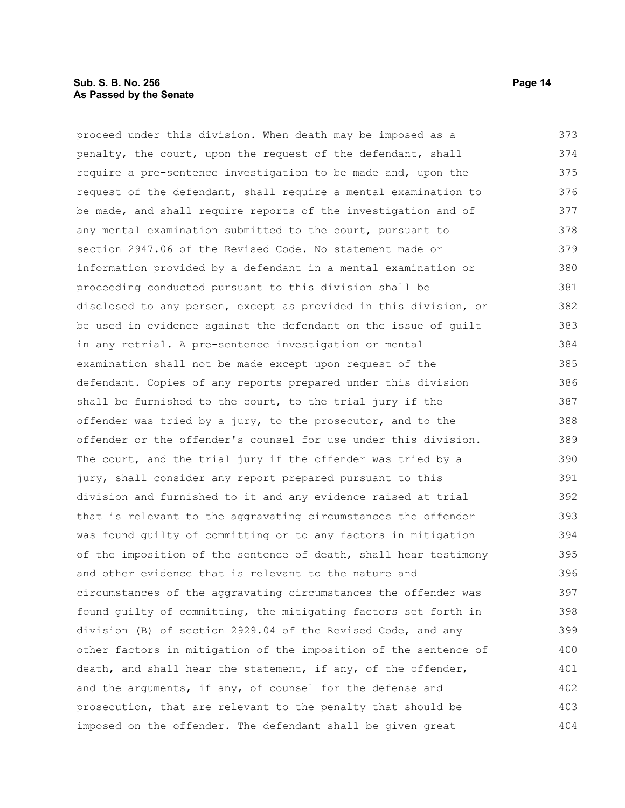proceed under this division. When death may be imposed as a penalty, the court, upon the request of the defendant, shall require a pre-sentence investigation to be made and, upon the request of the defendant, shall require a mental examination to be made, and shall require reports of the investigation and of any mental examination submitted to the court, pursuant to section 2947.06 of the Revised Code. No statement made or information provided by a defendant in a mental examination or proceeding conducted pursuant to this division shall be disclosed to any person, except as provided in this division, or be used in evidence against the defendant on the issue of guilt in any retrial. A pre-sentence investigation or mental examination shall not be made except upon request of the defendant. Copies of any reports prepared under this division shall be furnished to the court, to the trial jury if the offender was tried by a jury, to the prosecutor, and to the offender or the offender's counsel for use under this division. The court, and the trial jury if the offender was tried by a jury, shall consider any report prepared pursuant to this division and furnished to it and any evidence raised at trial that is relevant to the aggravating circumstances the offender was found guilty of committing or to any factors in mitigation of the imposition of the sentence of death, shall hear testimony and other evidence that is relevant to the nature and circumstances of the aggravating circumstances the offender was found guilty of committing, the mitigating factors set forth in division (B) of section 2929.04 of the Revised Code, and any other factors in mitigation of the imposition of the sentence of death, and shall hear the statement, if any, of the offender, and the arguments, if any, of counsel for the defense and prosecution, that are relevant to the penalty that should be imposed on the offender. The defendant shall be given great 373 374 375 376 377 378 379 380 381 382 383 384 385 386 387 388 389 390 391 392 393 394 395 396 397 398 399 400 401 402 403 404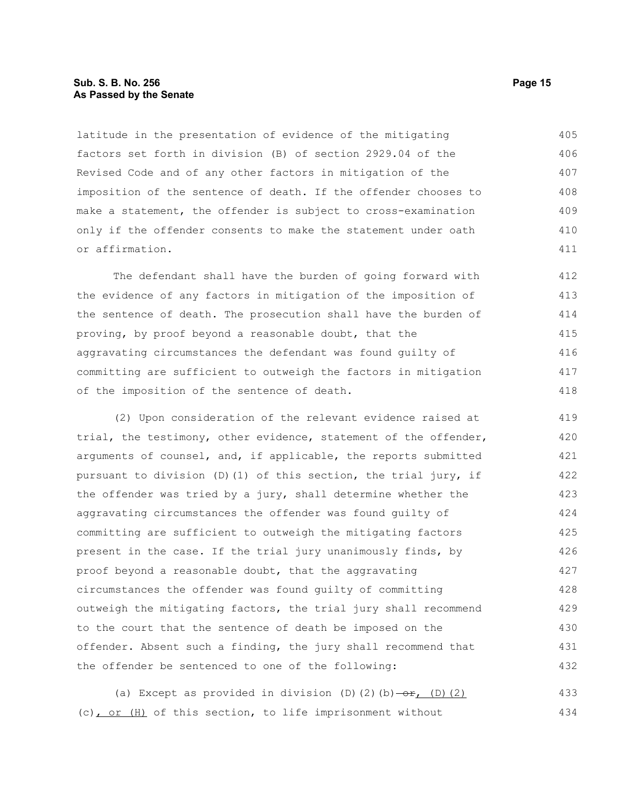#### **Sub. S. B. No. 256 Page 15 As Passed by the Senate**

latitude in the presentation of evidence of the mitigating factors set forth in division (B) of section 2929.04 of the Revised Code and of any other factors in mitigation of the imposition of the sentence of death. If the offender chooses to make a statement, the offender is subject to cross-examination only if the offender consents to make the statement under oath or affirmation. 405 406 407 408 409 410 411

The defendant shall have the burden of going forward with the evidence of any factors in mitigation of the imposition of the sentence of death. The prosecution shall have the burden of proving, by proof beyond a reasonable doubt, that the aggravating circumstances the defendant was found guilty of committing are sufficient to outweigh the factors in mitigation of the imposition of the sentence of death. 412 413 414 415 416 417 418

(2) Upon consideration of the relevant evidence raised at trial, the testimony, other evidence, statement of the offender, arguments of counsel, and, if applicable, the reports submitted pursuant to division (D)(1) of this section, the trial jury, if the offender was tried by a jury, shall determine whether the aggravating circumstances the offender was found guilty of committing are sufficient to outweigh the mitigating factors present in the case. If the trial jury unanimously finds, by proof beyond a reasonable doubt, that the aggravating circumstances the offender was found guilty of committing outweigh the mitigating factors, the trial jury shall recommend to the court that the sentence of death be imposed on the offender. Absent such a finding, the jury shall recommend that the offender be sentenced to one of the following: 419 420 421 422 423 424 425 426 427 428 429 430 431 432

(a) Except as provided in division (D)(2)(b)  $-6r$ , (D)(2) (c), or (H) of this section, to life imprisonment without 433 434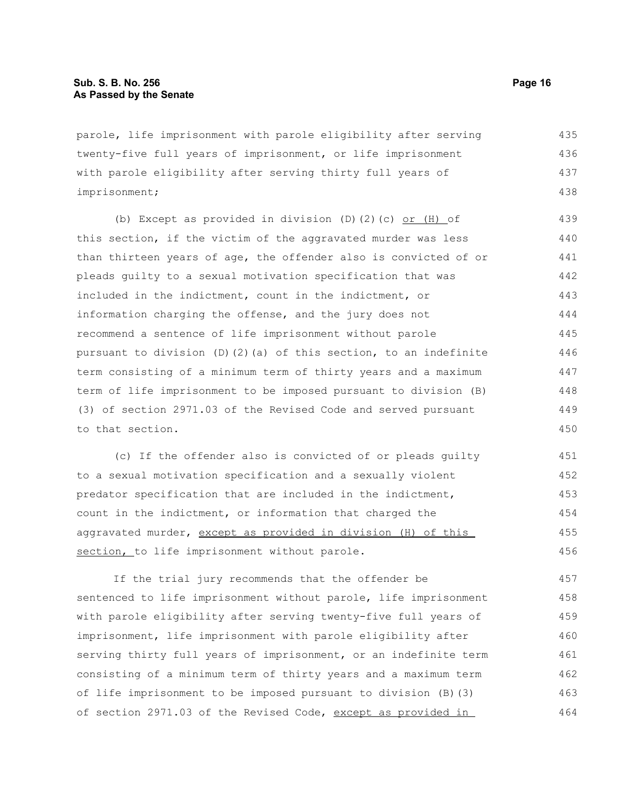parole, life imprisonment with parole eligibility after serving twenty-five full years of imprisonment, or life imprisonment with parole eligibility after serving thirty full years of imprisonment; 435 436 437 438

(b) Except as provided in division (D)(2)(c)  $or$  (H) of this section, if the victim of the aggravated murder was less than thirteen years of age, the offender also is convicted of or pleads guilty to a sexual motivation specification that was included in the indictment, count in the indictment, or information charging the offense, and the jury does not recommend a sentence of life imprisonment without parole pursuant to division (D)(2)(a) of this section, to an indefinite term consisting of a minimum term of thirty years and a maximum term of life imprisonment to be imposed pursuant to division (B) (3) of section 2971.03 of the Revised Code and served pursuant to that section. 439 440 441 442 443 444 445 446 447 448 449 450

(c) If the offender also is convicted of or pleads guilty to a sexual motivation specification and a sexually violent predator specification that are included in the indictment, count in the indictment, or information that charged the aggravated murder, except as provided in division (H) of this section, to life imprisonment without parole. 451 452 453 454 455 456

If the trial jury recommends that the offender be sentenced to life imprisonment without parole, life imprisonment with parole eligibility after serving twenty-five full years of imprisonment, life imprisonment with parole eligibility after serving thirty full years of imprisonment, or an indefinite term consisting of a minimum term of thirty years and a maximum term of life imprisonment to be imposed pursuant to division (B)(3) of section 2971.03 of the Revised Code, except as provided in 457 458 459 460 461 462 463 464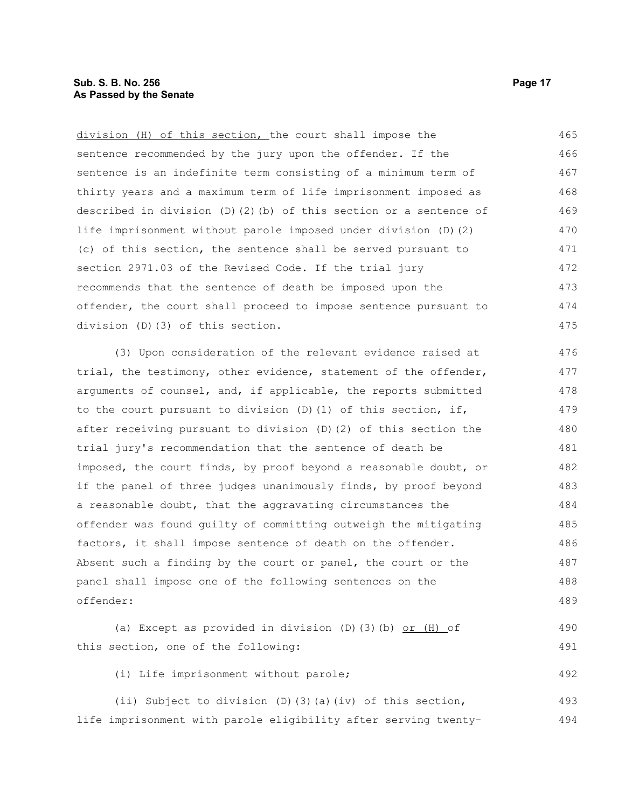| division (H) of this section, the court shall impose the                 | 465 |
|--------------------------------------------------------------------------|-----|
| sentence recommended by the jury upon the offender. If the               | 466 |
| sentence is an indefinite term consisting of a minimum term of           | 467 |
| thirty years and a maximum term of life imprisonment imposed as          | 468 |
| described in division $(D)$ $(2)$ $(b)$ of this section or a sentence of | 469 |
| life imprisonment without parole imposed under division (D)(2)           | 470 |
| (c) of this section, the sentence shall be served pursuant to            | 471 |
| section 2971.03 of the Revised Code. If the trial jury                   | 472 |
| recommends that the sentence of death be imposed upon the                | 473 |
| offender, the court shall proceed to impose sentence pursuant to         | 474 |
| division (D) (3) of this section.                                        | 475 |
| (3) Upon consideration of the relevant evidence raised at                | 476 |
| trial, the testimony, other evidence, statement of the offender,         | 477 |
| arguments of counsel, and, if applicable, the reports submitted          | 478 |
| to the court pursuant to division $(D)$ (1) of this section, if,         | 479 |
| after receiving pursuant to division (D) (2) of this section the         | 480 |
| trial jury's recommendation that the sentence of death be                | 481 |
| imposed, the court finds, by proof beyond a reasonable doubt, or         | 482 |
| if the panel of three judges unanimously finds, by proof beyond          | 483 |
| a reasonable doubt, that the aggravating circumstances the               | 484 |
| offender was found guilty of committing outweigh the mitigating          | 485 |
| factors, it shall impose sentence of death on the offender.              | 486 |
| Absent such a finding by the court or panel, the court or the            | 487 |
| panel shall impose one of the following sentences on the                 | 488 |
| offender:                                                                | 489 |
| (a) Except as provided in division (D) (3) (b) $or$ (H) of               | 490 |
| this section, one of the following:                                      | 491 |
| (i) Life imprisonment without parole;                                    | 492 |
| (ii) Subject to division (D) (3) (a) (iv) of this section,               | 493 |
| life imprisonment with parole eligibility after serving twenty-          | 494 |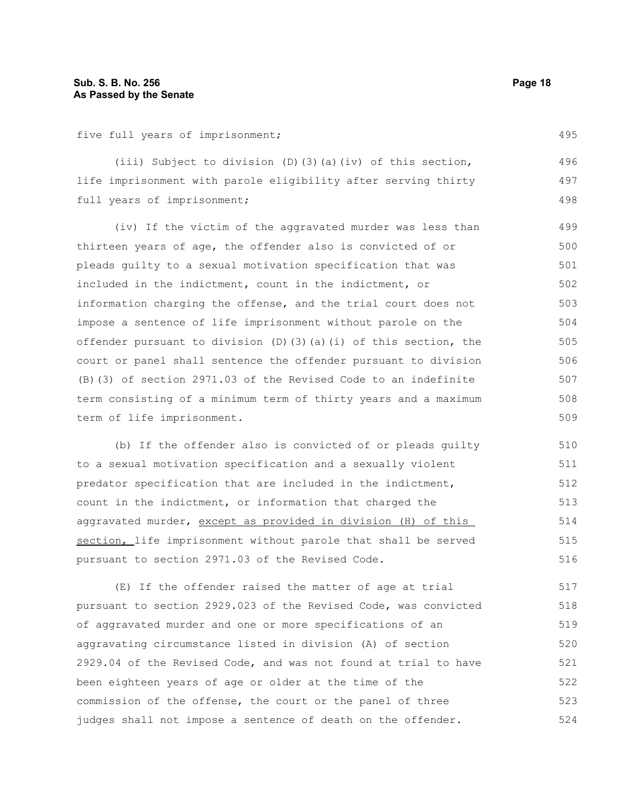five full years of imprisonment;

(iii) Subject to division (D)(3)(a)(iv) of this section, life imprisonment with parole eligibility after serving thirty full years of imprisonment; 496 497 498

(iv) If the victim of the aggravated murder was less than thirteen years of age, the offender also is convicted of or pleads guilty to a sexual motivation specification that was included in the indictment, count in the indictment, or information charging the offense, and the trial court does not impose a sentence of life imprisonment without parole on the offender pursuant to division  $(D)$  (3)(a)(i) of this section, the court or panel shall sentence the offender pursuant to division (B)(3) of section 2971.03 of the Revised Code to an indefinite term consisting of a minimum term of thirty years and a maximum term of life imprisonment. 499 500 501 502 503 504 505 506 507 508 509

(b) If the offender also is convicted of or pleads guilty to a sexual motivation specification and a sexually violent predator specification that are included in the indictment, count in the indictment, or information that charged the aggravated murder, except as provided in division (H) of this section, life imprisonment without parole that shall be served pursuant to section 2971.03 of the Revised Code.

(E) If the offender raised the matter of age at trial pursuant to section 2929.023 of the Revised Code, was convicted of aggravated murder and one or more specifications of an aggravating circumstance listed in division (A) of section 2929.04 of the Revised Code, and was not found at trial to have been eighteen years of age or older at the time of the commission of the offense, the court or the panel of three judges shall not impose a sentence of death on the offender. 517 518 519 520 521 522 523 524

495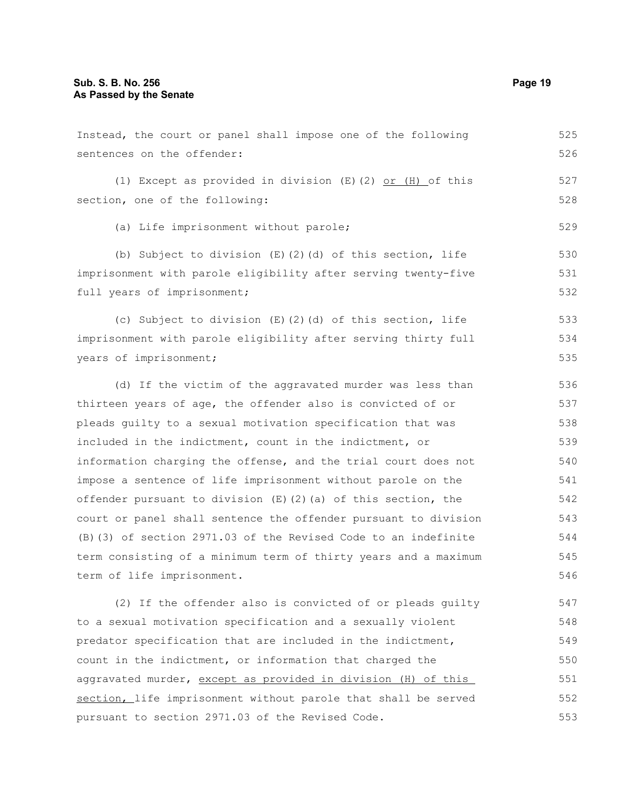| Instead, the court or panel shall impose one of the following |  |                                                               |  |  |  |  |
|---------------------------------------------------------------|--|---------------------------------------------------------------|--|--|--|--|
| sentences on the offender:                                    |  |                                                               |  |  |  |  |
|                                                               |  | (1) Except as provided in division $(E)$ (2) or $(H)$ of this |  |  |  |  |

section, one of the following:

(a) Life imprisonment without parole;

(b) Subject to division  $(E)$  (2)(d) of this section, life imprisonment with parole eligibility after serving twenty-five full years of imprisonment; 530 531 532

(c) Subject to division (E)(2)(d) of this section, life imprisonment with parole eligibility after serving thirty full years of imprisonment; 533 534 535

(d) If the victim of the aggravated murder was less than thirteen years of age, the offender also is convicted of or pleads guilty to a sexual motivation specification that was included in the indictment, count in the indictment, or information charging the offense, and the trial court does not impose a sentence of life imprisonment without parole on the offender pursuant to division  $(E)$  (2)(a) of this section, the court or panel shall sentence the offender pursuant to division (B)(3) of section 2971.03 of the Revised Code to an indefinite term consisting of a minimum term of thirty years and a maximum term of life imprisonment. 536 537 538 539 540 541 542 543 544 545 546

(2) If the offender also is convicted of or pleads guilty to a sexual motivation specification and a sexually violent predator specification that are included in the indictment, count in the indictment, or information that charged the aggravated murder, except as provided in division (H) of this section, life imprisonment without parole that shall be served pursuant to section 2971.03 of the Revised Code. 547 548 549 550 551 552 553

525 526

527 528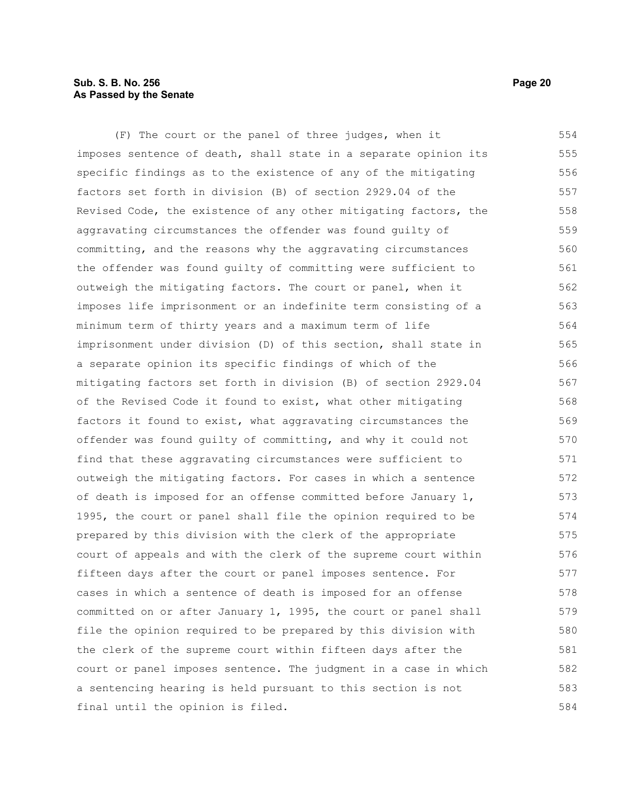#### **Sub. S. B. No. 256 Page 20 As Passed by the Senate**

(F) The court or the panel of three judges, when it imposes sentence of death, shall state in a separate opinion its specific findings as to the existence of any of the mitigating factors set forth in division (B) of section 2929.04 of the Revised Code, the existence of any other mitigating factors, the aggravating circumstances the offender was found guilty of committing, and the reasons why the aggravating circumstances the offender was found guilty of committing were sufficient to outweigh the mitigating factors. The court or panel, when it imposes life imprisonment or an indefinite term consisting of a minimum term of thirty years and a maximum term of life imprisonment under division (D) of this section, shall state in a separate opinion its specific findings of which of the mitigating factors set forth in division (B) of section 2929.04 of the Revised Code it found to exist, what other mitigating factors it found to exist, what aggravating circumstances the offender was found guilty of committing, and why it could not find that these aggravating circumstances were sufficient to outweigh the mitigating factors. For cases in which a sentence of death is imposed for an offense committed before January 1, 1995, the court or panel shall file the opinion required to be prepared by this division with the clerk of the appropriate court of appeals and with the clerk of the supreme court within fifteen days after the court or panel imposes sentence. For cases in which a sentence of death is imposed for an offense committed on or after January 1, 1995, the court or panel shall file the opinion required to be prepared by this division with the clerk of the supreme court within fifteen days after the court or panel imposes sentence. The judgment in a case in which a sentencing hearing is held pursuant to this section is not final until the opinion is filed. 554 555 556 557 558 559 560 561 562 563 564 565 566 567 568 569 570 571 572 573 574 575 576 577 578 579 580 581 582 583 584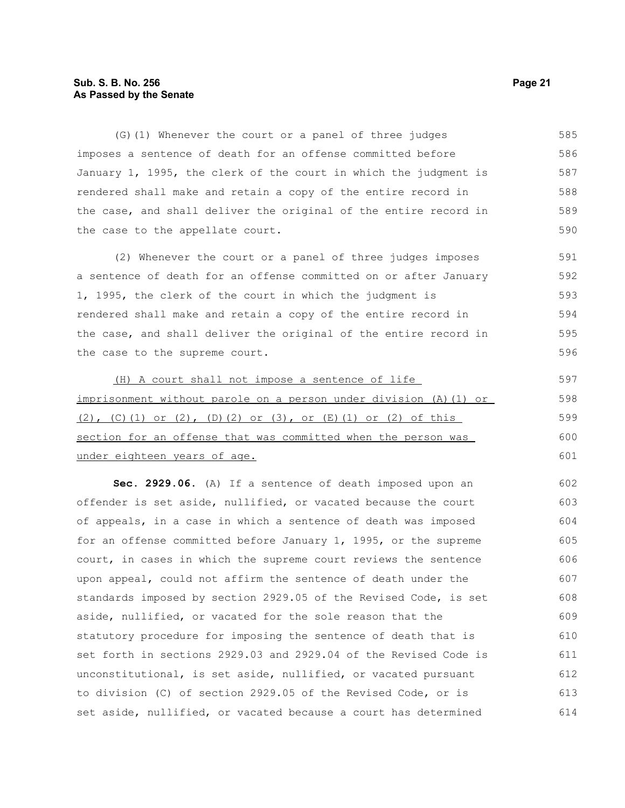#### **Sub. S. B. No. 256 Page 21 As Passed by the Senate**

(G)(1) Whenever the court or a panel of three judges imposes a sentence of death for an offense committed before January 1, 1995, the clerk of the court in which the judgment is rendered shall make and retain a copy of the entire record in the case, and shall deliver the original of the entire record in the case to the appellate court. 585 586 587 588 589 590

(2) Whenever the court or a panel of three judges imposes a sentence of death for an offense committed on or after January 1, 1995, the clerk of the court in which the judgment is rendered shall make and retain a copy of the entire record in the case, and shall deliver the original of the entire record in the case to the supreme court. 591 592 593 594 595 596

| (H) A court shall not impose a sentence of life                                       | 597 |
|---------------------------------------------------------------------------------------|-----|
| imprisonment without parole on a person under division (A) (1) or                     | 598 |
| $(2)$ , $(C)$ $(1)$ or $(2)$ , $(D)$ $(2)$ or $(3)$ , or $(E)$ $(1)$ or $(2)$ of this | 599 |
| section for an offense that was committed when the person was                         | 600 |
| under eighteen years of age.                                                          | 601 |

**Sec. 2929.06.** (A) If a sentence of death imposed upon an offender is set aside, nullified, or vacated because the court of appeals, in a case in which a sentence of death was imposed for an offense committed before January 1, 1995, or the supreme court, in cases in which the supreme court reviews the sentence upon appeal, could not affirm the sentence of death under the standards imposed by section 2929.05 of the Revised Code, is set aside, nullified, or vacated for the sole reason that the statutory procedure for imposing the sentence of death that is set forth in sections 2929.03 and 2929.04 of the Revised Code is unconstitutional, is set aside, nullified, or vacated pursuant to division (C) of section 2929.05 of the Revised Code, or is set aside, nullified, or vacated because a court has determined 602 603 604 605 606 607 608 609 610 611 612 613 614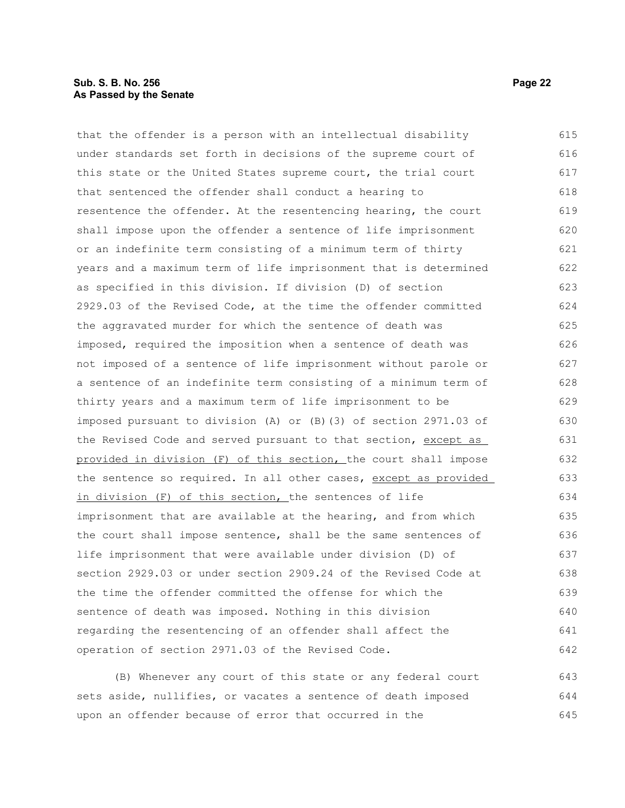#### **Sub. S. B. No. 256 Page 22 As Passed by the Senate**

that the offender is a person with an intellectual disability under standards set forth in decisions of the supreme court of this state or the United States supreme court, the trial court that sentenced the offender shall conduct a hearing to resentence the offender. At the resentencing hearing, the court shall impose upon the offender a sentence of life imprisonment or an indefinite term consisting of a minimum term of thirty years and a maximum term of life imprisonment that is determined as specified in this division. If division (D) of section 2929.03 of the Revised Code, at the time the offender committed the aggravated murder for which the sentence of death was imposed, required the imposition when a sentence of death was not imposed of a sentence of life imprisonment without parole or a sentence of an indefinite term consisting of a minimum term of thirty years and a maximum term of life imprisonment to be imposed pursuant to division (A) or (B)(3) of section 2971.03 of the Revised Code and served pursuant to that section, except as provided in division (F) of this section, the court shall impose the sentence so required. In all other cases, except as provided in division (F) of this section, the sentences of life imprisonment that are available at the hearing, and from which the court shall impose sentence, shall be the same sentences of life imprisonment that were available under division (D) of section 2929.03 or under section 2909.24 of the Revised Code at the time the offender committed the offense for which the sentence of death was imposed. Nothing in this division regarding the resentencing of an offender shall affect the operation of section 2971.03 of the Revised Code. 615 616 617 618 619 620 621 622 623 624 625 626 627 628 629 630 631 632 633 634 635 636 637 638 639 640 641 642

(B) Whenever any court of this state or any federal court sets aside, nullifies, or vacates a sentence of death imposed upon an offender because of error that occurred in the 643 644 645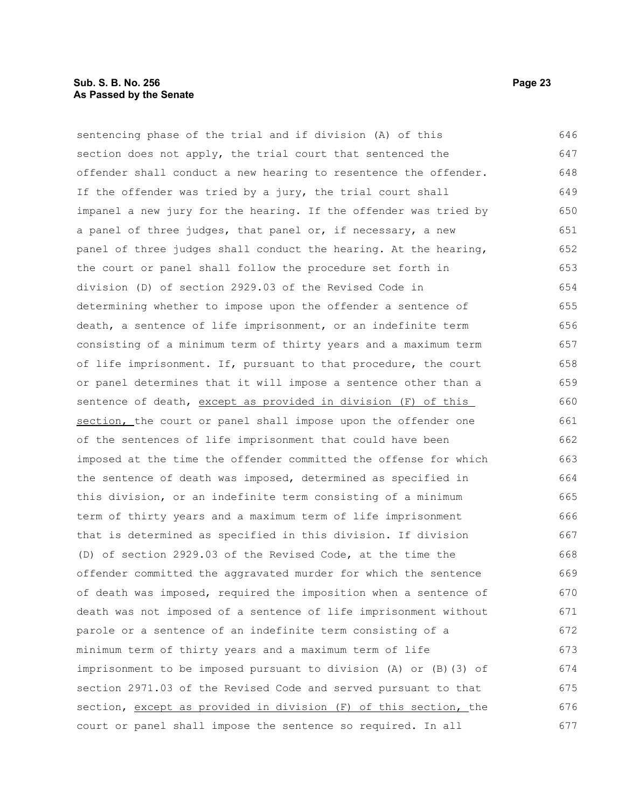#### **Sub. S. B. No. 256 Page 23 As Passed by the Senate**

sentencing phase of the trial and if division (A) of this section does not apply, the trial court that sentenced the offender shall conduct a new hearing to resentence the offender. If the offender was tried by a jury, the trial court shall impanel a new jury for the hearing. If the offender was tried by a panel of three judges, that panel or, if necessary, a new panel of three judges shall conduct the hearing. At the hearing, the court or panel shall follow the procedure set forth in division (D) of section 2929.03 of the Revised Code in determining whether to impose upon the offender a sentence of death, a sentence of life imprisonment, or an indefinite term consisting of a minimum term of thirty years and a maximum term of life imprisonment. If, pursuant to that procedure, the court or panel determines that it will impose a sentence other than a sentence of death, except as provided in division (F) of this section, the court or panel shall impose upon the offender one of the sentences of life imprisonment that could have been imposed at the time the offender committed the offense for which the sentence of death was imposed, determined as specified in this division, or an indefinite term consisting of a minimum term of thirty years and a maximum term of life imprisonment that is determined as specified in this division. If division (D) of section 2929.03 of the Revised Code, at the time the offender committed the aggravated murder for which the sentence of death was imposed, required the imposition when a sentence of death was not imposed of a sentence of life imprisonment without parole or a sentence of an indefinite term consisting of a minimum term of thirty years and a maximum term of life imprisonment to be imposed pursuant to division (A) or (B)(3) of section 2971.03 of the Revised Code and served pursuant to that section, except as provided in division (F) of this section, the court or panel shall impose the sentence so required. In all 646 647 648 649 650 651 652 653 654 655 656 657 658 659 660 661 662 663 664 665 666 667 668 669 670 671 672 673 674 675 676 677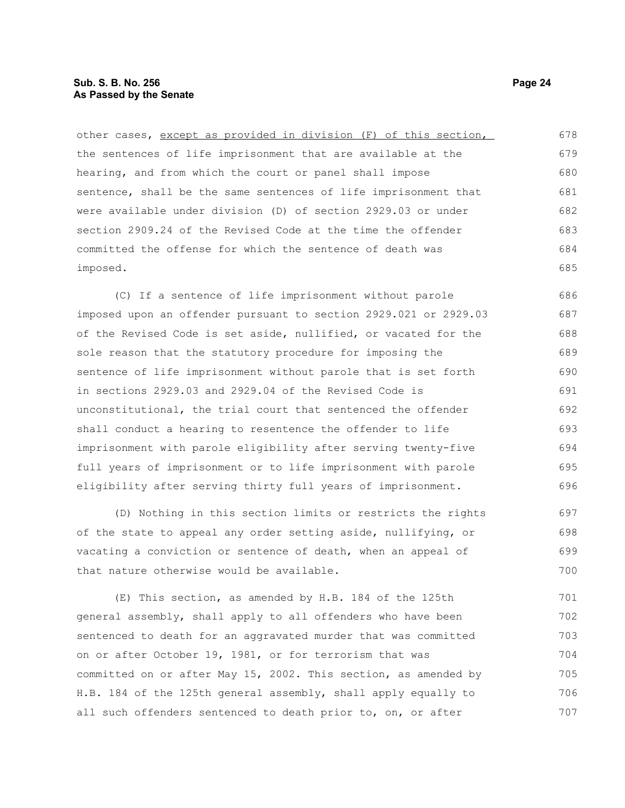other cases, except as provided in division (F) of this section, the sentences of life imprisonment that are available at the hearing, and from which the court or panel shall impose sentence, shall be the same sentences of life imprisonment that were available under division (D) of section 2929.03 or under section 2909.24 of the Revised Code at the time the offender committed the offense for which the sentence of death was imposed. 678 679 680 681 682 683 684 685

(C) If a sentence of life imprisonment without parole imposed upon an offender pursuant to section 2929.021 or 2929.03 of the Revised Code is set aside, nullified, or vacated for the sole reason that the statutory procedure for imposing the sentence of life imprisonment without parole that is set forth in sections 2929.03 and 2929.04 of the Revised Code is unconstitutional, the trial court that sentenced the offender shall conduct a hearing to resentence the offender to life imprisonment with parole eligibility after serving twenty-five full years of imprisonment or to life imprisonment with parole eligibility after serving thirty full years of imprisonment. 686 687 688 689 690 691 692 693 694 695 696

(D) Nothing in this section limits or restricts the rights of the state to appeal any order setting aside, nullifying, or vacating a conviction or sentence of death, when an appeal of that nature otherwise would be available. 697 698 699 700

(E) This section, as amended by H.B. 184 of the 125th general assembly, shall apply to all offenders who have been sentenced to death for an aggravated murder that was committed on or after October 19, 1981, or for terrorism that was committed on or after May 15, 2002. This section, as amended by H.B. 184 of the 125th general assembly, shall apply equally to all such offenders sentenced to death prior to, on, or after 701 702 703 704 705 706 707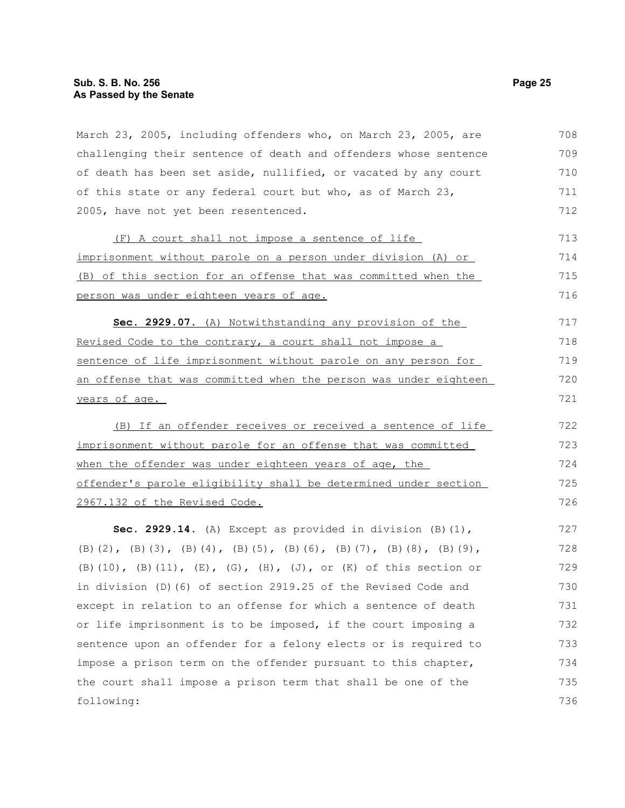March 23, 2005, including offenders who, on March 23, 2005, are challenging their sentence of death and offenders whose sentence of death has been set aside, nullified, or vacated by any court of this state or any federal court but who, as of March 23, 2005, have not yet been resentenced. 708 709 710 711 712

(F) A court shall not impose a sentence of life imprisonment without parole on a person under division (A) or (B) of this section for an offense that was committed when the person was under eighteen years of age. 713 714 715 716

 **Sec. 2929.07.** (A) Notwithstanding any provision of the Revised Code to the contrary, a court shall not impose a sentence of life imprisonment without parole on any person for an offense that was committed when the person was under eighteen years of age. 717 718 719 720 721

(B) If an offender receives or received a sentence of life imprisonment without parole for an offense that was committed when the offender was under eighteen years of age, the offender's parole eligibility shall be determined under section 2967.132 of the Revised Code. 722 723 724 725 726

**Sec. 2929.14.** (A) Except as provided in division (B)(1), (B)(2), (B)(3), (B)(4), (B)(5), (B)(6), (B)(7), (B)(8), (B)(9), (B)(10), (B)(11), (E), (G), (H), (J), or (K) of this section or in division (D)(6) of section 2919.25 of the Revised Code and except in relation to an offense for which a sentence of death or life imprisonment is to be imposed, if the court imposing a sentence upon an offender for a felony elects or is required to impose a prison term on the offender pursuant to this chapter, the court shall impose a prison term that shall be one of the following: 727 728 729 730 731 732 733 734 735 736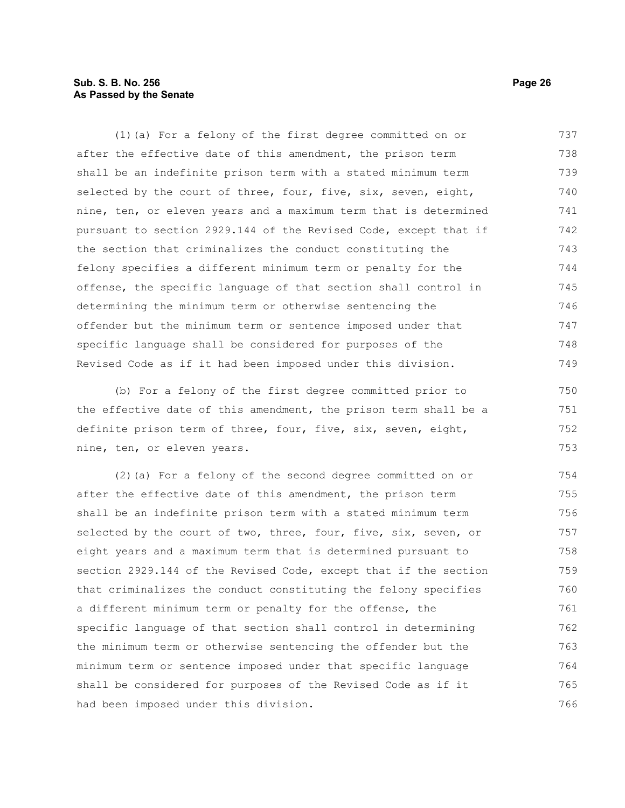#### **Sub. S. B. No. 256 Page 26 As Passed by the Senate**

(1)(a) For a felony of the first degree committed on or after the effective date of this amendment, the prison term shall be an indefinite prison term with a stated minimum term selected by the court of three, four, five, six, seven, eight, nine, ten, or eleven years and a maximum term that is determined pursuant to section 2929.144 of the Revised Code, except that if the section that criminalizes the conduct constituting the felony specifies a different minimum term or penalty for the offense, the specific language of that section shall control in determining the minimum term or otherwise sentencing the offender but the minimum term or sentence imposed under that specific language shall be considered for purposes of the Revised Code as if it had been imposed under this division. 737 738 739 740 741 742 743 744 745 746 747 748 749

(b) For a felony of the first degree committed prior to the effective date of this amendment, the prison term shall be a definite prison term of three, four, five, six, seven, eight, nine, ten, or eleven years. 750 751 752 753

(2)(a) For a felony of the second degree committed on or after the effective date of this amendment, the prison term shall be an indefinite prison term with a stated minimum term selected by the court of two, three, four, five, six, seven, or eight years and a maximum term that is determined pursuant to section 2929.144 of the Revised Code, except that if the section that criminalizes the conduct constituting the felony specifies a different minimum term or penalty for the offense, the specific language of that section shall control in determining the minimum term or otherwise sentencing the offender but the minimum term or sentence imposed under that specific language shall be considered for purposes of the Revised Code as if it had been imposed under this division. 754 755 756 757 758 759 760 761 762 763 764 765 766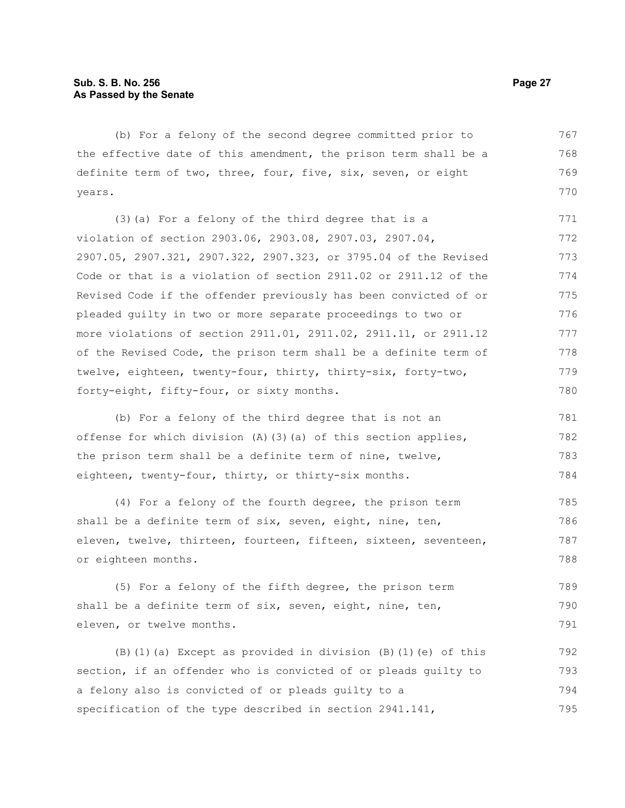(b) For a felony of the second degree committed prior to the effective date of this amendment, the prison term shall be a definite term of two, three, four, five, six, seven, or eight years. 767 768 769 770

(3)(a) For a felony of the third degree that is a violation of section 2903.06, 2903.08, 2907.03, 2907.04, 2907.05, 2907.321, 2907.322, 2907.323, or 3795.04 of the Revised Code or that is a violation of section 2911.02 or 2911.12 of the Revised Code if the offender previously has been convicted of or pleaded guilty in two or more separate proceedings to two or more violations of section 2911.01, 2911.02, 2911.11, or 2911.12 of the Revised Code, the prison term shall be a definite term of twelve, eighteen, twenty-four, thirty, thirty-six, forty-two, forty-eight, fifty-four, or sixty months.

(b) For a felony of the third degree that is not an offense for which division  $(A)$   $(3)$   $(a)$  of this section applies, the prison term shall be a definite term of nine, twelve, eighteen, twenty-four, thirty, or thirty-six months. 781 782 783 784

(4) For a felony of the fourth degree, the prison term shall be a definite term of six, seven, eight, nine, ten, eleven, twelve, thirteen, fourteen, fifteen, sixteen, seventeen, or eighteen months. 785 786 787 788

(5) For a felony of the fifth degree, the prison term shall be a definite term of six, seven, eight, nine, ten, eleven, or twelve months. 789 790 791

(B)(1)(a) Except as provided in division (B)(1)(e) of this section, if an offender who is convicted of or pleads guilty to a felony also is convicted of or pleads guilty to a specification of the type described in section 2941.141, 792 793 794 795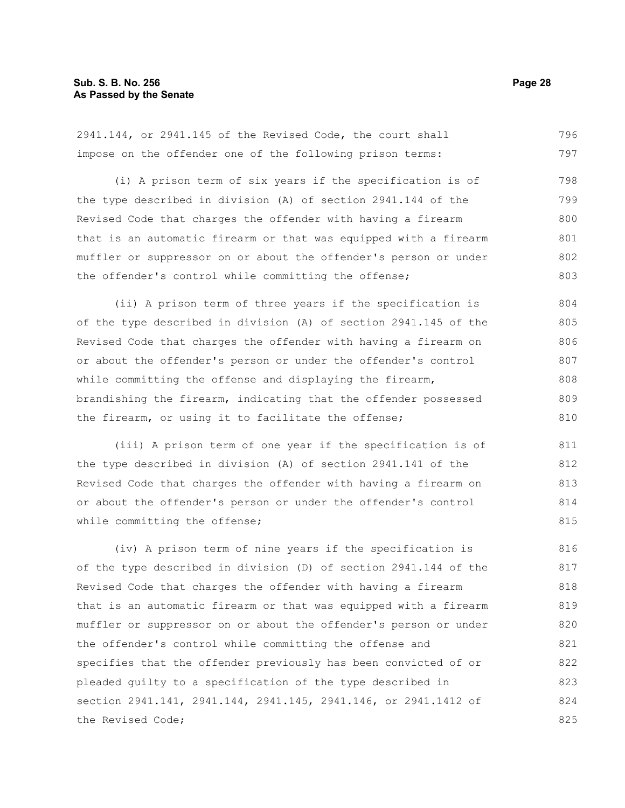| 2941.144, or 2941.145 of the Revised Code, the court shall       | 796 |
|------------------------------------------------------------------|-----|
| impose on the offender one of the following prison terms:        | 797 |
| (i) A prison term of six years if the specification is of        | 798 |
| the type described in division (A) of section 2941.144 of the    | 799 |
| Revised Code that charges the offender with having a firearm     | 800 |
| that is an automatic firearm or that was equipped with a firearm | 801 |
| muffler or suppressor on or about the offender's person or under | 802 |
| the offender's control while committing the offense;             | 803 |
| (ii) A prison term of three years if the specification is        | 804 |

of the type described in division (A) of section 2941.145 of the Revised Code that charges the offender with having a firearm on or about the offender's person or under the offender's control while committing the offense and displaying the firearm, brandishing the firearm, indicating that the offender possessed the firearm, or using it to facilitate the offense; 805 806 807 808 809 810

(iii) A prison term of one year if the specification is of the type described in division (A) of section 2941.141 of the Revised Code that charges the offender with having a firearm on or about the offender's person or under the offender's control while committing the offense; 811 812 813 814 815

(iv) A prison term of nine years if the specification is of the type described in division (D) of section 2941.144 of the Revised Code that charges the offender with having a firearm that is an automatic firearm or that was equipped with a firearm muffler or suppressor on or about the offender's person or under the offender's control while committing the offense and specifies that the offender previously has been convicted of or pleaded guilty to a specification of the type described in section 2941.141, 2941.144, 2941.145, 2941.146, or 2941.1412 of the Revised Code; 816 817 818 819 820 821 822 823 824 825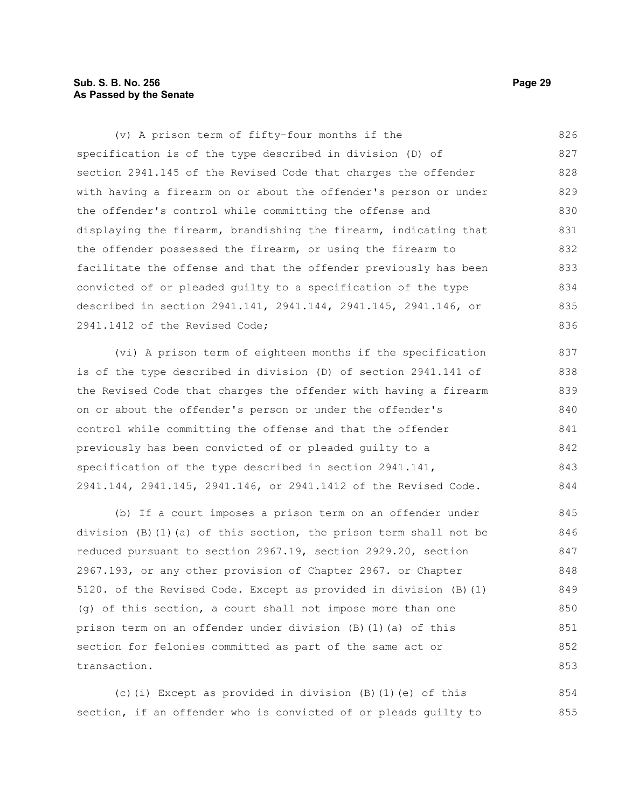#### **Sub. S. B. No. 256 Page 29 As Passed by the Senate**

(v) A prison term of fifty-four months if the specification is of the type described in division (D) of section 2941.145 of the Revised Code that charges the offender with having a firearm on or about the offender's person or under the offender's control while committing the offense and displaying the firearm, brandishing the firearm, indicating that the offender possessed the firearm, or using the firearm to facilitate the offense and that the offender previously has been convicted of or pleaded guilty to a specification of the type described in section 2941.141, 2941.144, 2941.145, 2941.146, or 2941.1412 of the Revised Code; 826 827 828 829 830 831 832 833 834 835 836

(vi) A prison term of eighteen months if the specification is of the type described in division (D) of section 2941.141 of the Revised Code that charges the offender with having a firearm on or about the offender's person or under the offender's control while committing the offense and that the offender previously has been convicted of or pleaded guilty to a specification of the type described in section 2941.141, 2941.144, 2941.145, 2941.146, or 2941.1412 of the Revised Code. 837 838 839 840 841 842 843 844

(b) If a court imposes a prison term on an offender under division (B)(1)(a) of this section, the prison term shall not be reduced pursuant to section 2967.19, section 2929.20, section 2967.193, or any other provision of Chapter 2967. or Chapter 5120. of the Revised Code. Except as provided in division (B)(1) (g) of this section, a court shall not impose more than one prison term on an offender under division (B)(1)(a) of this section for felonies committed as part of the same act or transaction. 845 846 847 848 849 850 851 852 853

(c)(i) Except as provided in division (B)(1)(e) of this section, if an offender who is convicted of or pleads guilty to 854 855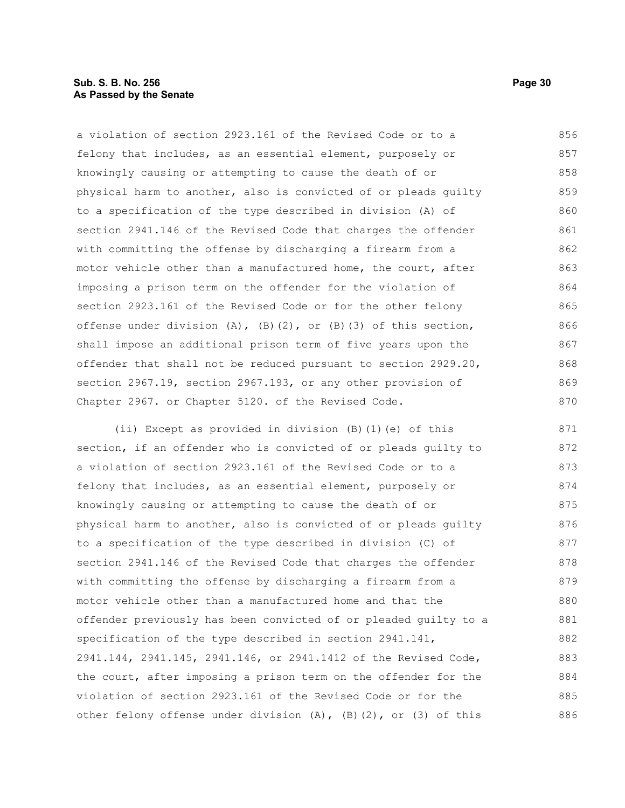#### **Sub. S. B. No. 256 Page 30 As Passed by the Senate**

a violation of section 2923.161 of the Revised Code or to a felony that includes, as an essential element, purposely or knowingly causing or attempting to cause the death of or physical harm to another, also is convicted of or pleads guilty to a specification of the type described in division (A) of section 2941.146 of the Revised Code that charges the offender with committing the offense by discharging a firearm from a motor vehicle other than a manufactured home, the court, after imposing a prison term on the offender for the violation of section 2923.161 of the Revised Code or for the other felony offense under division  $(A)$ ,  $(B)$   $(2)$ , or  $(B)$   $(3)$  of this section, shall impose an additional prison term of five years upon the offender that shall not be reduced pursuant to section 2929.20, section 2967.19, section 2967.193, or any other provision of Chapter 2967. or Chapter 5120. of the Revised Code. 856 857 858 859 860 861 862 863 864 865 866 867 868 869 870

(ii) Except as provided in division (B)(1)(e) of this section, if an offender who is convicted of or pleads guilty to a violation of section 2923.161 of the Revised Code or to a felony that includes, as an essential element, purposely or knowingly causing or attempting to cause the death of or physical harm to another, also is convicted of or pleads guilty to a specification of the type described in division (C) of section 2941.146 of the Revised Code that charges the offender with committing the offense by discharging a firearm from a motor vehicle other than a manufactured home and that the offender previously has been convicted of or pleaded guilty to a specification of the type described in section 2941.141, 2941.144, 2941.145, 2941.146, or 2941.1412 of the Revised Code, the court, after imposing a prison term on the offender for the violation of section 2923.161 of the Revised Code or for the other felony offense under division  $(A)$ ,  $(B)$   $(2)$ , or  $(3)$  of this 871 872 873 874 875 876 877 878 879 880 881 882 883 884 885 886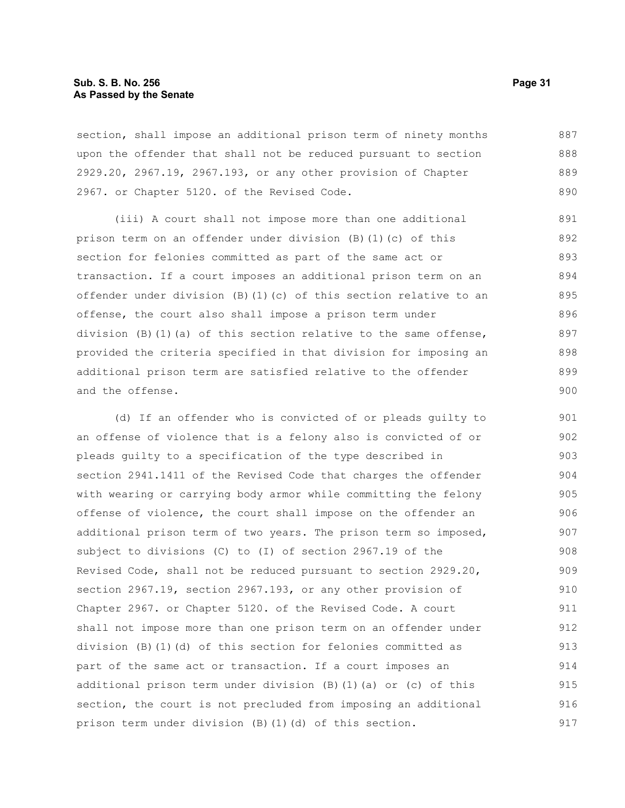section, shall impose an additional prison term of ninety months upon the offender that shall not be reduced pursuant to section 2929.20, 2967.19, 2967.193, or any other provision of Chapter 2967. or Chapter 5120. of the Revised Code. 887 888 889 890

(iii) A court shall not impose more than one additional prison term on an offender under division (B)(1)(c) of this section for felonies committed as part of the same act or transaction. If a court imposes an additional prison term on an offender under division (B)(1)(c) of this section relative to an offense, the court also shall impose a prison term under division  $(B)$  (1)(a) of this section relative to the same offense, provided the criteria specified in that division for imposing an additional prison term are satisfied relative to the offender and the offense.

(d) If an offender who is convicted of or pleads guilty to an offense of violence that is a felony also is convicted of or pleads guilty to a specification of the type described in section 2941.1411 of the Revised Code that charges the offender with wearing or carrying body armor while committing the felony offense of violence, the court shall impose on the offender an additional prison term of two years. The prison term so imposed, subject to divisions (C) to (I) of section 2967.19 of the Revised Code, shall not be reduced pursuant to section 2929.20, section 2967.19, section 2967.193, or any other provision of Chapter 2967. or Chapter 5120. of the Revised Code. A court shall not impose more than one prison term on an offender under division (B)(1)(d) of this section for felonies committed as part of the same act or transaction. If a court imposes an additional prison term under division (B)(1)(a) or (c) of this section, the court is not precluded from imposing an additional prison term under division (B)(1)(d) of this section. 901 902 903 904 905 906 907 908 909 910 911 912 913 914 915 916 917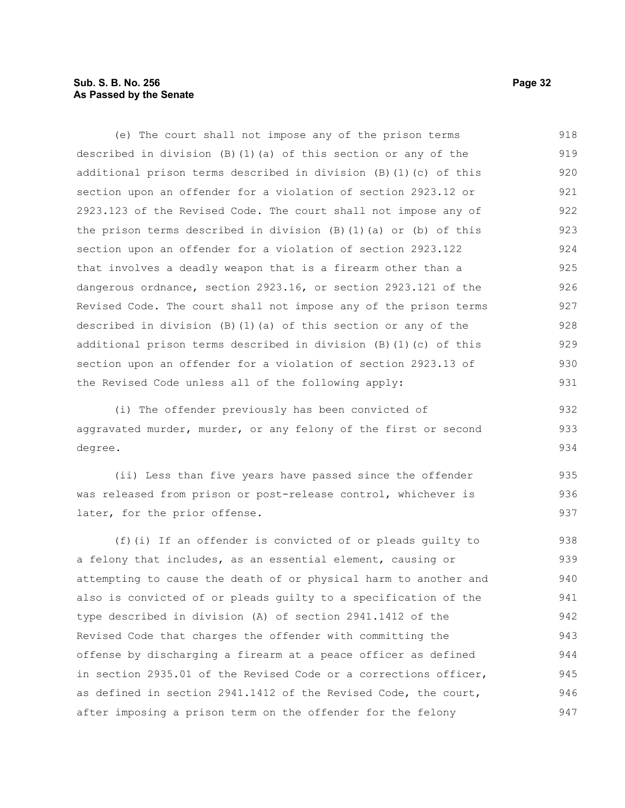#### **Sub. S. B. No. 256 Page 32 As Passed by the Senate**

(e) The court shall not impose any of the prison terms described in division (B)(1)(a) of this section or any of the additional prison terms described in division (B)(1)(c) of this section upon an offender for a violation of section 2923.12 or 2923.123 of the Revised Code. The court shall not impose any of the prison terms described in division (B)(1)(a) or (b) of this section upon an offender for a violation of section 2923.122 that involves a deadly weapon that is a firearm other than a dangerous ordnance, section 2923.16, or section 2923.121 of the Revised Code. The court shall not impose any of the prison terms described in division (B)(1)(a) of this section or any of the additional prison terms described in division (B)(1)(c) of this section upon an offender for a violation of section 2923.13 of the Revised Code unless all of the following apply: 918 919 920 921 922 923 924 925 926 927 928 929 930 931

(i) The offender previously has been convicted of aggravated murder, murder, or any felony of the first or second degree.

(ii) Less than five years have passed since the offender was released from prison or post-release control, whichever is later, for the prior offense. 935 936 937

(f)(i) If an offender is convicted of or pleads guilty to a felony that includes, as an essential element, causing or attempting to cause the death of or physical harm to another and also is convicted of or pleads guilty to a specification of the type described in division (A) of section 2941.1412 of the Revised Code that charges the offender with committing the offense by discharging a firearm at a peace officer as defined in section 2935.01 of the Revised Code or a corrections officer, as defined in section 2941.1412 of the Revised Code, the court, after imposing a prison term on the offender for the felony 938 939 940 941 942 943 944 945 946 947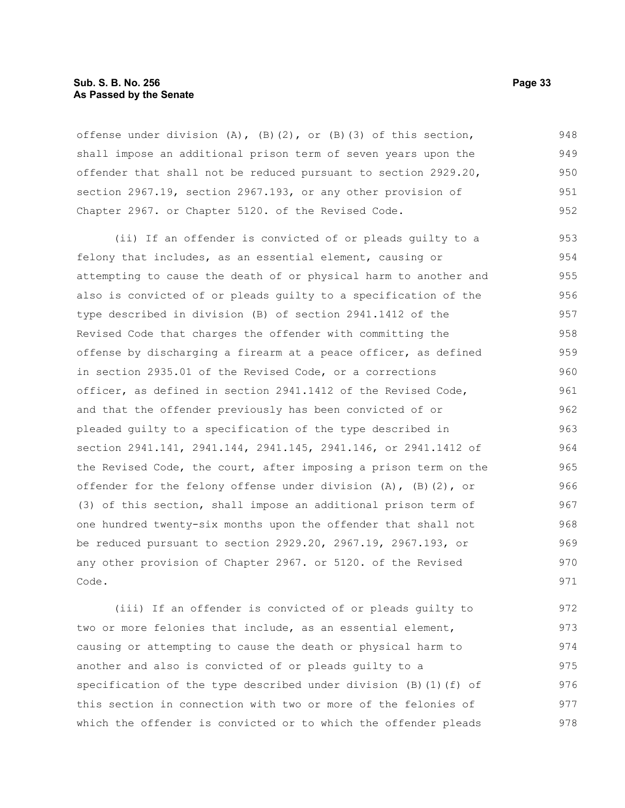#### **Sub. S. B. No. 256 Page 33 As Passed by the Senate**

offense under division  $(A)$ ,  $(B)$   $(2)$ , or  $(B)$   $(3)$  of this section, shall impose an additional prison term of seven years upon the offender that shall not be reduced pursuant to section 2929.20, section 2967.19, section 2967.193, or any other provision of Chapter 2967. or Chapter 5120. of the Revised Code. 948 949 950 951 952

(ii) If an offender is convicted of or pleads guilty to a felony that includes, as an essential element, causing or attempting to cause the death of or physical harm to another and also is convicted of or pleads guilty to a specification of the type described in division (B) of section 2941.1412 of the Revised Code that charges the offender with committing the offense by discharging a firearm at a peace officer, as defined in section 2935.01 of the Revised Code, or a corrections officer, as defined in section 2941.1412 of the Revised Code, and that the offender previously has been convicted of or pleaded guilty to a specification of the type described in section 2941.141, 2941.144, 2941.145, 2941.146, or 2941.1412 of the Revised Code, the court, after imposing a prison term on the offender for the felony offense under division (A), (B)(2), or (3) of this section, shall impose an additional prison term of one hundred twenty-six months upon the offender that shall not be reduced pursuant to section 2929.20, 2967.19, 2967.193, or any other provision of Chapter 2967. or 5120. of the Revised Code. 953 954 955 956 957 958 959 960 961 962 963 964 965 966 967 968 969 970 971

(iii) If an offender is convicted of or pleads guilty to two or more felonies that include, as an essential element, causing or attempting to cause the death or physical harm to another and also is convicted of or pleads guilty to a specification of the type described under division (B)(1)(f) of this section in connection with two or more of the felonies of which the offender is convicted or to which the offender pleads 972 973 974 975 976 977 978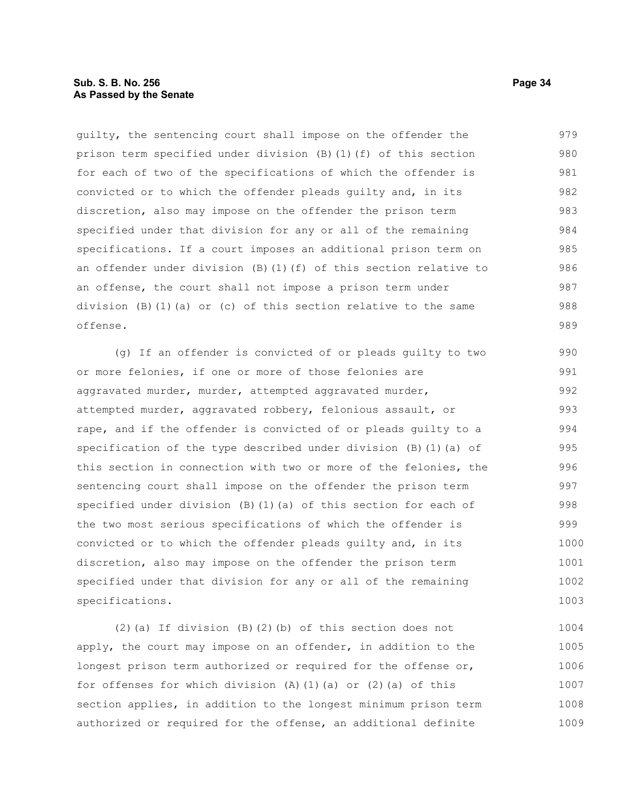#### **Sub. S. B. No. 256 Page 34 As Passed by the Senate**

guilty, the sentencing court shall impose on the offender the prison term specified under division (B)(1)(f) of this section for each of two of the specifications of which the offender is convicted or to which the offender pleads guilty and, in its discretion, also may impose on the offender the prison term specified under that division for any or all of the remaining specifications. If a court imposes an additional prison term on an offender under division  $(B)$  (1)(f) of this section relative to an offense, the court shall not impose a prison term under division  $(B)(1)(a)$  or  $(c)$  of this section relative to the same offense. 979 980 981 982 983 984 985 986 987 988 989

(g) If an offender is convicted of or pleads guilty to two or more felonies, if one or more of those felonies are aggravated murder, murder, attempted aggravated murder, attempted murder, aggravated robbery, felonious assault, or rape, and if the offender is convicted of or pleads guilty to a specification of the type described under division (B)(1)(a) of this section in connection with two or more of the felonies, the sentencing court shall impose on the offender the prison term specified under division (B)(1)(a) of this section for each of the two most serious specifications of which the offender is convicted or to which the offender pleads guilty and, in its discretion, also may impose on the offender the prison term specified under that division for any or all of the remaining specifications. 990 991 992 993 994 995 996 997 998 999 1000 1001 1002 1003

(2)(a) If division (B)(2)(b) of this section does not apply, the court may impose on an offender, in addition to the longest prison term authorized or required for the offense or, for offenses for which division (A)(1)(a) or (2)(a) of this section applies, in addition to the longest minimum prison term authorized or required for the offense, an additional definite 1004 1005 1006 1007 1008 1009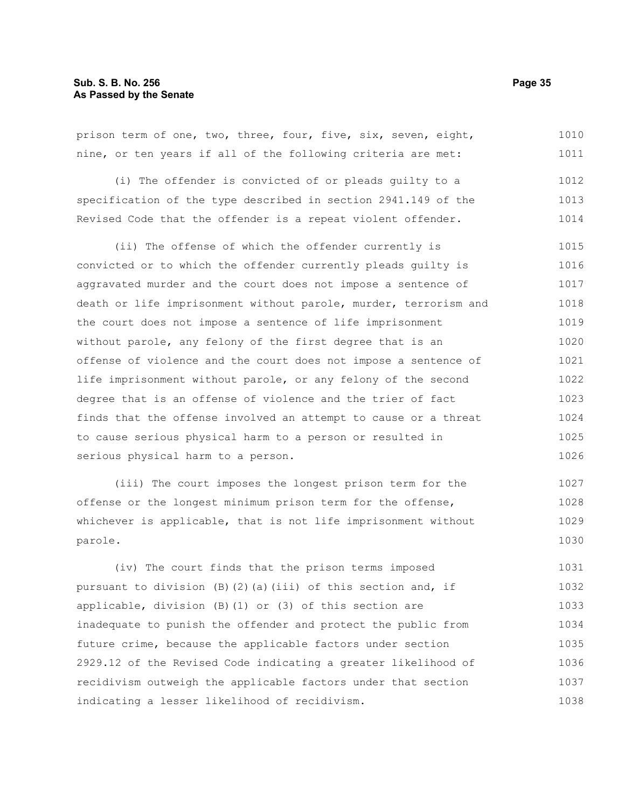prison term of one, two, three, four, five, six, seven, eight, nine, or ten years if all of the following criteria are met: 1010 1011

(i) The offender is convicted of or pleads guilty to a specification of the type described in section 2941.149 of the Revised Code that the offender is a repeat violent offender. 1012 1013 1014

(ii) The offense of which the offender currently is convicted or to which the offender currently pleads guilty is aggravated murder and the court does not impose a sentence of death or life imprisonment without parole, murder, terrorism and the court does not impose a sentence of life imprisonment without parole, any felony of the first degree that is an offense of violence and the court does not impose a sentence of life imprisonment without parole, or any felony of the second degree that is an offense of violence and the trier of fact finds that the offense involved an attempt to cause or a threat to cause serious physical harm to a person or resulted in serious physical harm to a person. 1015 1016 1017 1018 1019 1020 1021 1022 1023 1024 1025 1026

(iii) The court imposes the longest prison term for the offense or the longest minimum prison term for the offense, whichever is applicable, that is not life imprisonment without parole. 1027 1028 1029 1030

(iv) The court finds that the prison terms imposed pursuant to division (B)(2)(a)(iii) of this section and, if applicable, division (B)(1) or (3) of this section are inadequate to punish the offender and protect the public from future crime, because the applicable factors under section 2929.12 of the Revised Code indicating a greater likelihood of recidivism outweigh the applicable factors under that section indicating a lesser likelihood of recidivism. 1031 1032 1033 1034 1035 1036 1037 1038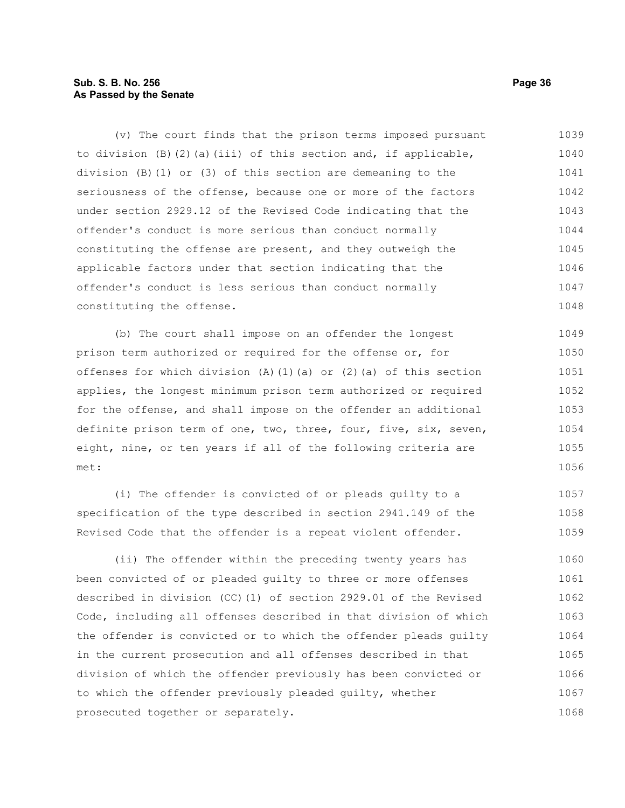#### **Sub. S. B. No. 256 Page 36 As Passed by the Senate**

(v) The court finds that the prison terms imposed pursuant to division  $(B)$   $(2)$   $(a)$   $(iii)$  of this section and, if applicable, division (B)(1) or (3) of this section are demeaning to the seriousness of the offense, because one or more of the factors under section 2929.12 of the Revised Code indicating that the offender's conduct is more serious than conduct normally constituting the offense are present, and they outweigh the applicable factors under that section indicating that the offender's conduct is less serious than conduct normally constituting the offense. 1039 1040 1041 1042 1043 1044 1045 1046 1047 1048

(b) The court shall impose on an offender the longest prison term authorized or required for the offense or, for offenses for which division  $(A)$   $(1)$   $(a)$  or  $(2)$   $(a)$  of this section applies, the longest minimum prison term authorized or required for the offense, and shall impose on the offender an additional definite prison term of one, two, three, four, five, six, seven, eight, nine, or ten years if all of the following criteria are met: 1049 1050 1051 1052 1053 1054 1055 1056

(i) The offender is convicted of or pleads guilty to a specification of the type described in section 2941.149 of the Revised Code that the offender is a repeat violent offender. 1057 1058 1059

(ii) The offender within the preceding twenty years has been convicted of or pleaded guilty to three or more offenses described in division (CC)(1) of section 2929.01 of the Revised Code, including all offenses described in that division of which the offender is convicted or to which the offender pleads guilty in the current prosecution and all offenses described in that division of which the offender previously has been convicted or to which the offender previously pleaded guilty, whether prosecuted together or separately. 1060 1061 1062 1063 1064 1065 1066 1067 1068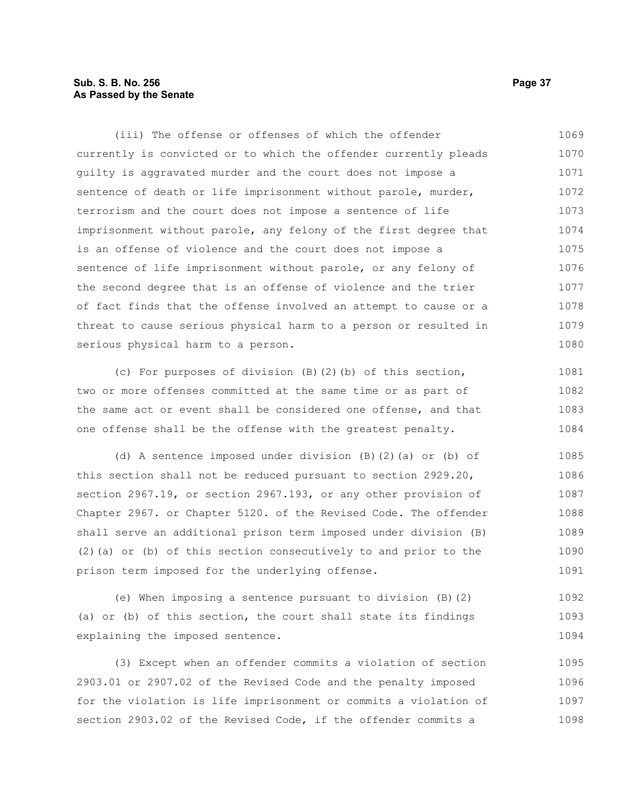# **Sub. S. B. No. 256 Page 37 As Passed by the Senate**

(iii) The offense or offenses of which the offender currently is convicted or to which the offender currently pleads guilty is aggravated murder and the court does not impose a sentence of death or life imprisonment without parole, murder, terrorism and the court does not impose a sentence of life imprisonment without parole, any felony of the first degree that is an offense of violence and the court does not impose a sentence of life imprisonment without parole, or any felony of the second degree that is an offense of violence and the trier of fact finds that the offense involved an attempt to cause or a threat to cause serious physical harm to a person or resulted in serious physical harm to a person. 1069 1070 1071 1072 1073 1074 1075 1076 1077 1078 1079 1080

(c) For purposes of division (B)(2)(b) of this section, two or more offenses committed at the same time or as part of the same act or event shall be considered one offense, and that one offense shall be the offense with the greatest penalty. 1081 1082 1083 1084

(d) A sentence imposed under division (B)(2)(a) or (b) of this section shall not be reduced pursuant to section 2929.20, section 2967.19, or section 2967.193, or any other provision of Chapter 2967. or Chapter 5120. of the Revised Code. The offender shall serve an additional prison term imposed under division (B) (2)(a) or (b) of this section consecutively to and prior to the prison term imposed for the underlying offense. 1085 1086 1087 1088 1089 1090 1091

(e) When imposing a sentence pursuant to division (B)(2) (a) or (b) of this section, the court shall state its findings explaining the imposed sentence. 1092 1093 1094

(3) Except when an offender commits a violation of section 2903.01 or 2907.02 of the Revised Code and the penalty imposed for the violation is life imprisonment or commits a violation of section 2903.02 of the Revised Code, if the offender commits a 1095 1096 1097 1098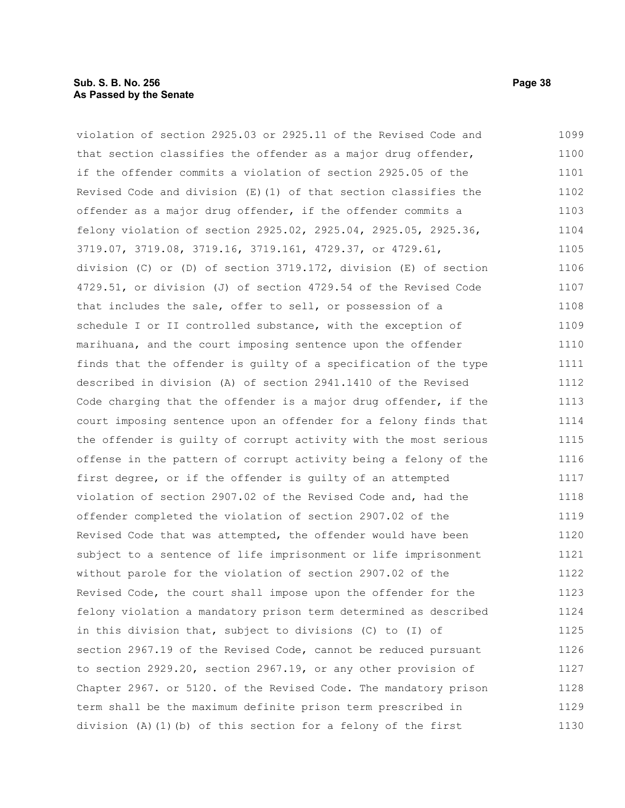violation of section 2925.03 or 2925.11 of the Revised Code and that section classifies the offender as a major drug offender, if the offender commits a violation of section 2925.05 of the Revised Code and division  $(E)$  (1) of that section classifies the offender as a major drug offender, if the offender commits a felony violation of section 2925.02, 2925.04, 2925.05, 2925.36, 3719.07, 3719.08, 3719.16, 3719.161, 4729.37, or 4729.61, division (C) or (D) of section 3719.172, division (E) of section 4729.51, or division (J) of section 4729.54 of the Revised Code that includes the sale, offer to sell, or possession of a schedule I or II controlled substance, with the exception of marihuana, and the court imposing sentence upon the offender finds that the offender is guilty of a specification of the type described in division (A) of section 2941.1410 of the Revised Code charging that the offender is a major drug offender, if the court imposing sentence upon an offender for a felony finds that the offender is guilty of corrupt activity with the most serious offense in the pattern of corrupt activity being a felony of the first degree, or if the offender is guilty of an attempted violation of section 2907.02 of the Revised Code and, had the offender completed the violation of section 2907.02 of the Revised Code that was attempted, the offender would have been subject to a sentence of life imprisonment or life imprisonment without parole for the violation of section 2907.02 of the Revised Code, the court shall impose upon the offender for the felony violation a mandatory prison term determined as described in this division that, subject to divisions (C) to (I) of section 2967.19 of the Revised Code, cannot be reduced pursuant to section 2929.20, section 2967.19, or any other provision of Chapter 2967. or 5120. of the Revised Code. The mandatory prison term shall be the maximum definite prison term prescribed in division (A)(1)(b) of this section for a felony of the first 1099 1100 1101 1102 1103 1104 1105 1106 1107 1108 1109 1110 1111 1112 1113 1114 1115 1116 1117 1118 1119 1120 1121 1122 1123 1124 1125 1126 1127 1128 1129 1130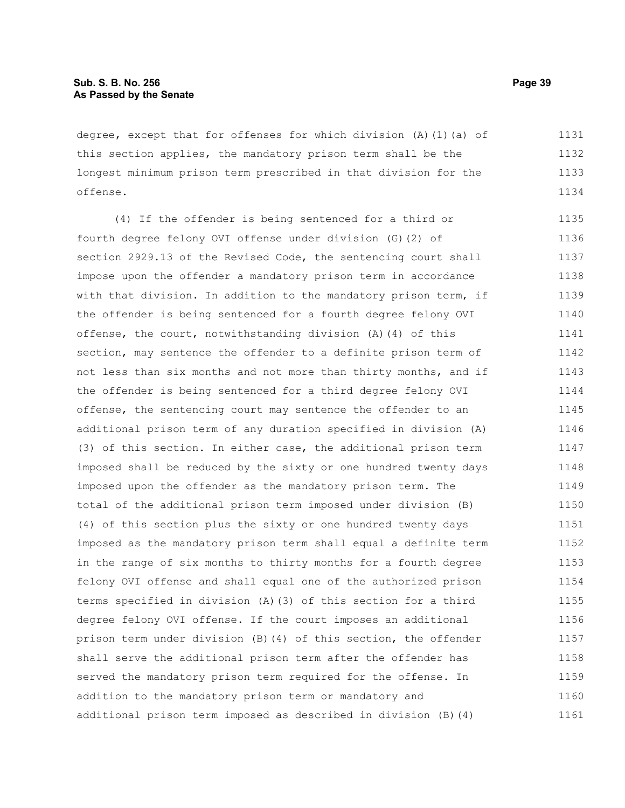degree, except that for offenses for which division (A)(1)(a) of this section applies, the mandatory prison term shall be the longest minimum prison term prescribed in that division for the offense. 1131 1132 1133 1134

(4) If the offender is being sentenced for a third or fourth degree felony OVI offense under division (G)(2) of section 2929.13 of the Revised Code, the sentencing court shall impose upon the offender a mandatory prison term in accordance with that division. In addition to the mandatory prison term, if the offender is being sentenced for a fourth degree felony OVI offense, the court, notwithstanding division (A)(4) of this section, may sentence the offender to a definite prison term of not less than six months and not more than thirty months, and if the offender is being sentenced for a third degree felony OVI offense, the sentencing court may sentence the offender to an additional prison term of any duration specified in division (A) (3) of this section. In either case, the additional prison term imposed shall be reduced by the sixty or one hundred twenty days imposed upon the offender as the mandatory prison term. The total of the additional prison term imposed under division (B) (4) of this section plus the sixty or one hundred twenty days imposed as the mandatory prison term shall equal a definite term in the range of six months to thirty months for a fourth degree felony OVI offense and shall equal one of the authorized prison terms specified in division (A)(3) of this section for a third degree felony OVI offense. If the court imposes an additional prison term under division (B)(4) of this section, the offender shall serve the additional prison term after the offender has served the mandatory prison term required for the offense. In addition to the mandatory prison term or mandatory and additional prison term imposed as described in division (B)(4) 1135 1136 1137 1138 1139 1140 1141 1142 1143 1144 1145 1146 1147 1148 1149 1150 1151 1152 1153 1154 1155 1156 1157 1158 1159 1160 1161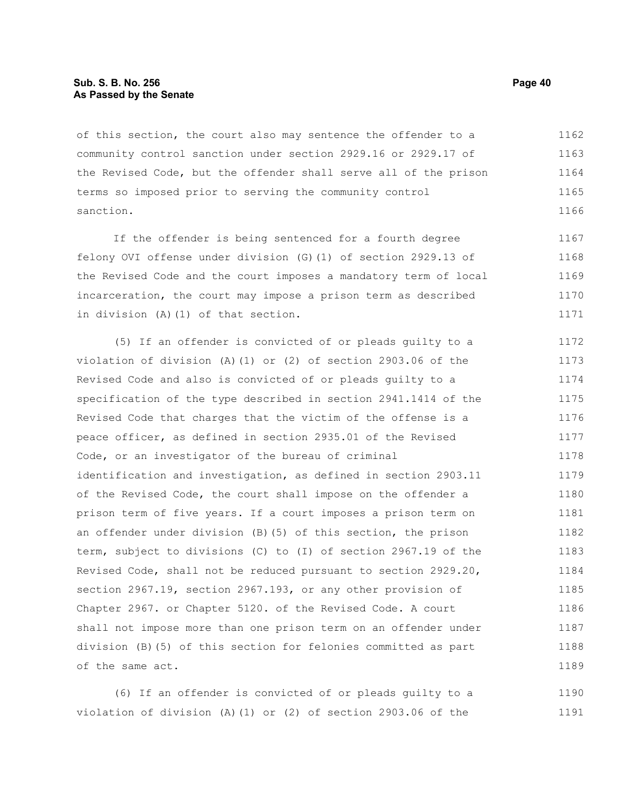## **Sub. S. B. No. 256 Page 40 As Passed by the Senate**

of this section, the court also may sentence the offender to a community control sanction under section 2929.16 or 2929.17 of the Revised Code, but the offender shall serve all of the prison terms so imposed prior to serving the community control sanction. 1162 1163 1164 1165 1166

If the offender is being sentenced for a fourth degree felony OVI offense under division (G)(1) of section 2929.13 of the Revised Code and the court imposes a mandatory term of local incarceration, the court may impose a prison term as described in division (A)(1) of that section. 1167 1168 1169 1170 1171

(5) If an offender is convicted of or pleads guilty to a violation of division (A)(1) or (2) of section 2903.06 of the Revised Code and also is convicted of or pleads guilty to a specification of the type described in section 2941.1414 of the Revised Code that charges that the victim of the offense is a peace officer, as defined in section 2935.01 of the Revised Code, or an investigator of the bureau of criminal identification and investigation, as defined in section 2903.11 of the Revised Code, the court shall impose on the offender a prison term of five years. If a court imposes a prison term on an offender under division (B)(5) of this section, the prison term, subject to divisions (C) to (I) of section 2967.19 of the Revised Code, shall not be reduced pursuant to section 2929.20, section 2967.19, section 2967.193, or any other provision of Chapter 2967. or Chapter 5120. of the Revised Code. A court shall not impose more than one prison term on an offender under division (B)(5) of this section for felonies committed as part of the same act. 1172 1173 1174 1175 1176 1177 1178 1179 1180 1181 1182 1183 1184 1185 1186 1187 1188 1189

(6) If an offender is convicted of or pleads guilty to a violation of division (A)(1) or (2) of section 2903.06 of the 1190 1191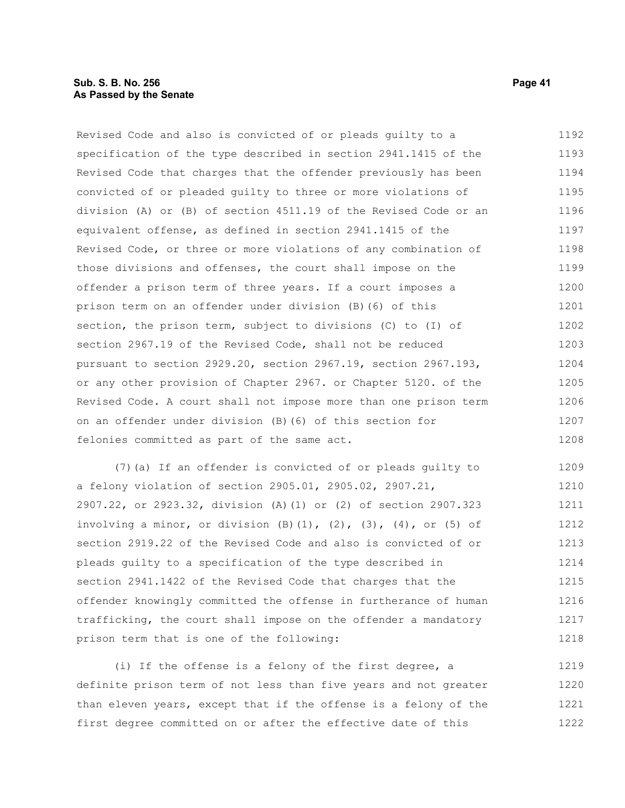### **Sub. S. B. No. 256 Page 41 As Passed by the Senate**

Revised Code and also is convicted of or pleads guilty to a specification of the type described in section 2941.1415 of the Revised Code that charges that the offender previously has been convicted of or pleaded guilty to three or more violations of division (A) or (B) of section 4511.19 of the Revised Code or an equivalent offense, as defined in section 2941.1415 of the Revised Code, or three or more violations of any combination of those divisions and offenses, the court shall impose on the offender a prison term of three years. If a court imposes a prison term on an offender under division (B)(6) of this section, the prison term, subject to divisions (C) to (I) of section 2967.19 of the Revised Code, shall not be reduced pursuant to section 2929.20, section 2967.19, section 2967.193, or any other provision of Chapter 2967. or Chapter 5120. of the Revised Code. A court shall not impose more than one prison term on an offender under division (B)(6) of this section for felonies committed as part of the same act. 1192 1193 1194 1195 1196 1197 1198 1199 1200 1201 1202 1203 1204 1205 1206 1207 1208

(7)(a) If an offender is convicted of or pleads guilty to a felony violation of section 2905.01, 2905.02, 2907.21, 2907.22, or 2923.32, division (A)(1) or (2) of section 2907.323 involving a minor, or division  $(B)$   $(1)$ ,  $(2)$ ,  $(3)$ ,  $(4)$ , or  $(5)$  of section 2919.22 of the Revised Code and also is convicted of or pleads guilty to a specification of the type described in section 2941.1422 of the Revised Code that charges that the offender knowingly committed the offense in furtherance of human trafficking, the court shall impose on the offender a mandatory prison term that is one of the following: 1209 1210 1211 1212 1213 1214 1215 1216 1217 1218

(i) If the offense is a felony of the first degree, a definite prison term of not less than five years and not greater than eleven years, except that if the offense is a felony of the first degree committed on or after the effective date of this 1219 1220 1221 1222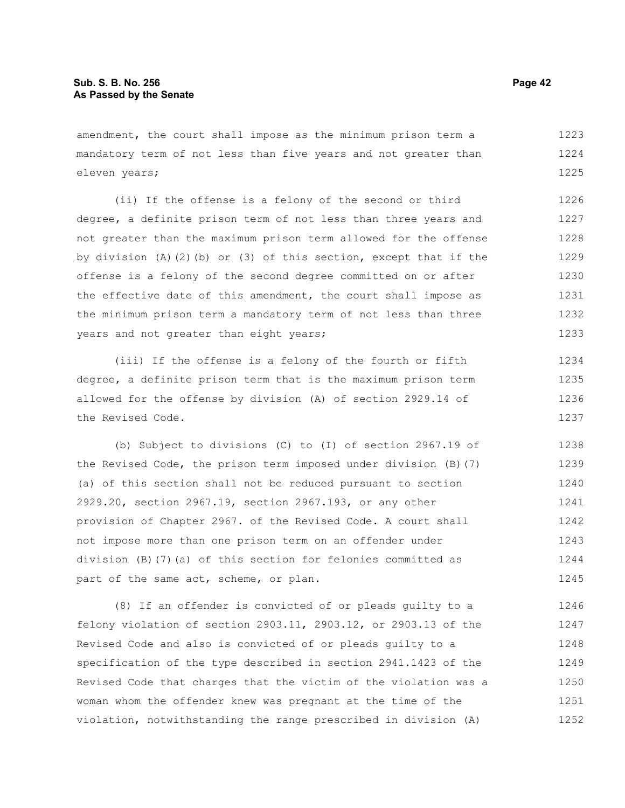amendment, the court shall impose as the minimum prison term a mandatory term of not less than five years and not greater than eleven years; 1223 1224 1225

(ii) If the offense is a felony of the second or third degree, a definite prison term of not less than three years and not greater than the maximum prison term allowed for the offense by division  $(A)$   $(2)$   $(b)$  or  $(3)$  of this section, except that if the offense is a felony of the second degree committed on or after the effective date of this amendment, the court shall impose as the minimum prison term a mandatory term of not less than three years and not greater than eight years; 1226 1227 1228 1229 1230 1231 1232 1233

(iii) If the offense is a felony of the fourth or fifth degree, a definite prison term that is the maximum prison term allowed for the offense by division (A) of section 2929.14 of the Revised Code. 1234 1235 1236 1237

(b) Subject to divisions (C) to (I) of section 2967.19 of the Revised Code, the prison term imposed under division (B)(7) (a) of this section shall not be reduced pursuant to section 2929.20, section 2967.19, section 2967.193, or any other provision of Chapter 2967. of the Revised Code. A court shall not impose more than one prison term on an offender under division (B)(7)(a) of this section for felonies committed as part of the same act, scheme, or plan. 1238 1239 1240 1241 1242 1243 1244 1245

(8) If an offender is convicted of or pleads guilty to a felony violation of section 2903.11, 2903.12, or 2903.13 of the Revised Code and also is convicted of or pleads guilty to a specification of the type described in section 2941.1423 of the Revised Code that charges that the victim of the violation was a woman whom the offender knew was pregnant at the time of the violation, notwithstanding the range prescribed in division (A) 1246 1247 1248 1249 1250 1251 1252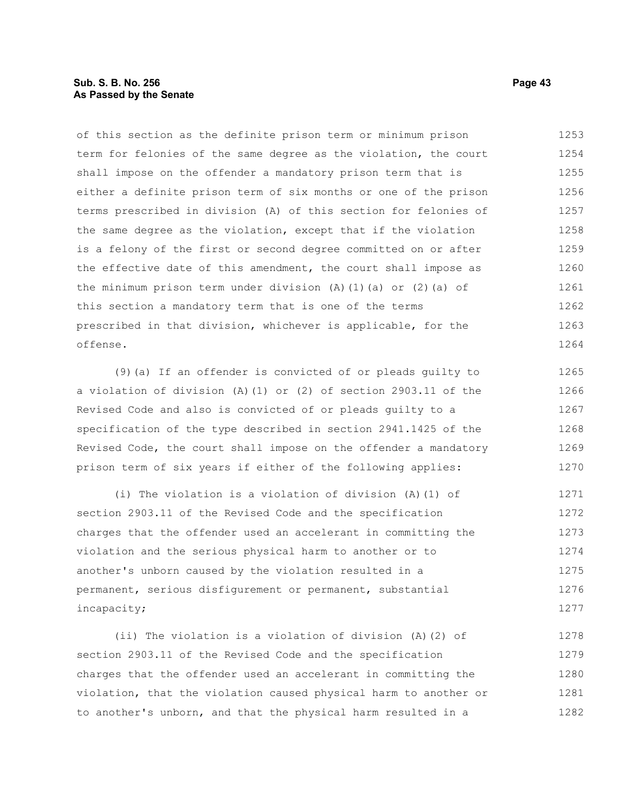## **Sub. S. B. No. 256 Page 43 As Passed by the Senate**

of this section as the definite prison term or minimum prison term for felonies of the same degree as the violation, the court shall impose on the offender a mandatory prison term that is either a definite prison term of six months or one of the prison terms prescribed in division (A) of this section for felonies of the same degree as the violation, except that if the violation is a felony of the first or second degree committed on or after the effective date of this amendment, the court shall impose as the minimum prison term under division (A)(1)(a) or (2)(a) of this section a mandatory term that is one of the terms prescribed in that division, whichever is applicable, for the offense. 1253 1254 1255 1256 1257 1258 1259 1260 1261 1262 1263 1264

(9)(a) If an offender is convicted of or pleads guilty to a violation of division (A)(1) or (2) of section 2903.11 of the Revised Code and also is convicted of or pleads guilty to a specification of the type described in section 2941.1425 of the Revised Code, the court shall impose on the offender a mandatory prison term of six years if either of the following applies: 1265 1266 1267 1268 1269 1270

(i) The violation is a violation of division (A)(1) of section 2903.11 of the Revised Code and the specification charges that the offender used an accelerant in committing the violation and the serious physical harm to another or to another's unborn caused by the violation resulted in a permanent, serious disfigurement or permanent, substantial incapacity; 1271 1272 1273 1274 1275 1276 1277

(ii) The violation is a violation of division (A)(2) of section 2903.11 of the Revised Code and the specification charges that the offender used an accelerant in committing the violation, that the violation caused physical harm to another or to another's unborn, and that the physical harm resulted in a 1278 1279 1280 1281 1282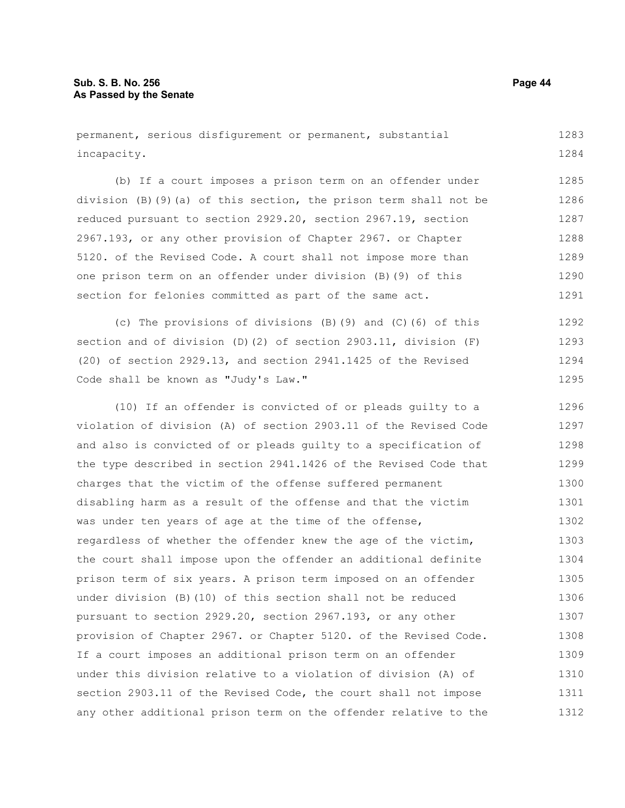permanent, serious disfigurement or permanent, substantial incapacity. 1283 1284

(b) If a court imposes a prison term on an offender under division (B)(9)(a) of this section, the prison term shall not be reduced pursuant to section 2929.20, section 2967.19, section 2967.193, or any other provision of Chapter 2967. or Chapter 5120. of the Revised Code. A court shall not impose more than one prison term on an offender under division (B)(9) of this section for felonies committed as part of the same act. 1285 1286 1287 1288 1289 1290 1291

(c) The provisions of divisions (B)(9) and (C)(6) of this section and of division (D)(2) of section 2903.11, division (F) (20) of section 2929.13, and section 2941.1425 of the Revised Code shall be known as "Judy's Law." 1292 1293 1294 1295

(10) If an offender is convicted of or pleads guilty to a violation of division (A) of section 2903.11 of the Revised Code and also is convicted of or pleads guilty to a specification of the type described in section 2941.1426 of the Revised Code that charges that the victim of the offense suffered permanent disabling harm as a result of the offense and that the victim was under ten years of age at the time of the offense, regardless of whether the offender knew the age of the victim, the court shall impose upon the offender an additional definite prison term of six years. A prison term imposed on an offender under division (B)(10) of this section shall not be reduced pursuant to section 2929.20, section 2967.193, or any other provision of Chapter 2967. or Chapter 5120. of the Revised Code. If a court imposes an additional prison term on an offender under this division relative to a violation of division (A) of section 2903.11 of the Revised Code, the court shall not impose any other additional prison term on the offender relative to the 1296 1297 1298 1299 1300 1301 1302 1303 1304 1305 1306 1307 1308 1309 1310 1311 1312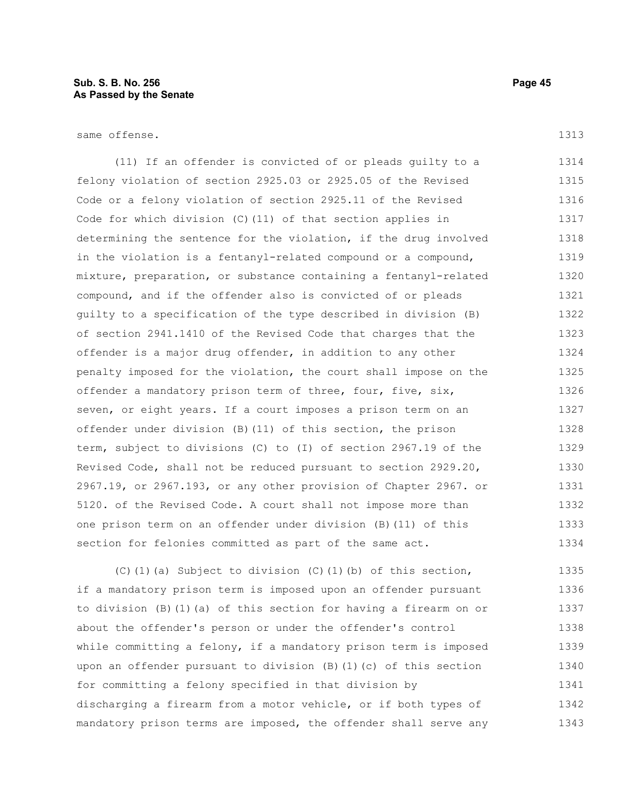(11) If an offender is convicted of or pleads guilty to a felony violation of section 2925.03 or 2925.05 of the Revised Code or a felony violation of section 2925.11 of the Revised Code for which division (C)(11) of that section applies in determining the sentence for the violation, if the drug involved in the violation is a fentanyl-related compound or a compound, mixture, preparation, or substance containing a fentanyl-related compound, and if the offender also is convicted of or pleads guilty to a specification of the type described in division (B) of section 2941.1410 of the Revised Code that charges that the offender is a major drug offender, in addition to any other penalty imposed for the violation, the court shall impose on the offender a mandatory prison term of three, four, five, six, seven, or eight years. If a court imposes a prison term on an offender under division (B)(11) of this section, the prison term, subject to divisions (C) to (I) of section 2967.19 of the Revised Code, shall not be reduced pursuant to section 2929.20, 2967.19, or 2967.193, or any other provision of Chapter 2967. or 5120. of the Revised Code. A court shall not impose more than one prison term on an offender under division (B)(11) of this section for felonies committed as part of the same act. 1314 1315 1316 1317 1318 1319 1320 1321 1322 1323 1324 1325 1326 1327 1328 1329 1330 1331 1332 1333 1334

(C)(1)(a) Subject to division (C)(1)(b) of this section, if a mandatory prison term is imposed upon an offender pursuant to division (B)(1)(a) of this section for having a firearm on or about the offender's person or under the offender's control while committing a felony, if a mandatory prison term is imposed upon an offender pursuant to division (B)(1)(c) of this section for committing a felony specified in that division by discharging a firearm from a motor vehicle, or if both types of mandatory prison terms are imposed, the offender shall serve any 1335 1336 1337 1338 1339 1340 1341 1342 1343

1313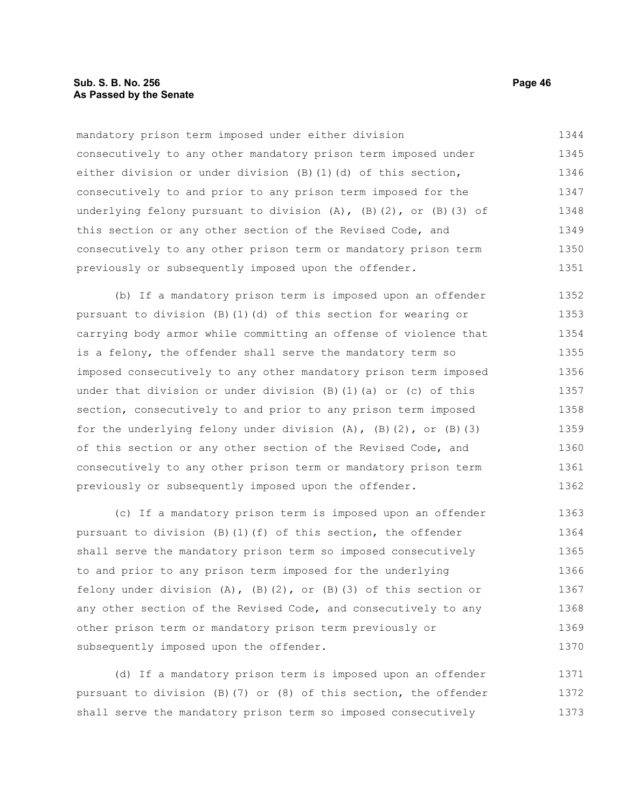mandatory prison term imposed under either division consecutively to any other mandatory prison term imposed under either division or under division (B)(1)(d) of this section, consecutively to and prior to any prison term imposed for the underlying felony pursuant to division  $(A)$ ,  $(B)$   $(2)$ , or  $(B)$   $(3)$  of this section or any other section of the Revised Code, and consecutively to any other prison term or mandatory prison term previously or subsequently imposed upon the offender. 1344 1345 1346 1347 1348 1349 1350 1351

(b) If a mandatory prison term is imposed upon an offender pursuant to division (B)(1)(d) of this section for wearing or carrying body armor while committing an offense of violence that is a felony, the offender shall serve the mandatory term so imposed consecutively to any other mandatory prison term imposed under that division or under division (B)(1)(a) or (c) of this section, consecutively to and prior to any prison term imposed for the underlying felony under division (A), (B)(2), or (B)(3) of this section or any other section of the Revised Code, and consecutively to any other prison term or mandatory prison term previously or subsequently imposed upon the offender. 1352 1353 1354 1355 1356 1357 1358 1359 1360 1361 1362

(c) If a mandatory prison term is imposed upon an offender pursuant to division (B)(1)(f) of this section, the offender shall serve the mandatory prison term so imposed consecutively to and prior to any prison term imposed for the underlying felony under division  $(A)$ ,  $(B)$   $(2)$ , or  $(B)$   $(3)$  of this section or any other section of the Revised Code, and consecutively to any other prison term or mandatory prison term previously or subsequently imposed upon the offender. 1363 1364 1365 1366 1367 1368 1369 1370

(d) If a mandatory prison term is imposed upon an offender pursuant to division (B)(7) or (8) of this section, the offender shall serve the mandatory prison term so imposed consecutively 1371 1372 1373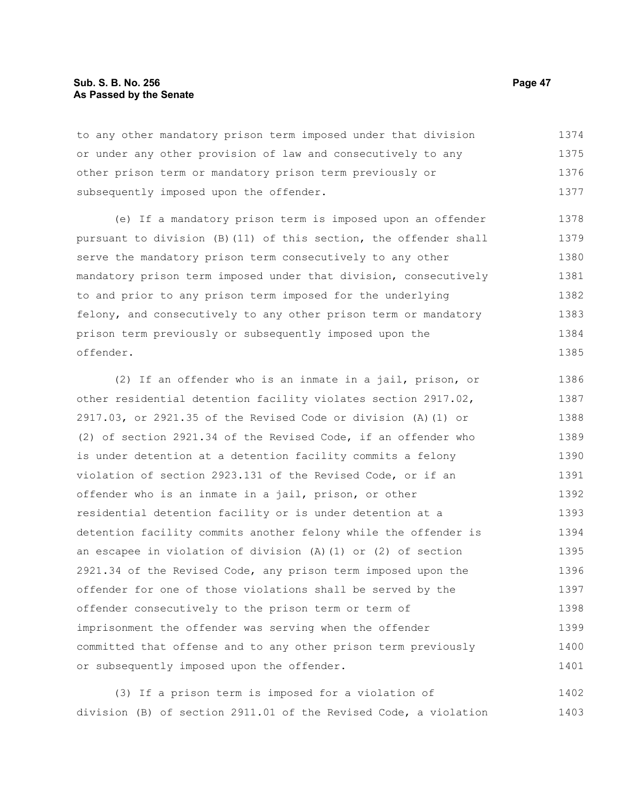### **Sub. S. B. No. 256 Page 47 As Passed by the Senate**

to any other mandatory prison term imposed under that division or under any other provision of law and consecutively to any other prison term or mandatory prison term previously or subsequently imposed upon the offender. 1374 1375 1376 1377

(e) If a mandatory prison term is imposed upon an offender pursuant to division (B)(11) of this section, the offender shall serve the mandatory prison term consecutively to any other mandatory prison term imposed under that division, consecutively to and prior to any prison term imposed for the underlying felony, and consecutively to any other prison term or mandatory prison term previously or subsequently imposed upon the offender. 1378 1379 1380 1381 1382 1383 1384 1385

(2) If an offender who is an inmate in a jail, prison, or other residential detention facility violates section 2917.02, 2917.03, or 2921.35 of the Revised Code or division (A)(1) or (2) of section 2921.34 of the Revised Code, if an offender who is under detention at a detention facility commits a felony violation of section 2923.131 of the Revised Code, or if an offender who is an inmate in a jail, prison, or other residential detention facility or is under detention at a detention facility commits another felony while the offender is an escapee in violation of division (A)(1) or (2) of section 2921.34 of the Revised Code, any prison term imposed upon the offender for one of those violations shall be served by the offender consecutively to the prison term or term of imprisonment the offender was serving when the offender committed that offense and to any other prison term previously or subsequently imposed upon the offender. 1386 1387 1388 1389 1390 1391 1392 1393 1394 1395 1396 1397 1398 1399 1400 1401

(3) If a prison term is imposed for a violation of division (B) of section 2911.01 of the Revised Code, a violation 1402 1403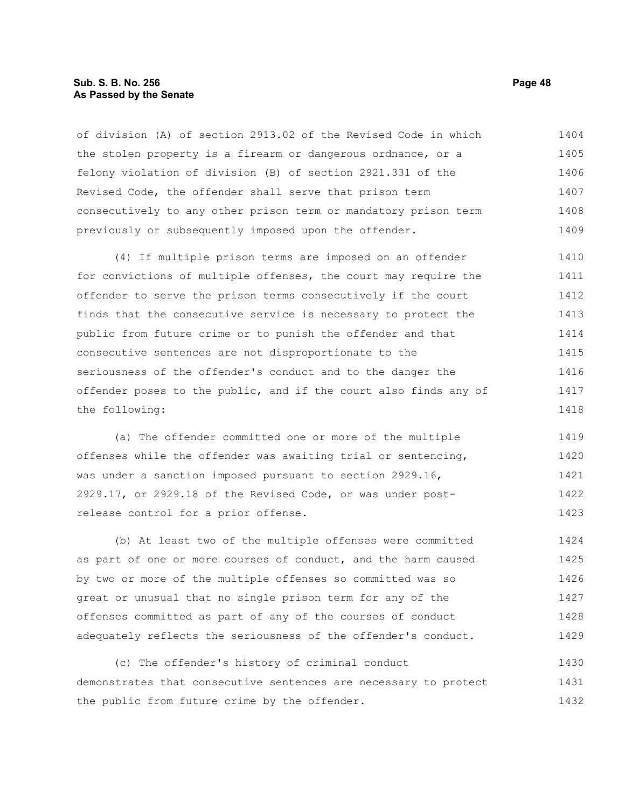### **Sub. S. B. No. 256 Page 48 As Passed by the Senate**

of division (A) of section 2913.02 of the Revised Code in which the stolen property is a firearm or dangerous ordnance, or a felony violation of division (B) of section 2921.331 of the Revised Code, the offender shall serve that prison term consecutively to any other prison term or mandatory prison term previously or subsequently imposed upon the offender. 1404 1405 1406 1407 1408 1409

(4) If multiple prison terms are imposed on an offender for convictions of multiple offenses, the court may require the offender to serve the prison terms consecutively if the court finds that the consecutive service is necessary to protect the public from future crime or to punish the offender and that consecutive sentences are not disproportionate to the seriousness of the offender's conduct and to the danger the offender poses to the public, and if the court also finds any of the following: 1410 1411 1412 1413 1414 1415 1416 1417 1418

(a) The offender committed one or more of the multiple offenses while the offender was awaiting trial or sentencing, was under a sanction imposed pursuant to section 2929.16, 2929.17, or 2929.18 of the Revised Code, or was under postrelease control for a prior offense. 1419 1420 1421 1422 1423

(b) At least two of the multiple offenses were committed as part of one or more courses of conduct, and the harm caused by two or more of the multiple offenses so committed was so great or unusual that no single prison term for any of the offenses committed as part of any of the courses of conduct adequately reflects the seriousness of the offender's conduct. 1424 1425 1426 1427 1428 1429

(c) The offender's history of criminal conduct demonstrates that consecutive sentences are necessary to protect the public from future crime by the offender. 1430 1431 1432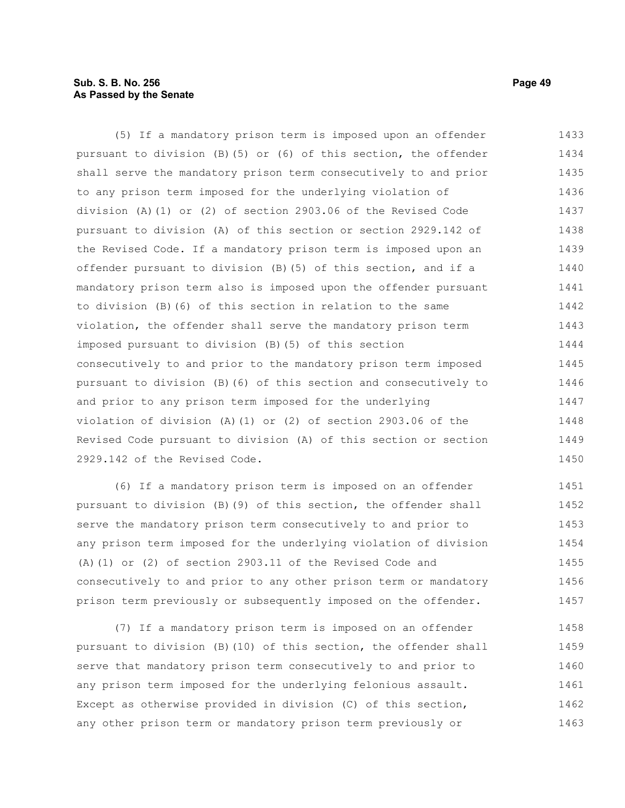## **Sub. S. B. No. 256 Page 49 As Passed by the Senate**

(5) If a mandatory prison term is imposed upon an offender pursuant to division (B)(5) or (6) of this section, the offender shall serve the mandatory prison term consecutively to and prior to any prison term imposed for the underlying violation of division (A)(1) or (2) of section 2903.06 of the Revised Code pursuant to division (A) of this section or section 2929.142 of the Revised Code. If a mandatory prison term is imposed upon an offender pursuant to division (B)(5) of this section, and if a mandatory prison term also is imposed upon the offender pursuant to division (B)(6) of this section in relation to the same violation, the offender shall serve the mandatory prison term imposed pursuant to division (B)(5) of this section consecutively to and prior to the mandatory prison term imposed pursuant to division (B)(6) of this section and consecutively to and prior to any prison term imposed for the underlying violation of division (A)(1) or (2) of section 2903.06 of the Revised Code pursuant to division (A) of this section or section 2929.142 of the Revised Code. 1433 1434 1435 1436 1437 1438 1439 1440 1441 1442 1443 1444 1445 1446 1447 1448 1449 1450

(6) If a mandatory prison term is imposed on an offender pursuant to division (B)(9) of this section, the offender shall serve the mandatory prison term consecutively to and prior to any prison term imposed for the underlying violation of division (A)(1) or (2) of section 2903.11 of the Revised Code and consecutively to and prior to any other prison term or mandatory prison term previously or subsequently imposed on the offender. 1451 1452 1453 1454 1455 1456 1457

(7) If a mandatory prison term is imposed on an offender pursuant to division (B)(10) of this section, the offender shall serve that mandatory prison term consecutively to and prior to any prison term imposed for the underlying felonious assault. Except as otherwise provided in division (C) of this section, any other prison term or mandatory prison term previously or 1458 1459 1460 1461 1462 1463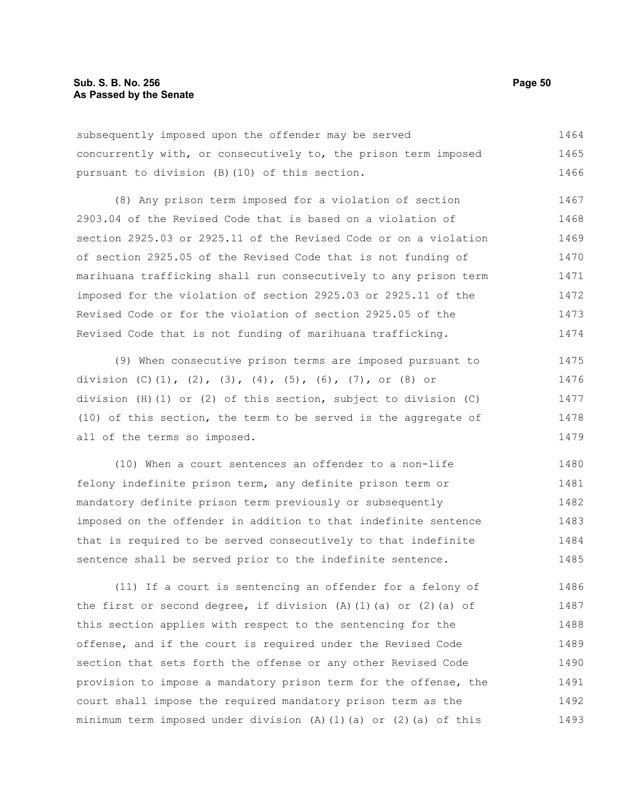subsequently imposed upon the offender may be served concurrently with, or consecutively to, the prison term imposed pursuant to division (B)(10) of this section. 1464 1465 1466

(8) Any prison term imposed for a violation of section 2903.04 of the Revised Code that is based on a violation of section 2925.03 or 2925.11 of the Revised Code or on a violation of section 2925.05 of the Revised Code that is not funding of marihuana trafficking shall run consecutively to any prison term imposed for the violation of section 2925.03 or 2925.11 of the Revised Code or for the violation of section 2925.05 of the Revised Code that is not funding of marihuana trafficking. 1467 1468 1469 1470 1471 1472 1473 1474

(9) When consecutive prison terms are imposed pursuant to division (C)(1), (2), (3), (4), (5), (6), (7), or (8) or division (H)(1) or (2) of this section, subject to division (C) (10) of this section, the term to be served is the aggregate of all of the terms so imposed. 1475 1476 1477 1478 1479

(10) When a court sentences an offender to a non-life felony indefinite prison term, any definite prison term or mandatory definite prison term previously or subsequently imposed on the offender in addition to that indefinite sentence that is required to be served consecutively to that indefinite sentence shall be served prior to the indefinite sentence. 1480 1481 1482 1483 1484 1485

(11) If a court is sentencing an offender for a felony of the first or second degree, if division  $(A)$   $(1)$   $(a)$  or  $(2)$   $(a)$  of this section applies with respect to the sentencing for the offense, and if the court is required under the Revised Code section that sets forth the offense or any other Revised Code provision to impose a mandatory prison term for the offense, the court shall impose the required mandatory prison term as the minimum term imposed under division  $(A)$   $(1)$   $(a)$  or  $(2)$   $(a)$  of this 1486 1487 1488 1489 1490 1491 1492 1493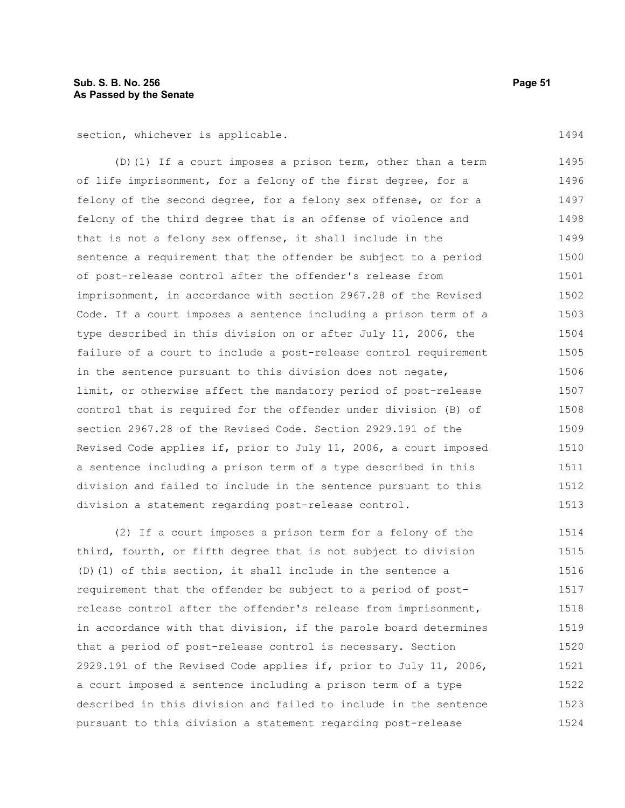section, whichever is applicable.

(D)(1) If a court imposes a prison term, other than a term of life imprisonment, for a felony of the first degree, for a felony of the second degree, for a felony sex offense, or for a felony of the third degree that is an offense of violence and that is not a felony sex offense, it shall include in the sentence a requirement that the offender be subject to a period of post-release control after the offender's release from imprisonment, in accordance with section 2967.28 of the Revised Code. If a court imposes a sentence including a prison term of a type described in this division on or after July 11, 2006, the failure of a court to include a post-release control requirement in the sentence pursuant to this division does not negate, limit, or otherwise affect the mandatory period of post-release control that is required for the offender under division (B) of section 2967.28 of the Revised Code. Section 2929.191 of the Revised Code applies if, prior to July 11, 2006, a court imposed a sentence including a prison term of a type described in this division and failed to include in the sentence pursuant to this division a statement regarding post-release control. 1495 1496 1497 1498 1499 1500 1501 1502 1503 1504 1505 1506 1507 1508 1509 1510 1511 1512 1513

(2) If a court imposes a prison term for a felony of the third, fourth, or fifth degree that is not subject to division (D)(1) of this section, it shall include in the sentence a requirement that the offender be subject to a period of postrelease control after the offender's release from imprisonment, in accordance with that division, if the parole board determines that a period of post-release control is necessary. Section 2929.191 of the Revised Code applies if, prior to July 11, 2006, a court imposed a sentence including a prison term of a type described in this division and failed to include in the sentence pursuant to this division a statement regarding post-release 1514 1515 1516 1517 1518 1519 1520 1521 1522 1523 1524

1494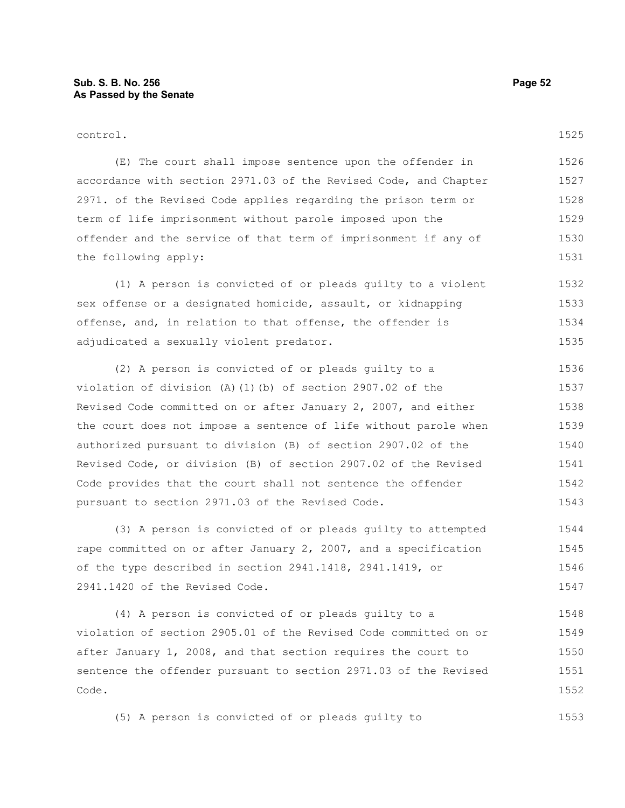(E) The court shall impose sentence upon the offender in accordance with section 2971.03 of the Revised Code, and Chapter 2971. of the Revised Code applies regarding the prison term or term of life imprisonment without parole imposed upon the offender and the service of that term of imprisonment if any of the following apply: 1526 1527 1528 1529 1530 1531

(1) A person is convicted of or pleads guilty to a violent sex offense or a designated homicide, assault, or kidnapping offense, and, in relation to that offense, the offender is adjudicated a sexually violent predator. 1532 1533 1534 1535

(2) A person is convicted of or pleads guilty to a violation of division (A)(1)(b) of section 2907.02 of the Revised Code committed on or after January 2, 2007, and either the court does not impose a sentence of life without parole when authorized pursuant to division (B) of section 2907.02 of the Revised Code, or division (B) of section 2907.02 of the Revised Code provides that the court shall not sentence the offender pursuant to section 2971.03 of the Revised Code. 1536 1537 1538 1539 1540 1541 1542 1543

(3) A person is convicted of or pleads guilty to attempted rape committed on or after January 2, 2007, and a specification of the type described in section 2941.1418, 2941.1419, or 2941.1420 of the Revised Code. 1544 1545 1546 1547

(4) A person is convicted of or pleads guilty to a violation of section 2905.01 of the Revised Code committed on or after January 1, 2008, and that section requires the court to sentence the offender pursuant to section 2971.03 of the Revised Code. 1548 1549 1550 1551 1552

(5) A person is convicted of or pleads guilty to

1553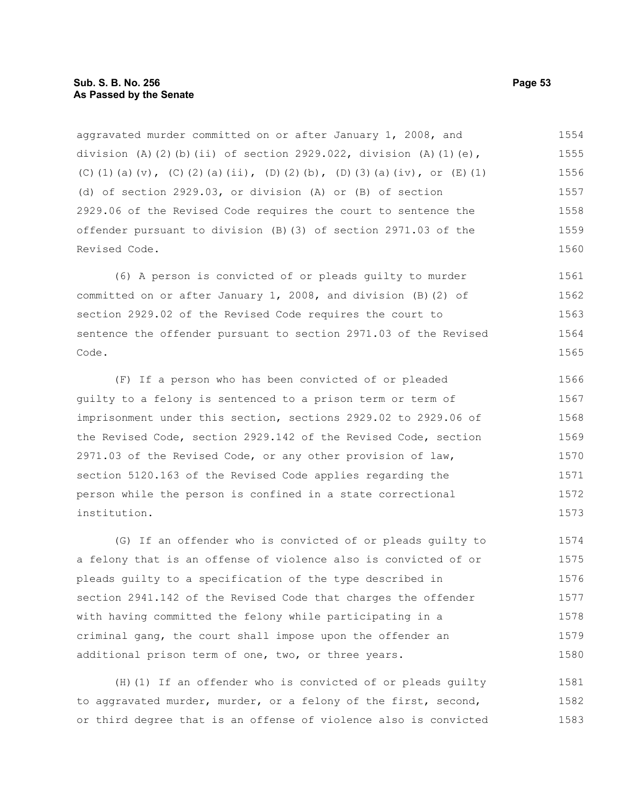aggravated murder committed on or after January 1, 2008, and division (A)(2)(b)(ii) of section 2929.022, division (A)(1)(e), (C)(1)(a)(v), (C)(2)(a)(ii), (D)(2)(b), (D)(3)(a)(iv), or (E)(1) (d) of section 2929.03, or division (A) or (B) of section 2929.06 of the Revised Code requires the court to sentence the offender pursuant to division (B)(3) of section 2971.03 of the Revised Code. 1554 1555 1556 1557 1558 1559 1560

(6) A person is convicted of or pleads guilty to murder committed on or after January 1, 2008, and division (B)(2) of section 2929.02 of the Revised Code requires the court to sentence the offender pursuant to section 2971.03 of the Revised Code. 1561 1562 1563 1564 1565

(F) If a person who has been convicted of or pleaded guilty to a felony is sentenced to a prison term or term of imprisonment under this section, sections 2929.02 to 2929.06 of the Revised Code, section 2929.142 of the Revised Code, section 2971.03 of the Revised Code, or any other provision of law, section 5120.163 of the Revised Code applies regarding the person while the person is confined in a state correctional institution. 1566 1567 1568 1569 1570 1571 1572 1573

(G) If an offender who is convicted of or pleads guilty to a felony that is an offense of violence also is convicted of or pleads guilty to a specification of the type described in section 2941.142 of the Revised Code that charges the offender with having committed the felony while participating in a criminal gang, the court shall impose upon the offender an additional prison term of one, two, or three years. 1574 1575 1576 1577 1578 1579 1580

(H)(1) If an offender who is convicted of or pleads guilty to aggravated murder, murder, or a felony of the first, second, or third degree that is an offense of violence also is convicted 1581 1582 1583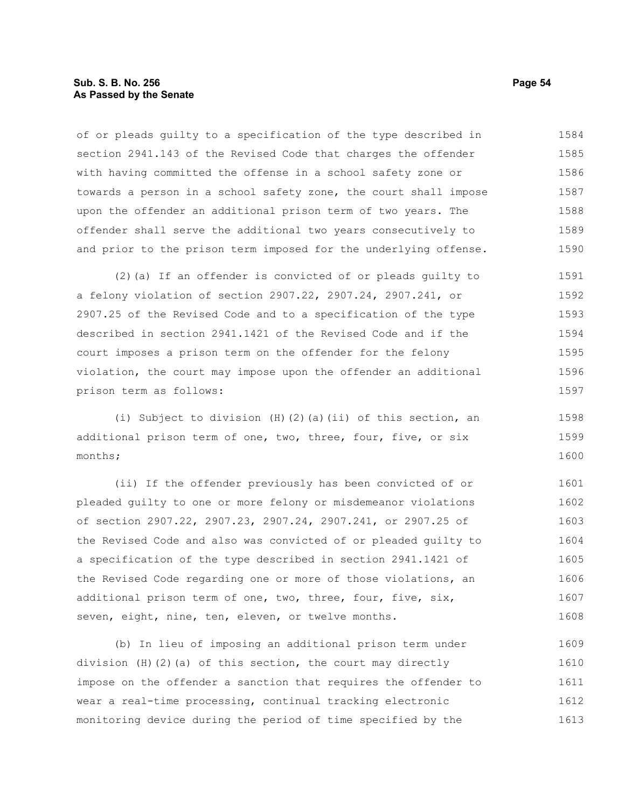### **Sub. S. B. No. 256 Page 54 As Passed by the Senate**

of or pleads guilty to a specification of the type described in section 2941.143 of the Revised Code that charges the offender with having committed the offense in a school safety zone or towards a person in a school safety zone, the court shall impose upon the offender an additional prison term of two years. The offender shall serve the additional two years consecutively to and prior to the prison term imposed for the underlying offense. 1584 1585 1586 1587 1588 1589 1590

(2)(a) If an offender is convicted of or pleads guilty to a felony violation of section 2907.22, 2907.24, 2907.241, or 2907.25 of the Revised Code and to a specification of the type described in section 2941.1421 of the Revised Code and if the court imposes a prison term on the offender for the felony violation, the court may impose upon the offender an additional prison term as follows: 1591 1592 1593 1594 1595 1596 1597

(i) Subject to division (H)(2)(a)(ii) of this section, an additional prison term of one, two, three, four, five, or six months; 1598 1599 1600

(ii) If the offender previously has been convicted of or pleaded guilty to one or more felony or misdemeanor violations of section 2907.22, 2907.23, 2907.24, 2907.241, or 2907.25 of the Revised Code and also was convicted of or pleaded guilty to a specification of the type described in section 2941.1421 of the Revised Code regarding one or more of those violations, an additional prison term of one, two, three, four, five, six, seven, eight, nine, ten, eleven, or twelve months. 1601 1602 1603 1604 1605 1606 1607 1608

(b) In lieu of imposing an additional prison term under division (H)(2)(a) of this section, the court may directly impose on the offender a sanction that requires the offender to wear a real-time processing, continual tracking electronic monitoring device during the period of time specified by the 1609 1610 1611 1612 1613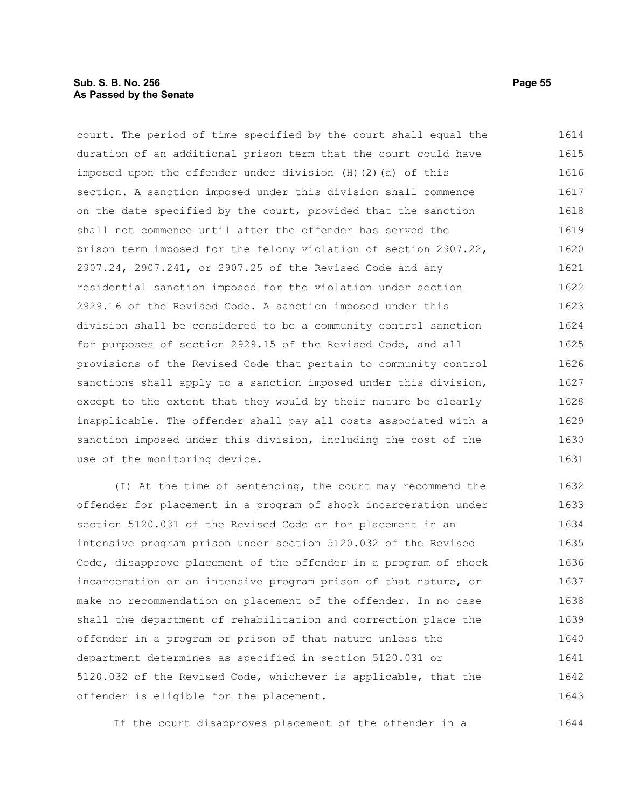## **Sub. S. B. No. 256 Page 55 As Passed by the Senate**

court. The period of time specified by the court shall equal the duration of an additional prison term that the court could have imposed upon the offender under division (H)(2)(a) of this section. A sanction imposed under this division shall commence on the date specified by the court, provided that the sanction shall not commence until after the offender has served the prison term imposed for the felony violation of section 2907.22, 2907.24, 2907.241, or 2907.25 of the Revised Code and any residential sanction imposed for the violation under section 2929.16 of the Revised Code. A sanction imposed under this division shall be considered to be a community control sanction for purposes of section 2929.15 of the Revised Code, and all provisions of the Revised Code that pertain to community control sanctions shall apply to a sanction imposed under this division, except to the extent that they would by their nature be clearly inapplicable. The offender shall pay all costs associated with a sanction imposed under this division, including the cost of the use of the monitoring device. 1614 1615 1616 1617 1618 1619 1620 1621 1622 1623 1624 1625 1626 1627 1628 1629 1630 1631

(I) At the time of sentencing, the court may recommend the offender for placement in a program of shock incarceration under section 5120.031 of the Revised Code or for placement in an intensive program prison under section 5120.032 of the Revised Code, disapprove placement of the offender in a program of shock incarceration or an intensive program prison of that nature, or make no recommendation on placement of the offender. In no case shall the department of rehabilitation and correction place the offender in a program or prison of that nature unless the department determines as specified in section 5120.031 or 5120.032 of the Revised Code, whichever is applicable, that the offender is eligible for the placement. 1632 1633 1634 1635 1636 1637 1638 1639 1640 1641 1642 1643

If the court disapproves placement of the offender in a 1644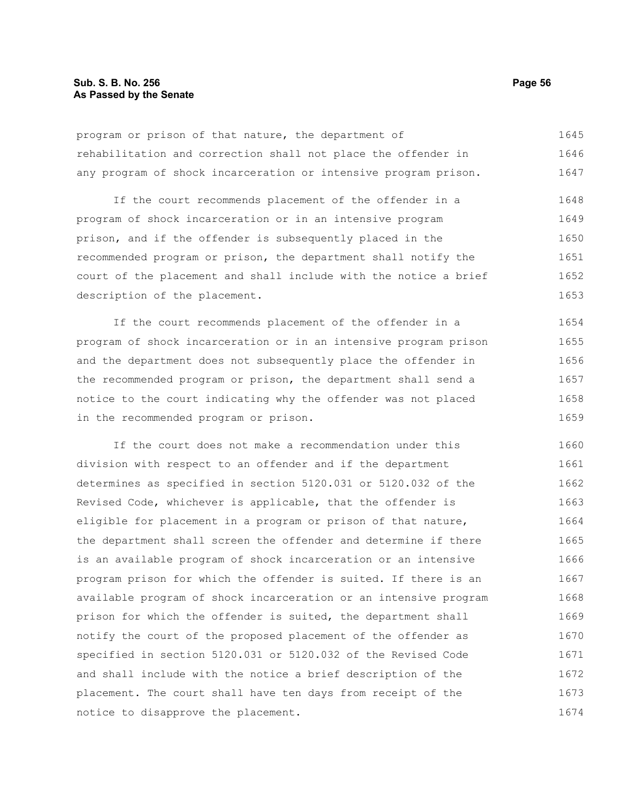# **Sub. S. B. No. 256 Page 56 As Passed by the Senate**

program or prison of that nature, the department of rehabilitation and correction shall not place the offender in any program of shock incarceration or intensive program prison. 1645 1646 1647

If the court recommends placement of the offender in a program of shock incarceration or in an intensive program prison, and if the offender is subsequently placed in the recommended program or prison, the department shall notify the court of the placement and shall include with the notice a brief description of the placement. 1648 1649 1650 1651 1652 1653

If the court recommends placement of the offender in a program of shock incarceration or in an intensive program prison and the department does not subsequently place the offender in the recommended program or prison, the department shall send a notice to the court indicating why the offender was not placed in the recommended program or prison. 1654 1655 1656 1657 1658 1659

If the court does not make a recommendation under this division with respect to an offender and if the department determines as specified in section 5120.031 or 5120.032 of the Revised Code, whichever is applicable, that the offender is eligible for placement in a program or prison of that nature, the department shall screen the offender and determine if there is an available program of shock incarceration or an intensive program prison for which the offender is suited. If there is an available program of shock incarceration or an intensive program prison for which the offender is suited, the department shall notify the court of the proposed placement of the offender as specified in section 5120.031 or 5120.032 of the Revised Code and shall include with the notice a brief description of the placement. The court shall have ten days from receipt of the notice to disapprove the placement. 1660 1661 1662 1663 1664 1665 1666 1667 1668 1669 1670 1671 1672 1673 1674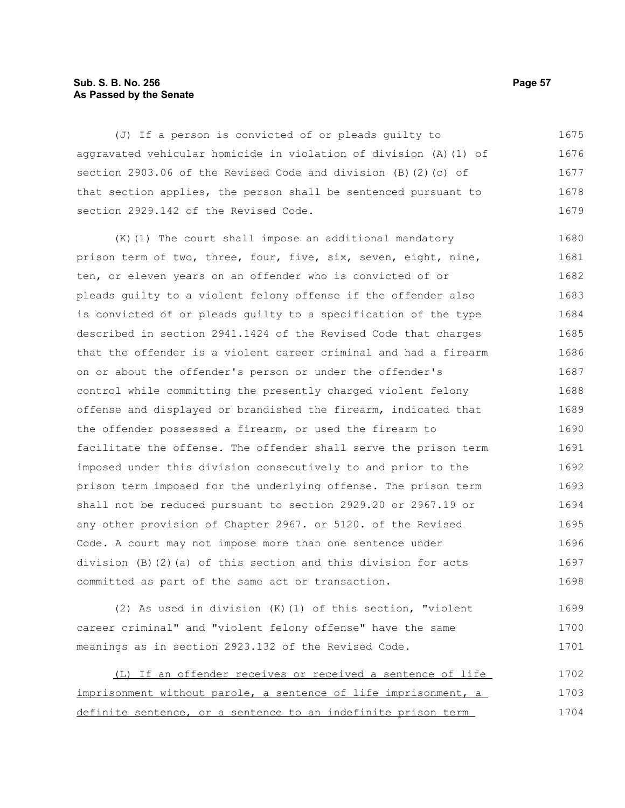### **Sub. S. B. No. 256 Page 57 As Passed by the Senate**

(J) If a person is convicted of or pleads guilty to aggravated vehicular homicide in violation of division (A)(1) of section 2903.06 of the Revised Code and division (B)(2)(c) of that section applies, the person shall be sentenced pursuant to section 2929.142 of the Revised Code. 1675 1676 1677 1678 1679

(K)(1) The court shall impose an additional mandatory prison term of two, three, four, five, six, seven, eight, nine, ten, or eleven years on an offender who is convicted of or pleads guilty to a violent felony offense if the offender also is convicted of or pleads guilty to a specification of the type described in section 2941.1424 of the Revised Code that charges that the offender is a violent career criminal and had a firearm on or about the offender's person or under the offender's control while committing the presently charged violent felony offense and displayed or brandished the firearm, indicated that the offender possessed a firearm, or used the firearm to facilitate the offense. The offender shall serve the prison term imposed under this division consecutively to and prior to the prison term imposed for the underlying offense. The prison term shall not be reduced pursuant to section 2929.20 or 2967.19 or any other provision of Chapter 2967. or 5120. of the Revised Code. A court may not impose more than one sentence under division (B)(2)(a) of this section and this division for acts committed as part of the same act or transaction. 1680 1681 1682 1683 1684 1685 1686 1687 1688 1689 1690 1691 1692 1693 1694 1695 1696 1697 1698

(2) As used in division (K)(1) of this section, "violent career criminal" and "violent felony offense" have the same meanings as in section 2923.132 of the Revised Code. 1699 1700 1701

| (L) If an offender receives or received a sentence of life      | 1702 |
|-----------------------------------------------------------------|------|
| imprisonment without parole, a sentence of life imprisonment, a | 1703 |
| definite sentence, or a sentence to an indefinite prison term   | 1704 |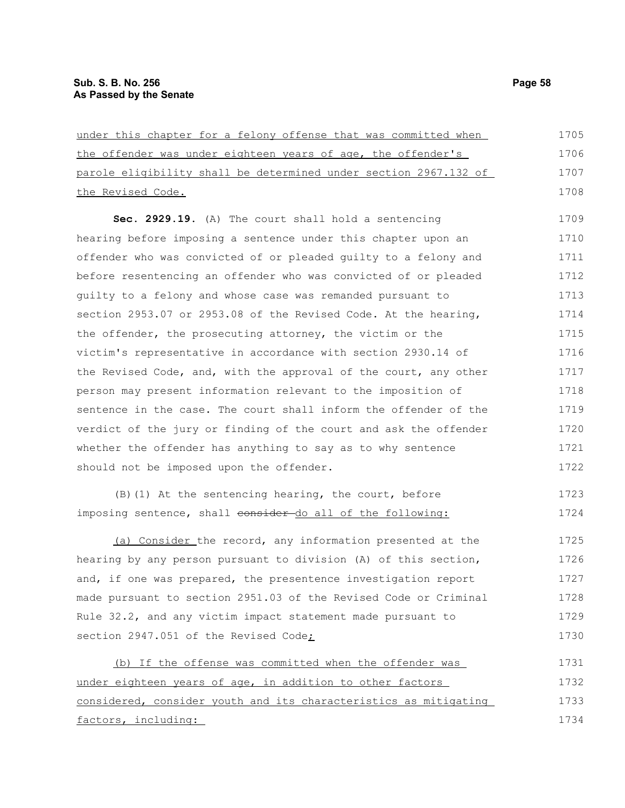| under this chapter for a felony offense that was committed when  | 1705 |
|------------------------------------------------------------------|------|
| the offender was under eighteen years of age, the offender's     | 1706 |
| parole eligibility shall be determined under section 2967.132 of | 1707 |
| the Revised Code.                                                | 1708 |
| Sec. 2929.19. (A) The court shall hold a sentencing              | 1709 |
| hearing before imposing a sentence under this chapter upon an    | 1710 |
| offender who was convicted of or pleaded guilty to a felony and  | 1711 |
| before resentencing an offender who was convicted of or pleaded  | 1712 |
| quilty to a felony and whose case was remanded pursuant to       | 1713 |
| section 2953.07 or 2953.08 of the Revised Code. At the hearing,  | 1714 |
| the offender, the prosecuting attorney, the victim or the        | 1715 |
| victim's representative in accordance with section 2930.14 of    | 1716 |
| the Revised Code, and, with the approval of the court, any other | 1717 |
| person may present information relevant to the imposition of     | 1718 |
| sentence in the case. The court shall inform the offender of the | 1719 |
| verdict of the jury or finding of the court and ask the offender | 1720 |
| whether the offender has anything to say as to why sentence      | 1721 |
| should not be imposed upon the offender.                         | 1722 |
| (B) (1) At the sentencing hearing, the court, before             | 1723 |
| imposing sentence, shall consider do all of the following:       | 1724 |
| (a) Consider the record, any information presented at the        | 1725 |
| hearing by any person pursuant to division (A) of this section,  | 1726 |
| and, if one was prepared, the presentence investigation report   | 1727 |
| made pursuant to section 2951.03 of the Revised Code or Criminal | 1728 |
| Rule 32.2, and any victim impact statement made pursuant to      | 1729 |
| section 2947.051 of the Revised Code;                            | 1730 |
| (b) If the offense was committed when the offender was           | 1731 |
| under eighteen years of age, in addition to other factors        | 1732 |
| considered, consider youth and its characteristics as mitigating | 1733 |
| factors, including:                                              | 1734 |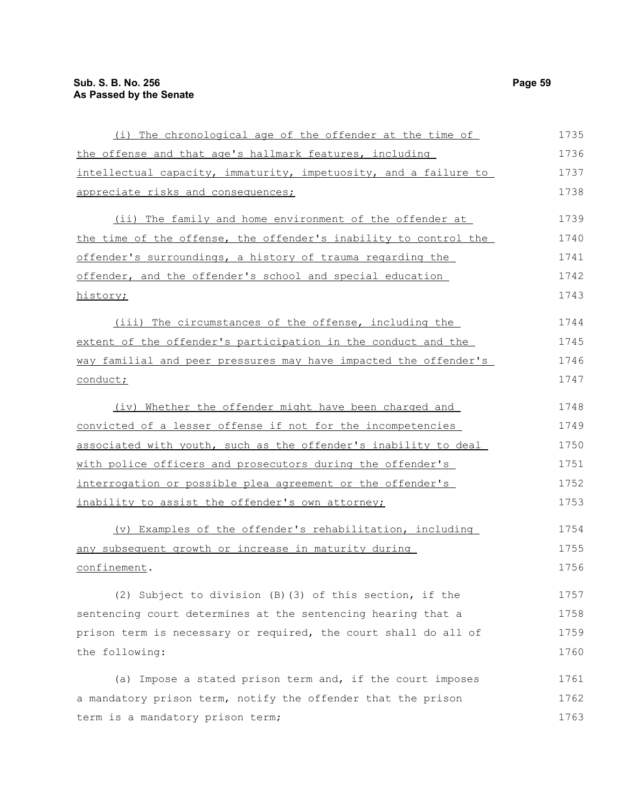| (i) The chronological age of the offender at the time of         | 1735 |
|------------------------------------------------------------------|------|
| the offense and that age's hallmark features, including          | 1736 |
| intellectual capacity, immaturity, impetuosity, and a failure to | 1737 |
| appreciate risks and consequences;                               | 1738 |
| (ii) The family and home environment of the offender at          | 1739 |
| the time of the offense, the offender's inability to control the | 1740 |
| offender's surroundings, a history of trauma regarding the       | 1741 |
| offender, and the offender's school and special education        | 1742 |
| history;                                                         | 1743 |
| (iii) The circumstances of the offense, including the            | 1744 |
| extent of the offender's participation in the conduct and the    | 1745 |
| way familial and peer pressures may have impacted the offender's | 1746 |
| conduct;                                                         | 1747 |
| (iv) Whether the offender might have been charged and            | 1748 |
| convicted of a lesser offense if not for the incompetencies      | 1749 |
| associated with youth, such as the offender's inability to deal  | 1750 |
| with police officers and prosecutors during the offender's       | 1751 |
| interrogation or possible plea agreement or the offender's       | 1752 |
| inability to assist the offender's own attorney;                 | 1753 |
| (v) Examples of the offender's rehabilitation, including         | 1754 |
| any subsequent growth or increase in maturity during             | 1755 |
| confinement.                                                     | 1756 |
| (2) Subject to division (B) (3) of this section, if the          | 1757 |
| sentencing court determines at the sentencing hearing that a     | 1758 |
| prison term is necessary or required, the court shall do all of  | 1759 |
| the following:                                                   | 1760 |
| (a) Impose a stated prison term and, if the court imposes        | 1761 |
| a mandatory prison term, notify the offender that the prison     | 1762 |
| term is a mandatory prison term;                                 | 1763 |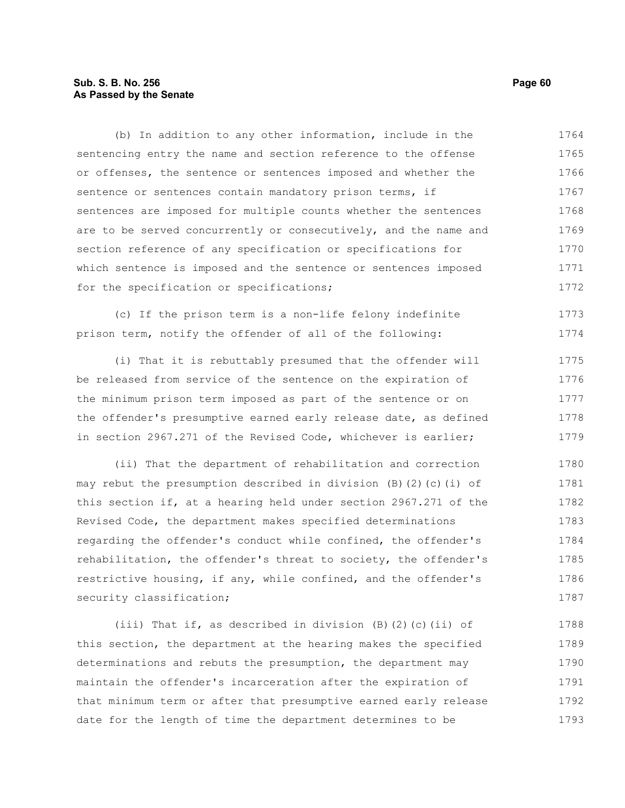# **Sub. S. B. No. 256 Page 60 As Passed by the Senate**

(b) In addition to any other information, include in the sentencing entry the name and section reference to the offense or offenses, the sentence or sentences imposed and whether the sentence or sentences contain mandatory prison terms, if sentences are imposed for multiple counts whether the sentences are to be served concurrently or consecutively, and the name and section reference of any specification or specifications for which sentence is imposed and the sentence or sentences imposed for the specification or specifications; 1764 1765 1766 1767 1768 1769 1770 1771 1772

(c) If the prison term is a non-life felony indefinite prison term, notify the offender of all of the following: 1773 1774

(i) That it is rebuttably presumed that the offender will be released from service of the sentence on the expiration of the minimum prison term imposed as part of the sentence or on the offender's presumptive earned early release date, as defined in section 2967.271 of the Revised Code, whichever is earlier; 1775 1776 1777 1778 1779

(ii) That the department of rehabilitation and correction may rebut the presumption described in division  $(B)$   $(2)$   $(c)$   $(i)$  of this section if, at a hearing held under section 2967.271 of the Revised Code, the department makes specified determinations regarding the offender's conduct while confined, the offender's rehabilitation, the offender's threat to society, the offender's restrictive housing, if any, while confined, and the offender's security classification; 1780 1781 1782 1783 1784 1785 1786 1787

(iii) That if, as described in division  $(B)$  (2)(c)(ii) of this section, the department at the hearing makes the specified determinations and rebuts the presumption, the department may maintain the offender's incarceration after the expiration of that minimum term or after that presumptive earned early release date for the length of time the department determines to be 1788 1789 1790 1791 1792 1793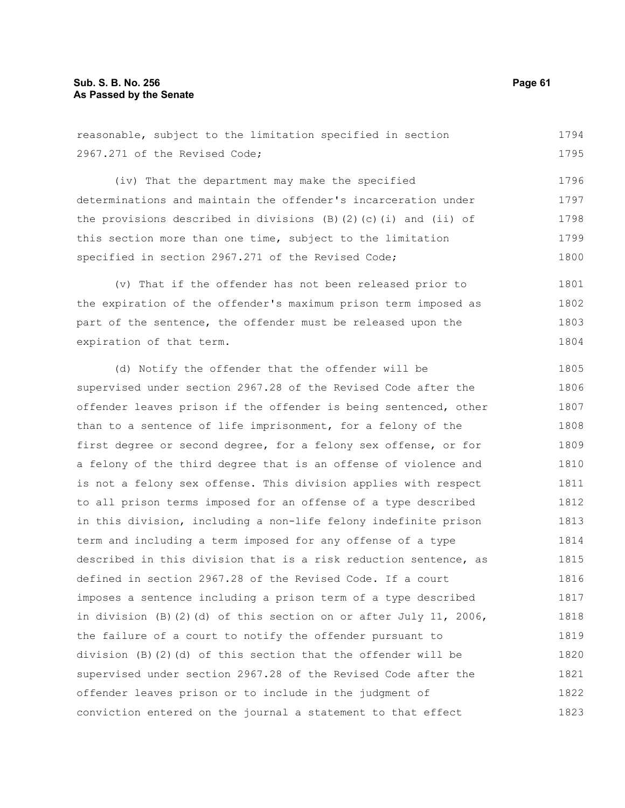(iv) That the department may make the specified determinations and maintain the offender's incarceration under the provisions described in divisions (B)(2)(c)(i) and (ii) of this section more than one time, subject to the limitation specified in section 2967.271 of the Revised Code; 1796 1797 1798 1799 1800

(v) That if the offender has not been released prior to the expiration of the offender's maximum prison term imposed as part of the sentence, the offender must be released upon the expiration of that term. 1801 1802 1803 1804

(d) Notify the offender that the offender will be supervised under section 2967.28 of the Revised Code after the offender leaves prison if the offender is being sentenced, other than to a sentence of life imprisonment, for a felony of the first degree or second degree, for a felony sex offense, or for a felony of the third degree that is an offense of violence and is not a felony sex offense. This division applies with respect to all prison terms imposed for an offense of a type described in this division, including a non-life felony indefinite prison term and including a term imposed for any offense of a type described in this division that is a risk reduction sentence, as defined in section 2967.28 of the Revised Code. If a court imposes a sentence including a prison term of a type described in division  $(B)$   $(2)$   $(d)$  of this section on or after July 11, 2006, the failure of a court to notify the offender pursuant to division (B)(2)(d) of this section that the offender will be supervised under section 2967.28 of the Revised Code after the offender leaves prison or to include in the judgment of conviction entered on the journal a statement to that effect 1805 1806 1807 1808 1809 1810 1811 1812 1813 1814 1815 1816 1817 1818 1819 1820 1821 1822 1823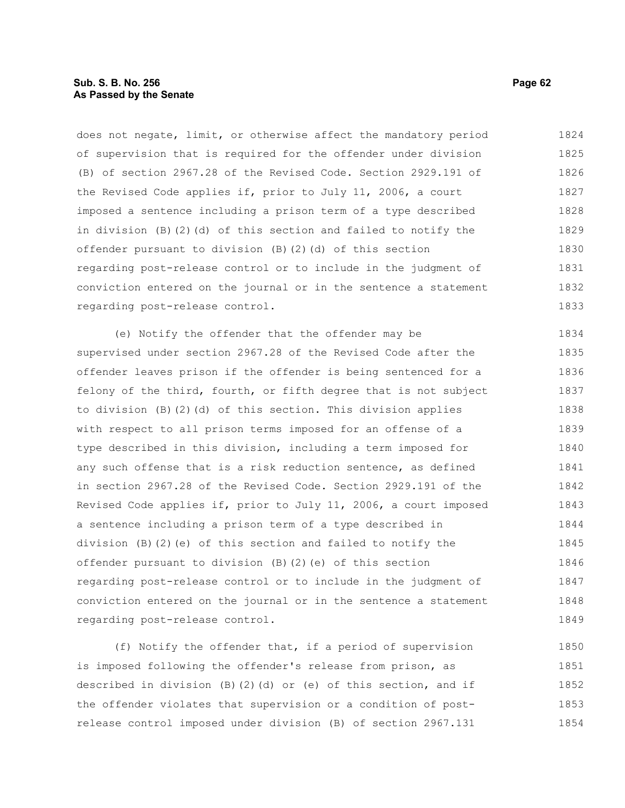does not negate, limit, or otherwise affect the mandatory period of supervision that is required for the offender under division (B) of section 2967.28 of the Revised Code. Section 2929.191 of the Revised Code applies if, prior to July 11, 2006, a court imposed a sentence including a prison term of a type described in division  $(B)$   $(2)$   $(d)$  of this section and failed to notify the offender pursuant to division (B)(2)(d) of this section regarding post-release control or to include in the judgment of conviction entered on the journal or in the sentence a statement regarding post-release control. 1824 1825 1826 1827 1828 1829 1830 1831 1832 1833

(e) Notify the offender that the offender may be supervised under section 2967.28 of the Revised Code after the offender leaves prison if the offender is being sentenced for a felony of the third, fourth, or fifth degree that is not subject to division (B)(2)(d) of this section. This division applies with respect to all prison terms imposed for an offense of a type described in this division, including a term imposed for any such offense that is a risk reduction sentence, as defined in section 2967.28 of the Revised Code. Section 2929.191 of the Revised Code applies if, prior to July 11, 2006, a court imposed a sentence including a prison term of a type described in division (B)(2)(e) of this section and failed to notify the offender pursuant to division (B)(2)(e) of this section regarding post-release control or to include in the judgment of conviction entered on the journal or in the sentence a statement regarding post-release control. 1834 1835 1836 1837 1838 1839 1840 1841 1842 1843 1844 1845 1846 1847 1848 1849

(f) Notify the offender that, if a period of supervision is imposed following the offender's release from prison, as described in division  $(B)$   $(2)$   $(d)$  or  $(e)$  of this section, and if the offender violates that supervision or a condition of postrelease control imposed under division (B) of section 2967.131 1850 1851 1852 1853 1854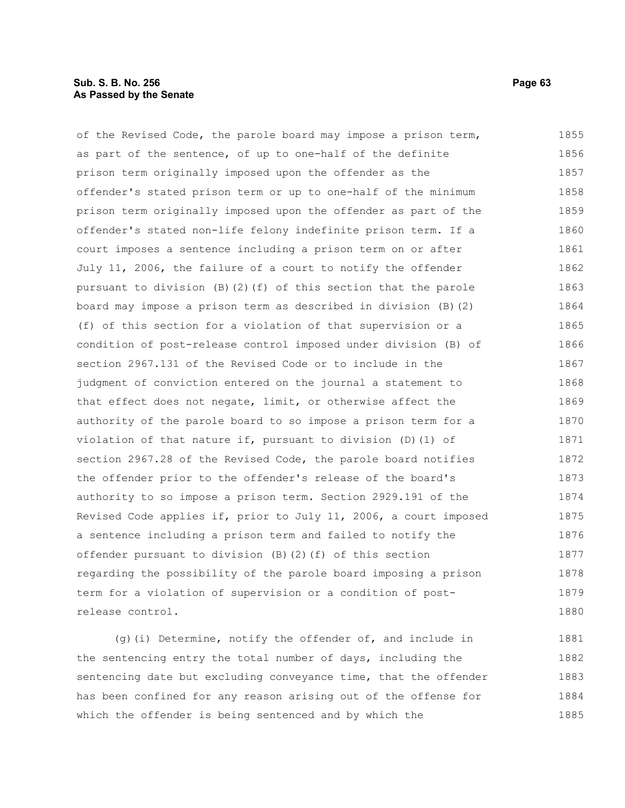### **Sub. S. B. No. 256 Page 63 As Passed by the Senate**

of the Revised Code, the parole board may impose a prison term, as part of the sentence, of up to one-half of the definite prison term originally imposed upon the offender as the offender's stated prison term or up to one-half of the minimum prison term originally imposed upon the offender as part of the offender's stated non-life felony indefinite prison term. If a court imposes a sentence including a prison term on or after July 11, 2006, the failure of a court to notify the offender pursuant to division  $(B)(2)(f)$  of this section that the parole board may impose a prison term as described in division (B)(2) (f) of this section for a violation of that supervision or a condition of post-release control imposed under division (B) of section 2967.131 of the Revised Code or to include in the judgment of conviction entered on the journal a statement to that effect does not negate, limit, or otherwise affect the authority of the parole board to so impose a prison term for a violation of that nature if, pursuant to division (D)(1) of section 2967.28 of the Revised Code, the parole board notifies the offender prior to the offender's release of the board's authority to so impose a prison term. Section 2929.191 of the Revised Code applies if, prior to July 11, 2006, a court imposed a sentence including a prison term and failed to notify the offender pursuant to division (B)(2)(f) of this section regarding the possibility of the parole board imposing a prison term for a violation of supervision or a condition of postrelease control. 1855 1856 1857 1858 1859 1860 1861 1862 1863 1864 1865 1866 1867 1868 1869 1870 1871 1872 1873 1874 1875 1876 1877 1878 1879 1880

(g)(i) Determine, notify the offender of, and include in the sentencing entry the total number of days, including the sentencing date but excluding conveyance time, that the offender has been confined for any reason arising out of the offense for which the offender is being sentenced and by which the 1881 1882 1883 1884 1885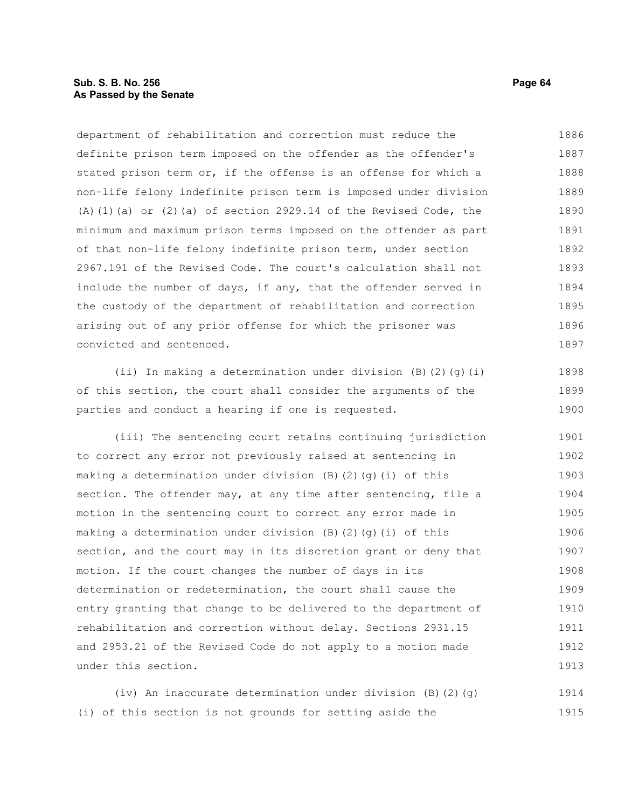department of rehabilitation and correction must reduce the definite prison term imposed on the offender as the offender's stated prison term or, if the offense is an offense for which a non-life felony indefinite prison term is imposed under division (A)(1)(a) or (2)(a) of section  $2929.14$  of the Revised Code, the minimum and maximum prison terms imposed on the offender as part of that non-life felony indefinite prison term, under section 2967.191 of the Revised Code. The court's calculation shall not include the number of days, if any, that the offender served in the custody of the department of rehabilitation and correction arising out of any prior offense for which the prisoner was convicted and sentenced. 1886 1887 1888 1889 1890 1891 1892 1893 1894 1895 1896 1897

(ii) In making a determination under division  $(B)$   $(2)$   $(q)$   $(i)$ of this section, the court shall consider the arguments of the parties and conduct a hearing if one is requested. 1898 1899 1900

(iii) The sentencing court retains continuing jurisdiction to correct any error not previously raised at sentencing in making a determination under division  $(B)$   $(2)$   $(g)$   $(i)$  of this section. The offender may, at any time after sentencing, file a motion in the sentencing court to correct any error made in making a determination under division (B)(2)(g)(i) of this section, and the court may in its discretion grant or deny that motion. If the court changes the number of days in its determination or redetermination, the court shall cause the entry granting that change to be delivered to the department of rehabilitation and correction without delay. Sections 2931.15 and 2953.21 of the Revised Code do not apply to a motion made under this section. 1901 1902 1903 1904 1905 1906 1907 1908 1909 1910 1911 1912 1913

(iv) An inaccurate determination under division (B)(2)(g) (i) of this section is not grounds for setting aside the 1914 1915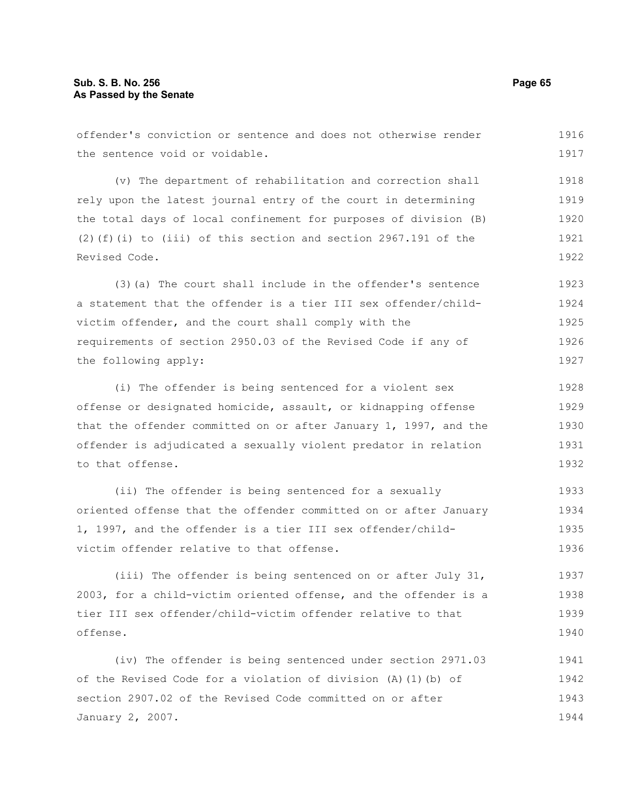offender's conviction or sentence and does not otherwise render the sentence void or voidable. (v) The department of rehabilitation and correction shall rely upon the latest journal entry of the court in determining the total days of local confinement for purposes of division (B) 1916 1917 1918 1919 1920

(2)(f)(i) to (iii) of this section and section 2967.191 of the Revised Code. 1921 1922

(3)(a) The court shall include in the offender's sentence a statement that the offender is a tier III sex offender/childvictim offender, and the court shall comply with the requirements of section 2950.03 of the Revised Code if any of the following apply: 1923 1924 1925 1926 1927

(i) The offender is being sentenced for a violent sex offense or designated homicide, assault, or kidnapping offense that the offender committed on or after January 1, 1997, and the offender is adjudicated a sexually violent predator in relation to that offense. 1928 1929 1930 1931 1932

(ii) The offender is being sentenced for a sexually oriented offense that the offender committed on or after January 1, 1997, and the offender is a tier III sex offender/childvictim offender relative to that offense. 1933 1934 1935 1936

(iii) The offender is being sentenced on or after July 31, 2003, for a child-victim oriented offense, and the offender is a tier III sex offender/child-victim offender relative to that offense. 1937 1938 1939 1940

(iv) The offender is being sentenced under section 2971.03 of the Revised Code for a violation of division (A)(1)(b) of section 2907.02 of the Revised Code committed on or after January 2, 2007. 1941 1942 1943 1944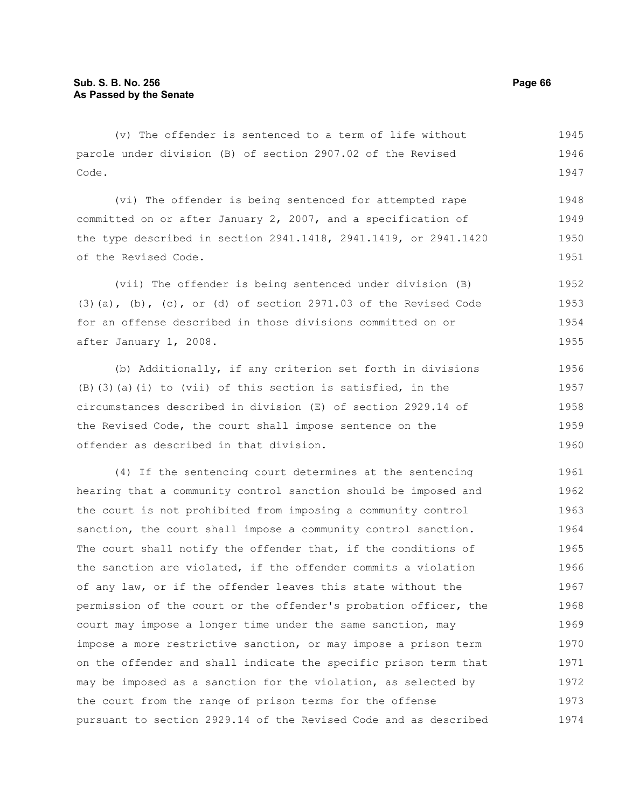(v) The offender is sentenced to a term of life without parole under division (B) of section 2907.02 of the Revised Code. 1945 1946 1947

(vi) The offender is being sentenced for attempted rape committed on or after January 2, 2007, and a specification of the type described in section 2941.1418, 2941.1419, or 2941.1420 of the Revised Code. 1948 1949 1950 1951

(vii) The offender is being sentenced under division (B)  $(3)(a)$ ,  $(b)$ ,  $(c)$ , or  $(d)$  of section 2971.03 of the Revised Code for an offense described in those divisions committed on or after January 1, 2008. 1952 1953 1954 1955

(b) Additionally, if any criterion set forth in divisions (B)(3)(a)(i) to (vii) of this section is satisfied, in the circumstances described in division (E) of section 2929.14 of the Revised Code, the court shall impose sentence on the offender as described in that division. 1956 1957 1958 1959 1960

(4) If the sentencing court determines at the sentencing hearing that a community control sanction should be imposed and the court is not prohibited from imposing a community control sanction, the court shall impose a community control sanction. The court shall notify the offender that, if the conditions of the sanction are violated, if the offender commits a violation of any law, or if the offender leaves this state without the permission of the court or the offender's probation officer, the court may impose a longer time under the same sanction, may impose a more restrictive sanction, or may impose a prison term on the offender and shall indicate the specific prison term that may be imposed as a sanction for the violation, as selected by the court from the range of prison terms for the offense pursuant to section 2929.14 of the Revised Code and as described 1961 1962 1963 1964 1965 1966 1967 1968 1969 1970 1971 1972 1973 1974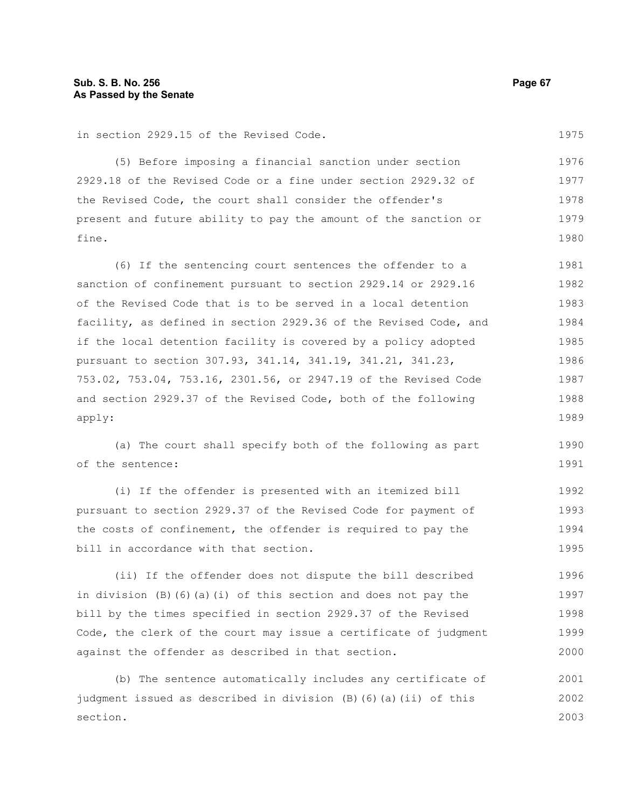in section 2929.15 of the Revised Code.

(5) Before imposing a financial sanction under section 2929.18 of the Revised Code or a fine under section 2929.32 of the Revised Code, the court shall consider the offender's present and future ability to pay the amount of the sanction or fine. 1976 1977 1978 1979 1980

(6) If the sentencing court sentences the offender to a sanction of confinement pursuant to section 2929.14 or 2929.16 of the Revised Code that is to be served in a local detention facility, as defined in section 2929.36 of the Revised Code, and if the local detention facility is covered by a policy adopted pursuant to section 307.93, 341.14, 341.19, 341.21, 341.23, 753.02, 753.04, 753.16, 2301.56, or 2947.19 of the Revised Code and section 2929.37 of the Revised Code, both of the following apply: 1981 1982 1983 1984 1985 1986 1987 1988 1989

(a) The court shall specify both of the following as part of the sentence: 1990 1991

(i) If the offender is presented with an itemized bill pursuant to section 2929.37 of the Revised Code for payment of the costs of confinement, the offender is required to pay the bill in accordance with that section. 1992 1993 1994 1995

(ii) If the offender does not dispute the bill described in division  $(B)$   $(6)$   $(a)$   $(i)$  of this section and does not pay the bill by the times specified in section 2929.37 of the Revised Code, the clerk of the court may issue a certificate of judgment against the offender as described in that section. 1996 1997 1998 1999 2000

(b) The sentence automatically includes any certificate of judgment issued as described in division (B)(6)(a)(ii) of this section. 2001 2002 2003

1975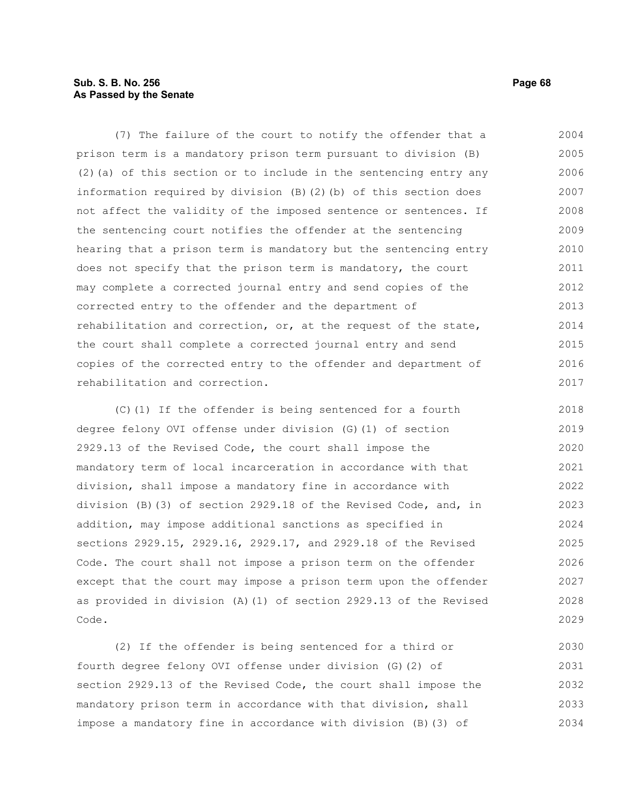# **Sub. S. B. No. 256 Page 68 As Passed by the Senate**

(7) The failure of the court to notify the offender that a prison term is a mandatory prison term pursuant to division (B) (2)(a) of this section or to include in the sentencing entry any information required by division (B)(2)(b) of this section does not affect the validity of the imposed sentence or sentences. If the sentencing court notifies the offender at the sentencing hearing that a prison term is mandatory but the sentencing entry does not specify that the prison term is mandatory, the court may complete a corrected journal entry and send copies of the corrected entry to the offender and the department of rehabilitation and correction, or, at the request of the state, the court shall complete a corrected journal entry and send copies of the corrected entry to the offender and department of rehabilitation and correction. 2004 2005 2006 2007 2008 2009 2010 2011 2012 2013 2014 2015 2016 2017

(C)(1) If the offender is being sentenced for a fourth degree felony OVI offense under division (G)(1) of section 2929.13 of the Revised Code, the court shall impose the mandatory term of local incarceration in accordance with that division, shall impose a mandatory fine in accordance with division (B)(3) of section 2929.18 of the Revised Code, and, in addition, may impose additional sanctions as specified in sections 2929.15, 2929.16, 2929.17, and 2929.18 of the Revised Code. The court shall not impose a prison term on the offender except that the court may impose a prison term upon the offender as provided in division (A)(1) of section 2929.13 of the Revised Code. 2018 2019 2020 2021 2022 2023 2024 2025 2026 2027 2028 2029

(2) If the offender is being sentenced for a third or fourth degree felony OVI offense under division (G)(2) of section 2929.13 of the Revised Code, the court shall impose the mandatory prison term in accordance with that division, shall impose a mandatory fine in accordance with division (B)(3) of 2030 2031 2032 2033 2034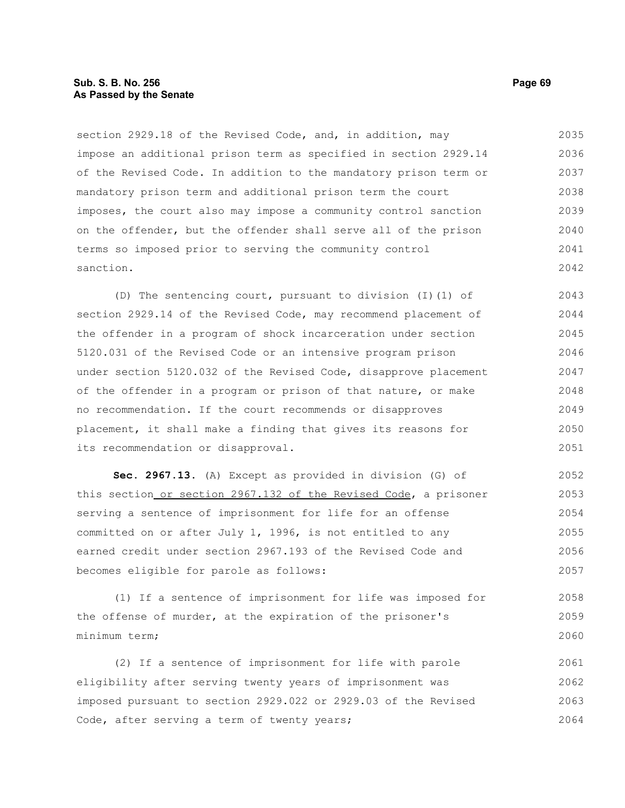## **Sub. S. B. No. 256 Page 69 As Passed by the Senate**

section 2929.18 of the Revised Code, and, in addition, may impose an additional prison term as specified in section 2929.14 of the Revised Code. In addition to the mandatory prison term or mandatory prison term and additional prison term the court imposes, the court also may impose a community control sanction on the offender, but the offender shall serve all of the prison terms so imposed prior to serving the community control sanction. 2035 2036 2037 2038 2039 2040 2041 2042

(D) The sentencing court, pursuant to division (I)(1) of section 2929.14 of the Revised Code, may recommend placement of the offender in a program of shock incarceration under section 5120.031 of the Revised Code or an intensive program prison under section 5120.032 of the Revised Code, disapprove placement of the offender in a program or prison of that nature, or make no recommendation. If the court recommends or disapproves placement, it shall make a finding that gives its reasons for its recommendation or disapproval. 2043 2044 2045 2046 2047 2048 2049 2050 2051

**Sec. 2967.13.** (A) Except as provided in division (G) of this section or section 2967.132 of the Revised Code, a prisoner serving a sentence of imprisonment for life for an offense committed on or after July 1, 1996, is not entitled to any earned credit under section 2967.193 of the Revised Code and becomes eligible for parole as follows: 2052 2053 2054 2055 2056 2057

(1) If a sentence of imprisonment for life was imposed for the offense of murder, at the expiration of the prisoner's minimum term; 2058 2059 2060

(2) If a sentence of imprisonment for life with parole eligibility after serving twenty years of imprisonment was imposed pursuant to section 2929.022 or 2929.03 of the Revised Code, after serving a term of twenty years; 2061 2062 2063 2064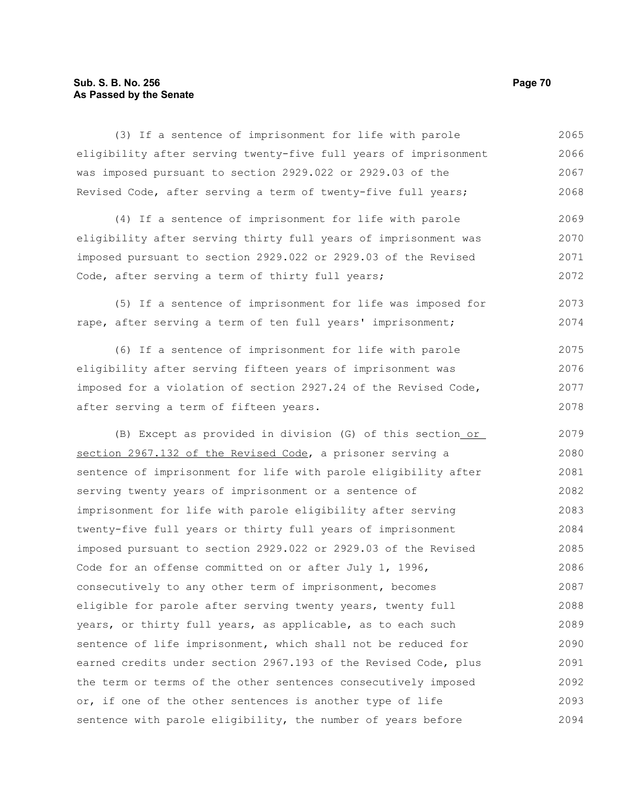## **Sub. S. B. No. 256 Page 70 As Passed by the Senate**

(3) If a sentence of imprisonment for life with parole eligibility after serving twenty-five full years of imprisonment was imposed pursuant to section 2929.022 or 2929.03 of the Revised Code, after serving a term of twenty-five full years; 2065 2066 2067 2068

(4) If a sentence of imprisonment for life with parole eligibility after serving thirty full years of imprisonment was imposed pursuant to section 2929.022 or 2929.03 of the Revised Code, after serving a term of thirty full years; 2069 2070 2071 2072

(5) If a sentence of imprisonment for life was imposed for rape, after serving a term of ten full years' imprisonment; 2073 2074

(6) If a sentence of imprisonment for life with parole eligibility after serving fifteen years of imprisonment was imposed for a violation of section 2927.24 of the Revised Code, after serving a term of fifteen years. 2075 2076 2077 2078

(B) Except as provided in division (G) of this section or section 2967.132 of the Revised Code, a prisoner serving a sentence of imprisonment for life with parole eligibility after serving twenty years of imprisonment or a sentence of imprisonment for life with parole eligibility after serving twenty-five full years or thirty full years of imprisonment imposed pursuant to section 2929.022 or 2929.03 of the Revised Code for an offense committed on or after July 1, 1996, consecutively to any other term of imprisonment, becomes eligible for parole after serving twenty years, twenty full years, or thirty full years, as applicable, as to each such sentence of life imprisonment, which shall not be reduced for earned credits under section 2967.193 of the Revised Code, plus the term or terms of the other sentences consecutively imposed or, if one of the other sentences is another type of life sentence with parole eligibility, the number of years before 2079 2080 2081 2082 2083 2084 2085 2086 2087 2088 2089 2090 2091 2092 2093 2094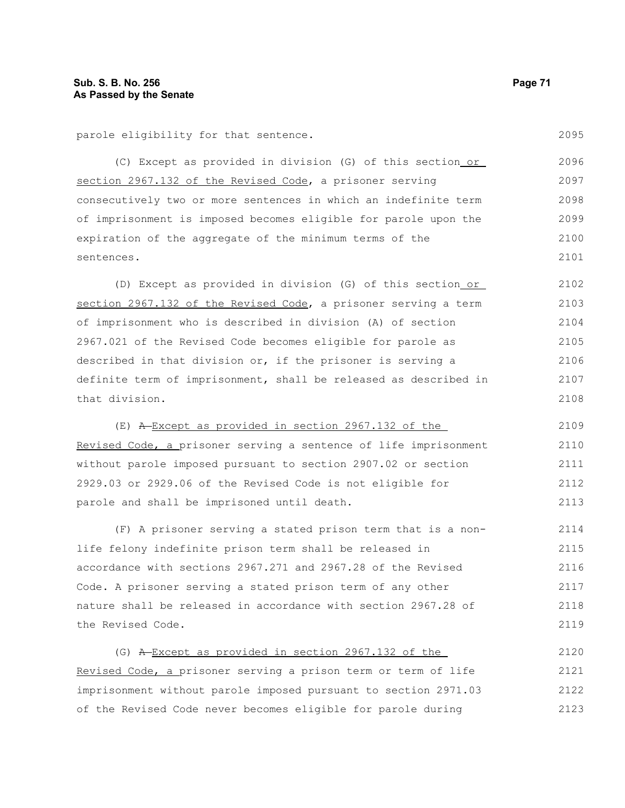parole eligibility for that sentence.

(C) Except as provided in division (G) of this section or section 2967.132 of the Revised Code, a prisoner serving consecutively two or more sentences in which an indefinite term of imprisonment is imposed becomes eligible for parole upon the expiration of the aggregate of the minimum terms of the sentences. 2096 2097 2098 2099 2100 2101

(D) Except as provided in division (G) of this section or section 2967.132 of the Revised Code, a prisoner serving a term of imprisonment who is described in division (A) of section 2967.021 of the Revised Code becomes eligible for parole as described in that division or, if the prisoner is serving a definite term of imprisonment, shall be released as described in that division. 2102 2103 2104 2105 2106 2107 2108

(E) A Except as provided in section 2967.132 of the Revised Code, a prisoner serving a sentence of life imprisonment without parole imposed pursuant to section 2907.02 or section 2929.03 or 2929.06 of the Revised Code is not eligible for parole and shall be imprisoned until death. 2109 2110 2111 2112 2113

(F) A prisoner serving a stated prison term that is a nonlife felony indefinite prison term shall be released in accordance with sections 2967.271 and 2967.28 of the Revised Code. A prisoner serving a stated prison term of any other nature shall be released in accordance with section 2967.28 of the Revised Code. 2114 2115 2116 2117 2118 2119

(G) A Except as provided in section 2967.132 of the Revised Code, a prisoner serving a prison term or term of life imprisonment without parole imposed pursuant to section 2971.03 of the Revised Code never becomes eligible for parole during 2120 2121 2122 2123

2095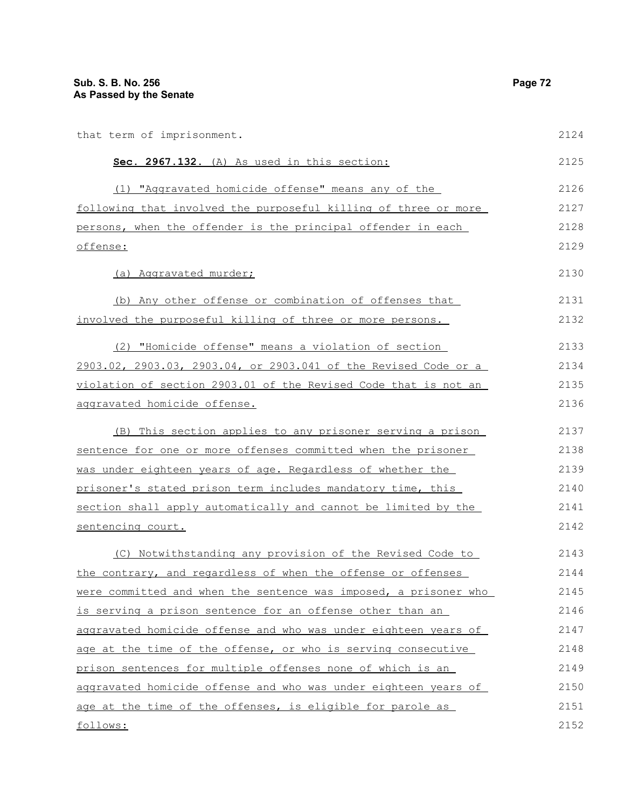| that term of imprisonment.                                       | 2124 |
|------------------------------------------------------------------|------|
| Sec. 2967.132. (A) As used in this section:                      | 2125 |
| (1) "Aggravated homicide offense" means any of the               | 2126 |
| following that involved the purposeful killing of three or more  | 2127 |
| persons, when the offender is the principal offender in each     | 2128 |
| offense:                                                         | 2129 |
| (a) Aggravated murder;                                           | 2130 |
| (b) Any other offense or combination of offenses that            | 2131 |
| involved the purposeful killing of three or more persons.        | 2132 |
| (2) "Homicide offense" means a violation of section              | 2133 |
| 2903.02, 2903.03, 2903.04, or 2903.041 of the Revised Code or a  | 2134 |
| violation of section 2903.01 of the Revised Code that is not an  | 2135 |
| aggravated homicide offense.                                     | 2136 |
| (B) This section applies to any prisoner serving a prison        | 2137 |
| sentence for one or more offenses committed when the prisoner    | 2138 |
| was under eighteen years of age. Regardless of whether the       | 2139 |
| prisoner's stated prison term includes mandatory time, this      | 2140 |
| section shall apply automatically and cannot be limited by the   | 2141 |
| sentencing court.                                                | 2142 |
| (C) Notwithstanding any provision of the Revised Code to         | 2143 |
| the contrary, and regardless of when the offense or offenses     | 2144 |
| were committed and when the sentence was imposed, a prisoner who | 2145 |
| is serving a prison sentence for an offense other than an        | 2146 |
| aggravated homicide offense and who was under eighteen years of  | 2147 |
| age at the time of the offense, or who is serving consecutive    | 2148 |
| prison sentences for multiple offenses none of which is an       | 2149 |
| aggravated homicide offense and who was under eighteen years of  | 2150 |
| age at the time of the offenses, is eligible for parole as       | 2151 |
| follows:                                                         | 2152 |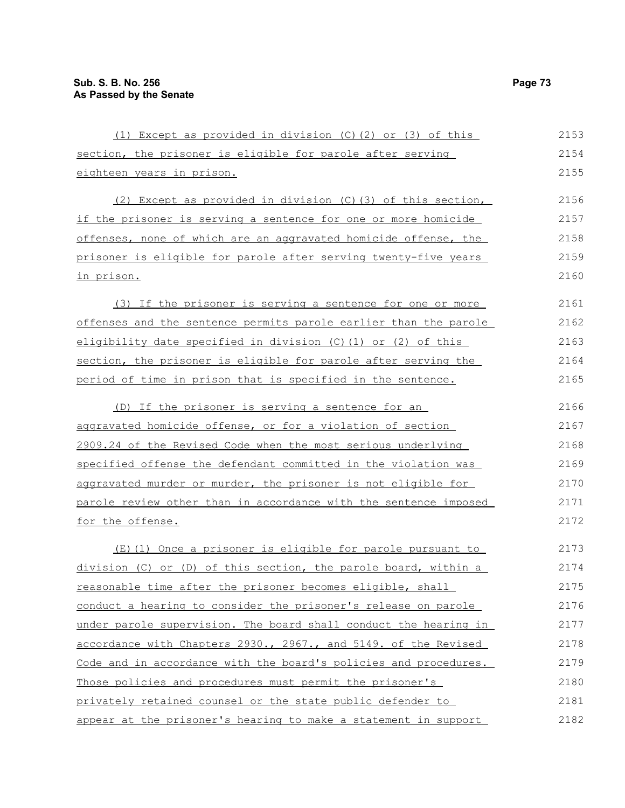| (1) Except as provided in division (C) (2) or (3) of this        | 2153 |
|------------------------------------------------------------------|------|
| section, the prisoner is eligible for parole after serving       | 2154 |
| eighteen years in prison.                                        | 2155 |
| (2) Except as provided in division (C) (3) of this section,      | 2156 |
| if the prisoner is serving a sentence for one or more homicide   | 2157 |
| offenses, none of which are an aggravated homicide offense, the  | 2158 |
| prisoner is eligible for parole after serving twenty-five years  | 2159 |
| in prison.                                                       | 2160 |
| (3) If the prisoner is serving a sentence for one or more        | 2161 |
| offenses and the sentence permits parole earlier than the parole | 2162 |
| eligibility date specified in division (C)(1) or (2) of this     | 2163 |
| section, the prisoner is eligible for parole after serving the   | 2164 |
| period of time in prison that is specified in the sentence.      | 2165 |
| (D) If the prisoner is serving a sentence for an                 | 2166 |
| aggravated homicide offense, or for a violation of section       | 2167 |
| 2909.24 of the Revised Code when the most serious underlying     | 2168 |
| specified offense the defendant committed in the violation was   | 2169 |
| aggravated murder or murder, the prisoner is not eligible for    | 2170 |
| parole review other than in accordance with the sentence imposed | 2171 |
| for the offense.                                                 | 2172 |
| (E)(1) Once a prisoner is eligible for parole pursuant to        | 2173 |
| division (C) or (D) of this section, the parole board, within a  | 2174 |
| reasonable time after the prisoner becomes eligible, shall       | 2175 |
| conduct a hearing to consider the prisoner's release on parole   | 2176 |
| under parole supervision. The board shall conduct the hearing in | 2177 |
| accordance with Chapters 2930., 2967., and 5149. of the Revised  | 2178 |
| Code and in accordance with the board's policies and procedures. | 2179 |
| Those policies and procedures must permit the prisoner's         | 2180 |
| privately retained counsel or the state public defender to       | 2181 |
| appear at the prisoner's hearing to make a statement in support  | 2182 |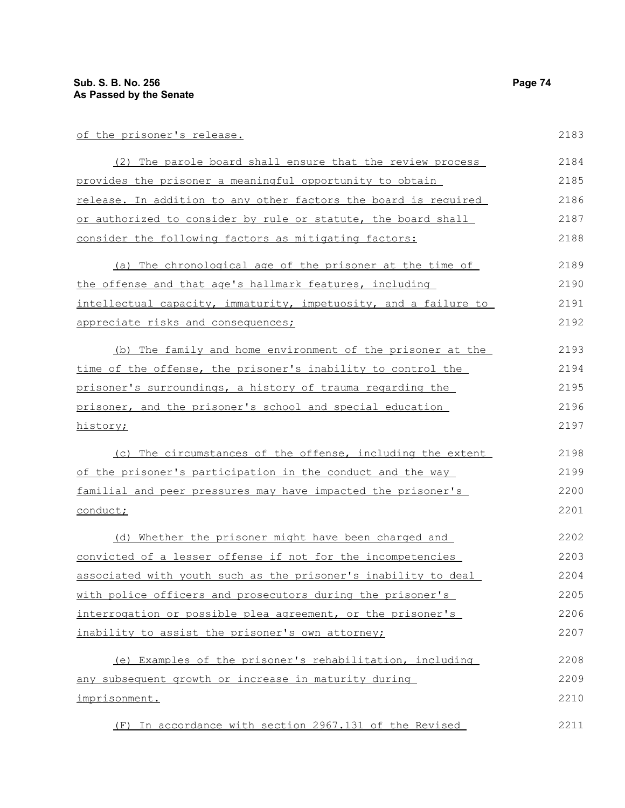| of the prisoner's release.                                       | 2183 |
|------------------------------------------------------------------|------|
| (2) The parole board shall ensure that the review process        | 2184 |
| provides the prisoner a meaningful opportunity to obtain         | 2185 |
| release. In addition to any other factors the board is required  | 2186 |
| or authorized to consider by rule or statute, the board shall    | 2187 |
| consider the following factors as mitigating factors:            | 2188 |
| (a) The chronological age of the prisoner at the time of         | 2189 |
| the offense and that age's hallmark features, including          | 2190 |
| intellectual capacity, immaturity, impetuosity, and a failure to | 2191 |
| appreciate risks and consequences;                               | 2192 |
| (b) The family and home environment of the prisoner at the       | 2193 |
| time of the offense, the prisoner's inability to control the     | 2194 |
| prisoner's surroundings, a history of trauma regarding the       | 2195 |
| prisoner, and the prisoner's school and special education        | 2196 |
| history;                                                         | 2197 |
| (c) The circumstances of the offense, including the extent       | 2198 |
| of the prisoner's participation in the conduct and the way       | 2199 |
| familial and peer pressures may have impacted the prisoner's     | 2200 |
| conduct;                                                         | 2201 |
| (d) Whether the prisoner might have been charged and             | 2202 |
| convicted of a lesser offense if not for the incompetencies      | 2203 |
| associated with youth such as the prisoner's inability to deal   | 2204 |
| with police officers and prosecutors during the prisoner's       | 2205 |
| interrogation or possible plea agreement, or the prisoner's      | 2206 |
| inability to assist the prisoner's own attorney;                 | 2207 |
| (e) Examples of the prisoner's rehabilitation, including         | 2208 |
| any subsequent growth or increase in maturity during             | 2209 |
| imprisonment.                                                    | 2210 |
| (F) In accordance with section 2967.131 of the Revised           | 2211 |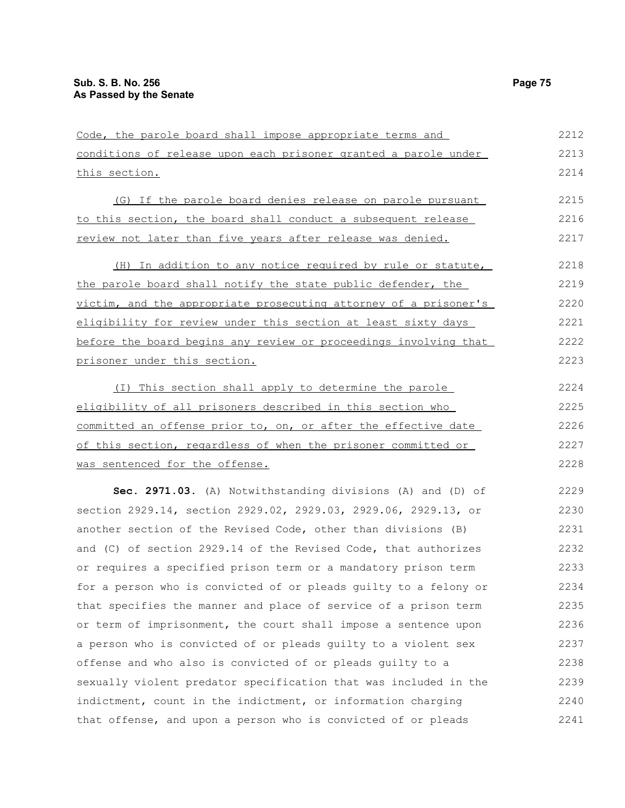| Code, the parole board shall impose appropriate terms and        | 2212 |
|------------------------------------------------------------------|------|
| conditions of release upon each prisoner granted a parole under  | 2213 |
| this section.                                                    | 2214 |
| (G) If the parole board denies release on parole pursuant        | 2215 |
| to this section, the board shall conduct a subsequent release    | 2216 |
| review not later than five years after release was denied.       | 2217 |
| (H) In addition to any notice required by rule or statute,       | 2218 |
| the parole board shall notify the state public defender, the     | 2219 |
| victim, and the appropriate prosecuting attorney of a prisoner's | 2220 |
| eligibility for review under this section at least sixty days    | 2221 |
| before the board begins any review or proceedings involving that | 2222 |
| prisoner under this section.                                     | 2223 |
| (I) This section shall apply to determine the parole             | 2224 |
| eligibility of all prisoners described in this section who       | 2225 |
| committed an offense prior to, on, or after the effective date   | 2226 |
| of this section, regardless of when the prisoner committed or    | 2227 |
| was sentenced for the offense.                                   | 2228 |
| Sec. 2971.03. (A) Notwithstanding divisions (A) and (D) of       | 2229 |
| section 2929.14, section 2929.02, 2929.03, 2929.06, 2929.13, or  | 2230 |
| another section of the Revised Code, other than divisions (B)    | 2231 |
| and (C) of section 2929.14 of the Revised Code, that authorizes  | 2232 |
| or requires a specified prison term or a mandatory prison term   | 2233 |
| for a person who is convicted of or pleads guilty to a felony or | 2234 |
| that specifies the manner and place of service of a prison term  | 2235 |
| or term of imprisonment, the court shall impose a sentence upon  | 2236 |
| a person who is convicted of or pleads guilty to a violent sex   | 2237 |
| offense and who also is convicted of or pleads guilty to a       | 2238 |
| sexually violent predator specification that was included in the | 2239 |
| indictment, count in the indictment, or information charging     | 2240 |
| that offense, and upon a person who is convicted of or pleads    | 2241 |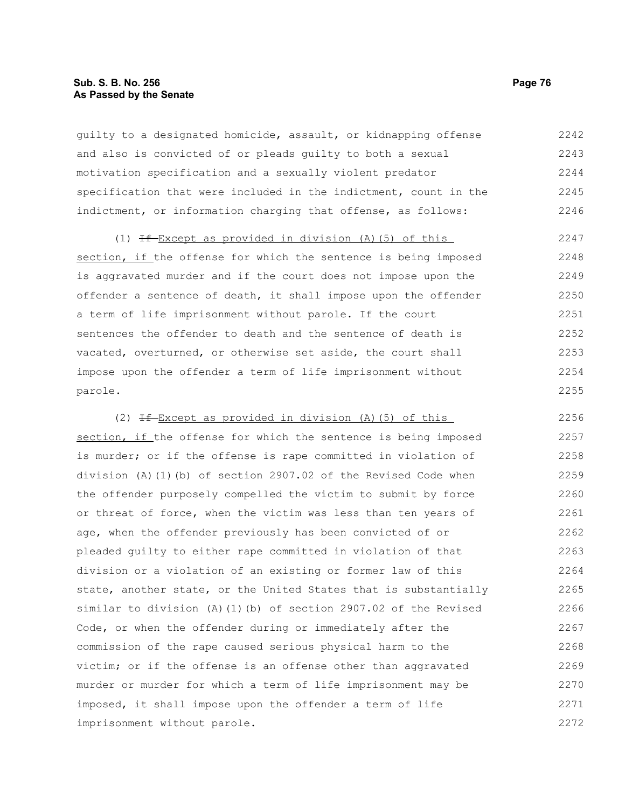#### **Sub. S. B. No. 256 Page 76 As Passed by the Senate**

guilty to a designated homicide, assault, or kidnapping offense and also is convicted of or pleads guilty to both a sexual motivation specification and a sexually violent predator specification that were included in the indictment, count in the indictment, or information charging that offense, as follows: 2242 2243 2244 2245 2246

(1)  $H$ -Except as provided in division (A)(5) of this section, if the offense for which the sentence is being imposed is aggravated murder and if the court does not impose upon the offender a sentence of death, it shall impose upon the offender a term of life imprisonment without parole. If the court sentences the offender to death and the sentence of death is vacated, overturned, or otherwise set aside, the court shall impose upon the offender a term of life imprisonment without parole.

(2)  $H$ Except as provided in division (A)(5) of this section, if the offense for which the sentence is being imposed is murder; or if the offense is rape committed in violation of division (A)(1)(b) of section 2907.02 of the Revised Code when the offender purposely compelled the victim to submit by force or threat of force, when the victim was less than ten years of age, when the offender previously has been convicted of or pleaded guilty to either rape committed in violation of that division or a violation of an existing or former law of this state, another state, or the United States that is substantially similar to division (A)(1)(b) of section 2907.02 of the Revised Code, or when the offender during or immediately after the commission of the rape caused serious physical harm to the victim; or if the offense is an offense other than aggravated murder or murder for which a term of life imprisonment may be imposed, it shall impose upon the offender a term of life imprisonment without parole. 2256 2257 2258 2259 2260 2261 2262 2263 2264 2265 2266 2267 2268 2269 2270 2271 2272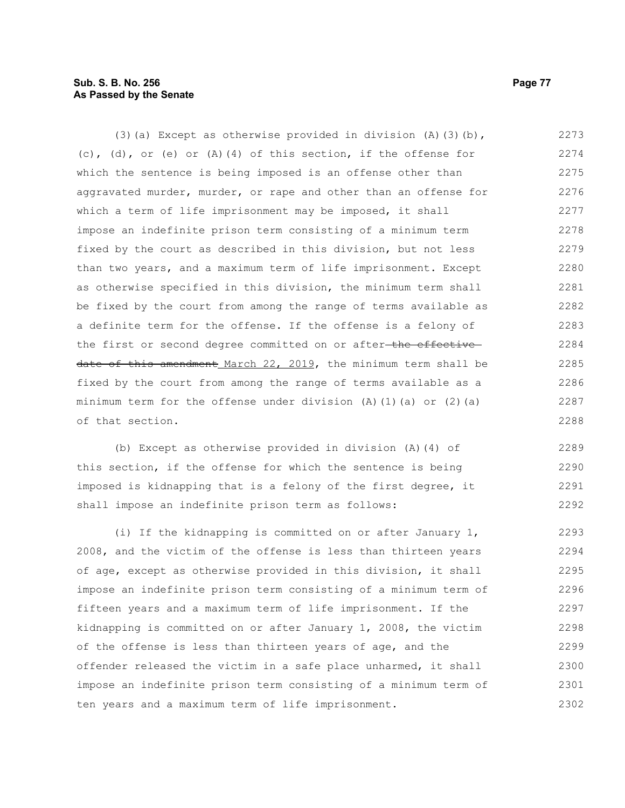# **Sub. S. B. No. 256 Page 77 As Passed by the Senate**

(3)(a) Except as otherwise provided in division (A)(3)(b), (c), (d), or (e) or (A)(4) of this section, if the offense for which the sentence is being imposed is an offense other than aggravated murder, murder, or rape and other than an offense for which a term of life imprisonment may be imposed, it shall impose an indefinite prison term consisting of a minimum term fixed by the court as described in this division, but not less than two years, and a maximum term of life imprisonment. Except as otherwise specified in this division, the minimum term shall be fixed by the court from among the range of terms available as a definite term for the offense. If the offense is a felony of the first or second degree committed on or after-the effectivedate of this amendment March 22, 2019, the minimum term shall be fixed by the court from among the range of terms available as a minimum term for the offense under division  $(A)$   $(1)$   $(a)$  or  $(2)$   $(a)$ of that section. 2273 2274 2275 2276 2277 2278 2279 2280 2281 2282 2283 2284 2285 2286 2287 2288

(b) Except as otherwise provided in division (A)(4) of this section, if the offense for which the sentence is being imposed is kidnapping that is a felony of the first degree, it shall impose an indefinite prison term as follows: 2289 2290 2291 2292

(i) If the kidnapping is committed on or after January 1, 2008, and the victim of the offense is less than thirteen years of age, except as otherwise provided in this division, it shall impose an indefinite prison term consisting of a minimum term of fifteen years and a maximum term of life imprisonment. If the kidnapping is committed on or after January 1, 2008, the victim of the offense is less than thirteen years of age, and the offender released the victim in a safe place unharmed, it shall impose an indefinite prison term consisting of a minimum term of ten years and a maximum term of life imprisonment. 2293 2294 2295 2296 2297 2298 2299 2300 2301 2302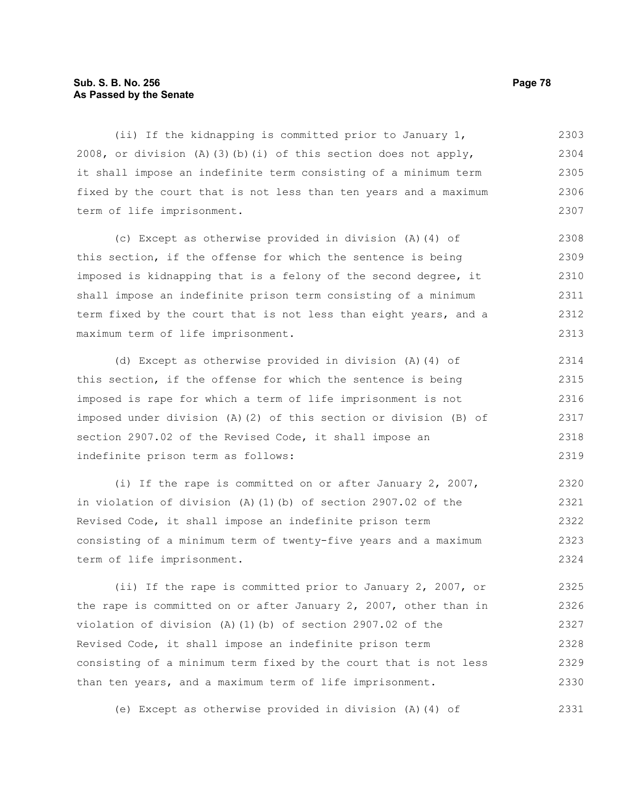# **Sub. S. B. No. 256 Page 78 As Passed by the Senate**

(ii) If the kidnapping is committed prior to January 1, 2008, or division (A)(3)(b)(i) of this section does not apply, it shall impose an indefinite term consisting of a minimum term fixed by the court that is not less than ten years and a maximum term of life imprisonment. 2303 2304 2305 2306 2307

(c) Except as otherwise provided in division (A)(4) of this section, if the offense for which the sentence is being imposed is kidnapping that is a felony of the second degree, it shall impose an indefinite prison term consisting of a minimum term fixed by the court that is not less than eight years, and a maximum term of life imprisonment. 2308 2309 2310 2311 2312 2313

(d) Except as otherwise provided in division (A)(4) of this section, if the offense for which the sentence is being imposed is rape for which a term of life imprisonment is not imposed under division (A)(2) of this section or division (B) of section 2907.02 of the Revised Code, it shall impose an indefinite prison term as follows: 2314 2315 2316 2317 2318 2319

(i) If the rape is committed on or after January 2, 2007, in violation of division (A)(1)(b) of section 2907.02 of the Revised Code, it shall impose an indefinite prison term consisting of a minimum term of twenty-five years and a maximum term of life imprisonment. 2320 2321 2322 2323 2324

(ii) If the rape is committed prior to January 2, 2007, or the rape is committed on or after January 2, 2007, other than in violation of division (A)(1)(b) of section 2907.02 of the Revised Code, it shall impose an indefinite prison term consisting of a minimum term fixed by the court that is not less than ten years, and a maximum term of life imprisonment. 2325 2326 2327 2328 2329 2330

(e) Except as otherwise provided in division (A)(4) of 2331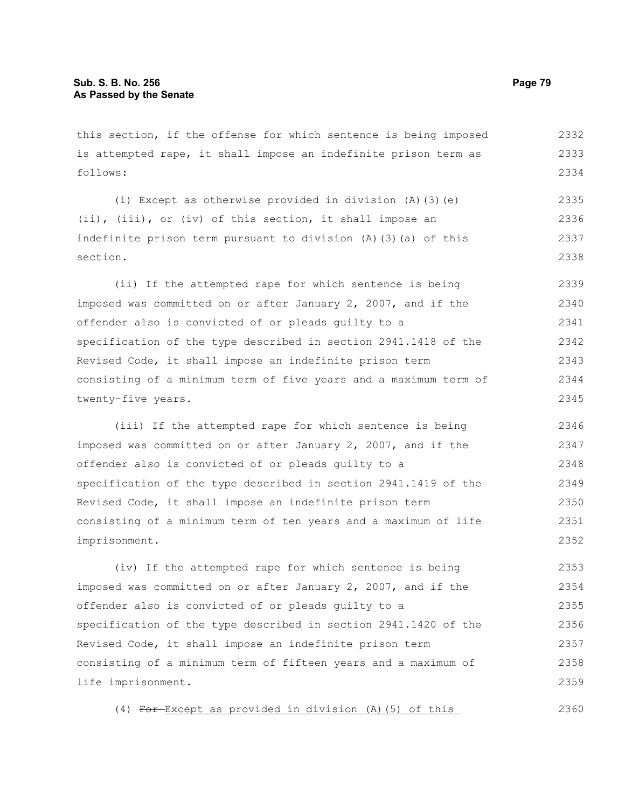this section, if the offense for which sentence is being imposed is attempted rape, it shall impose an indefinite prison term as follows: 2332 2333 2334

(i) Except as otherwise provided in division (A)(3)(e) (ii), (iii), or (iv) of this section, it shall impose an indefinite prison term pursuant to division (A)(3)(a) of this section. 2335 2336 2337 2338

(ii) If the attempted rape for which sentence is being imposed was committed on or after January 2, 2007, and if the offender also is convicted of or pleads guilty to a specification of the type described in section 2941.1418 of the Revised Code, it shall impose an indefinite prison term consisting of a minimum term of five years and a maximum term of twenty-five years. 2339 2340 2341 2342 2343 2344 2345

(iii) If the attempted rape for which sentence is being imposed was committed on or after January 2, 2007, and if the offender also is convicted of or pleads guilty to a specification of the type described in section 2941.1419 of the Revised Code, it shall impose an indefinite prison term consisting of a minimum term of ten years and a maximum of life imprisonment. 2346 2347 2348 2349 2350 2351 2352

(iv) If the attempted rape for which sentence is being imposed was committed on or after January 2, 2007, and if the offender also is convicted of or pleads guilty to a specification of the type described in section 2941.1420 of the Revised Code, it shall impose an indefinite prison term consisting of a minimum term of fifteen years and a maximum of life imprisonment. 2353 2354 2355 2356 2357 2358 2359

(4) For Except as provided in division (A)(5) of this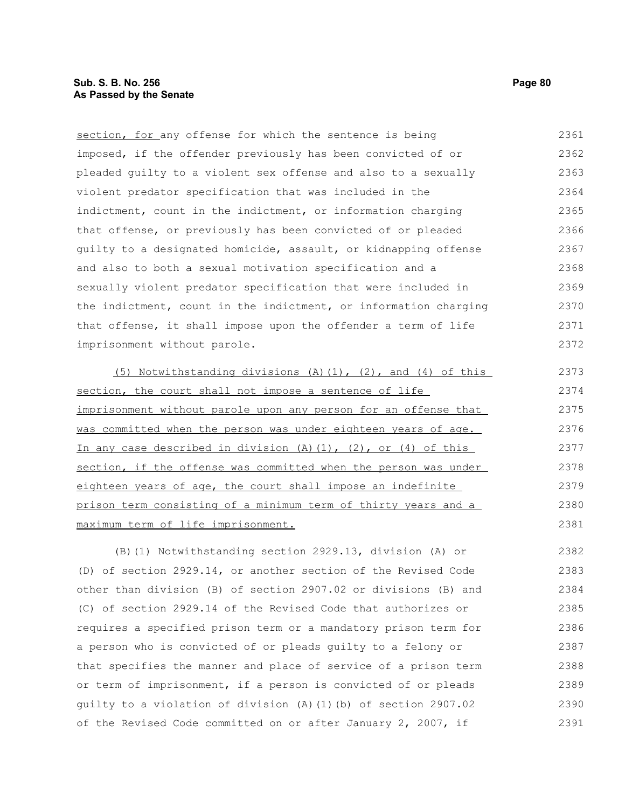section, for any offense for which the sentence is being imposed, if the offender previously has been convicted of or pleaded guilty to a violent sex offense and also to a sexually violent predator specification that was included in the indictment, count in the indictment, or information charging that offense, or previously has been convicted of or pleaded guilty to a designated homicide, assault, or kidnapping offense and also to both a sexual motivation specification and a sexually violent predator specification that were included in the indictment, count in the indictment, or information charging that offense, it shall impose upon the offender a term of life imprisonment without parole. (5) Notwithstanding divisions (A)(1), (2), and (4) of this section, the court shall not impose a sentence of life imprisonment without parole upon any person for an offense that was committed when the person was under eighteen years of age. In any case described in division  $(A)$   $(1)$ ,  $(2)$ , or  $(4)$  of this 2361 2362 2363 2364 2365 2366 2367 2368 2369 2370 2371 2372 2373 2374 2375 2376 2377

section, if the offense was committed when the person was under eighteen years of age, the court shall impose an indefinite prison term consisting of a minimum term of thirty years and a maximum term of life imprisonment. 2378 2379 2380 2381

(B)(1) Notwithstanding section 2929.13, division (A) or (D) of section 2929.14, or another section of the Revised Code other than division (B) of section 2907.02 or divisions (B) and (C) of section 2929.14 of the Revised Code that authorizes or requires a specified prison term or a mandatory prison term for a person who is convicted of or pleads guilty to a felony or that specifies the manner and place of service of a prison term or term of imprisonment, if a person is convicted of or pleads guilty to a violation of division (A)(1)(b) of section 2907.02 of the Revised Code committed on or after January 2, 2007, if 2382 2383 2384 2385 2386 2387 2388 2389 2390 2391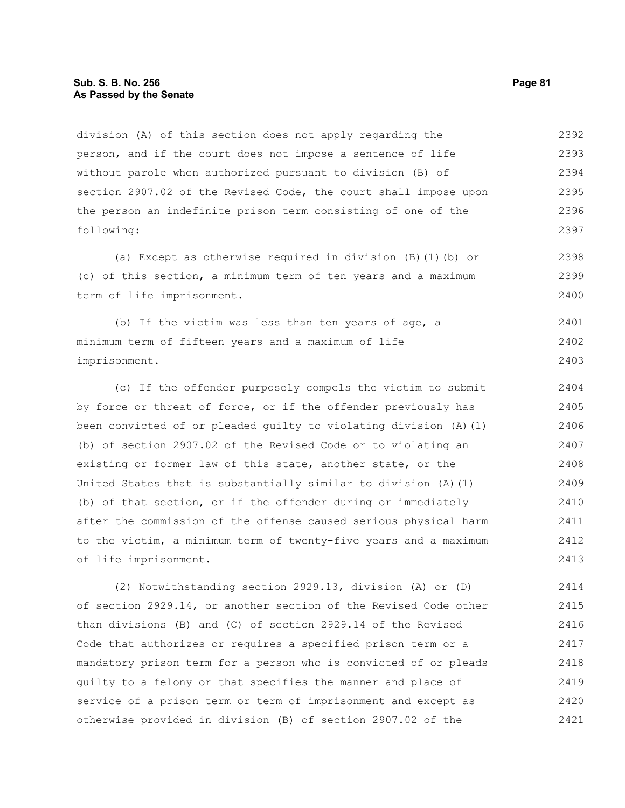# **Sub. S. B. No. 256 Page 81 As Passed by the Senate**

division (A) of this section does not apply regarding the person, and if the court does not impose a sentence of life without parole when authorized pursuant to division (B) of section 2907.02 of the Revised Code, the court shall impose upon the person an indefinite prison term consisting of one of the following: 2392 2393 2394 2395 2396 2397

(a) Except as otherwise required in division (B)(1)(b) or (c) of this section, a minimum term of ten years and a maximum term of life imprisonment. 2398 2399 2400

(b) If the victim was less than ten years of age, a minimum term of fifteen years and a maximum of life imprisonment. 2401 2402 2403

(c) If the offender purposely compels the victim to submit by force or threat of force, or if the offender previously has been convicted of or pleaded guilty to violating division (A)(1) (b) of section 2907.02 of the Revised Code or to violating an existing or former law of this state, another state, or the United States that is substantially similar to division (A)(1) (b) of that section, or if the offender during or immediately after the commission of the offense caused serious physical harm to the victim, a minimum term of twenty-five years and a maximum of life imprisonment. 2404 2405 2406 2407 2408 2409 2410 2411 2412 2413

(2) Notwithstanding section 2929.13, division (A) or (D) of section 2929.14, or another section of the Revised Code other than divisions (B) and (C) of section 2929.14 of the Revised Code that authorizes or requires a specified prison term or a mandatory prison term for a person who is convicted of or pleads guilty to a felony or that specifies the manner and place of service of a prison term or term of imprisonment and except as otherwise provided in division (B) of section 2907.02 of the 2414 2415 2416 2417 2418 2419 2420 2421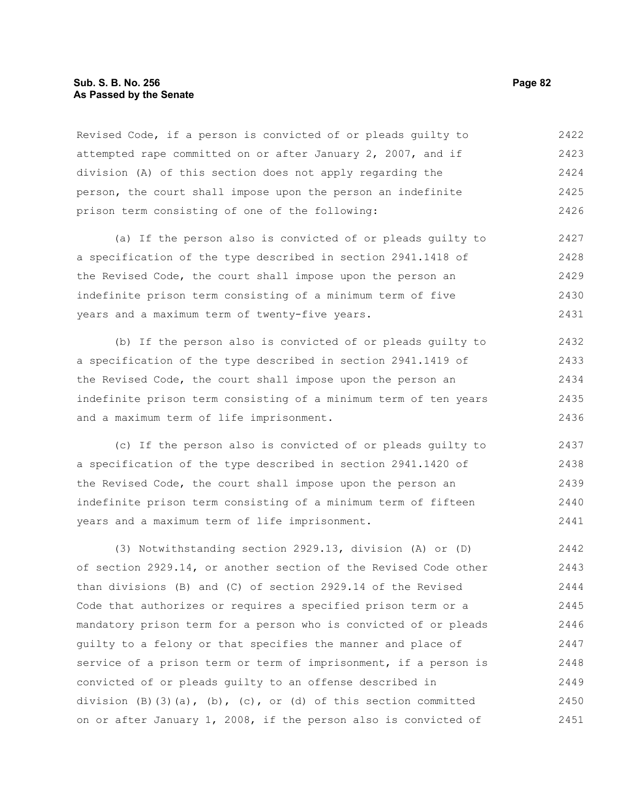### **Sub. S. B. No. 256 Page 82 As Passed by the Senate**

Revised Code, if a person is convicted of or pleads guilty to attempted rape committed on or after January 2, 2007, and if division (A) of this section does not apply regarding the person, the court shall impose upon the person an indefinite prison term consisting of one of the following: 2422 2423 2424 2425 2426

(a) If the person also is convicted of or pleads guilty to a specification of the type described in section 2941.1418 of the Revised Code, the court shall impose upon the person an indefinite prison term consisting of a minimum term of five years and a maximum term of twenty-five years. 2427 2428 2429 2430 2431

(b) If the person also is convicted of or pleads guilty to a specification of the type described in section 2941.1419 of the Revised Code, the court shall impose upon the person an indefinite prison term consisting of a minimum term of ten years and a maximum term of life imprisonment. 2432 2433 2434 2435 2436

(c) If the person also is convicted of or pleads guilty to a specification of the type described in section 2941.1420 of the Revised Code, the court shall impose upon the person an indefinite prison term consisting of a minimum term of fifteen years and a maximum term of life imprisonment. 2437 2438 2439 2440 2441

(3) Notwithstanding section 2929.13, division (A) or (D) of section 2929.14, or another section of the Revised Code other than divisions (B) and (C) of section 2929.14 of the Revised Code that authorizes or requires a specified prison term or a mandatory prison term for a person who is convicted of or pleads guilty to a felony or that specifies the manner and place of service of a prison term or term of imprisonment, if a person is convicted of or pleads guilty to an offense described in division (B)(3)(a), (b), (c), or (d) of this section committed on or after January 1, 2008, if the person also is convicted of 2442 2443 2444 2445 2446 2447 2448 2449 2450 2451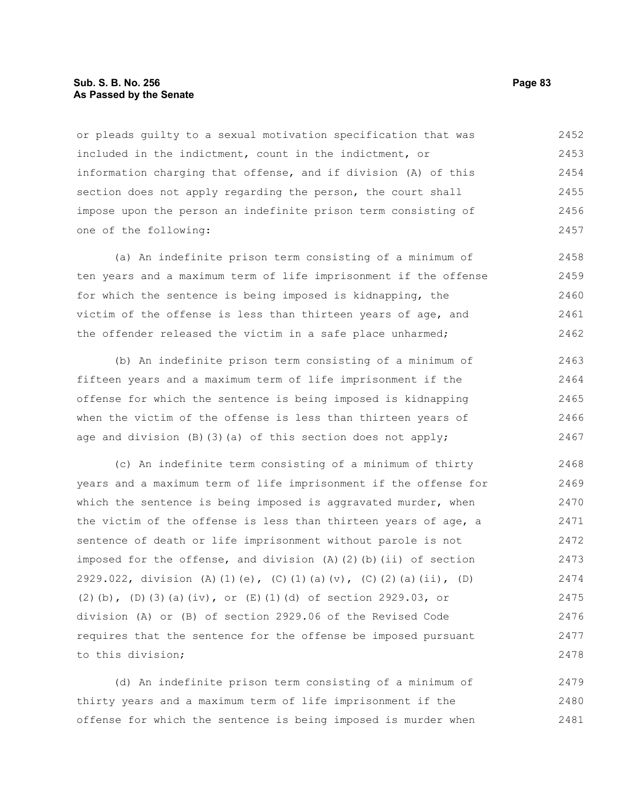### **Sub. S. B. No. 256 Page 83 As Passed by the Senate**

or pleads guilty to a sexual motivation specification that was included in the indictment, count in the indictment, or information charging that offense, and if division (A) of this section does not apply regarding the person, the court shall impose upon the person an indefinite prison term consisting of one of the following: 2452 2453 2454 2455 2456 2457

(a) An indefinite prison term consisting of a minimum of ten years and a maximum term of life imprisonment if the offense for which the sentence is being imposed is kidnapping, the victim of the offense is less than thirteen years of age, and the offender released the victim in a safe place unharmed; 2458 2459 2460 2461 2462

(b) An indefinite prison term consisting of a minimum of fifteen years and a maximum term of life imprisonment if the offense for which the sentence is being imposed is kidnapping when the victim of the offense is less than thirteen years of age and division  $(B)$   $(3)$   $(a)$  of this section does not apply; 2463 2464 2465 2466 2467

(c) An indefinite term consisting of a minimum of thirty years and a maximum term of life imprisonment if the offense for which the sentence is being imposed is aggravated murder, when the victim of the offense is less than thirteen years of age, a sentence of death or life imprisonment without parole is not imposed for the offense, and division  $(A)$   $(2)$   $(b)$   $(ii)$  of section 2929.022, division (A)(1)(e), (C)(1)(a)(v), (C)(2)(a)(ii), (D) (2)(b), (D)(3)(a)(iv), or (E)(1)(d) of section 2929.03, or division (A) or (B) of section 2929.06 of the Revised Code requires that the sentence for the offense be imposed pursuant to this division; 2468 2469 2470 2471 2472 2473 2474 2475 2476 2477 2478

(d) An indefinite prison term consisting of a minimum of thirty years and a maximum term of life imprisonment if the offense for which the sentence is being imposed is murder when 2479 2480 2481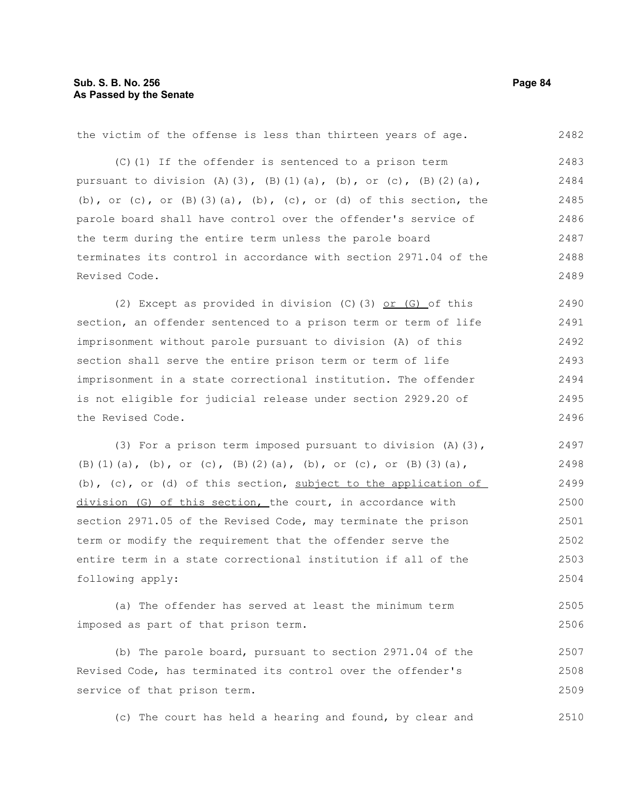the victim of the offense is less than thirteen years of age. (C)(1) If the offender is sentenced to a prison term pursuant to division (A)(3), (B)(1)(a), (b), or (c), (B)(2)(a), (b), or (c), or  $(B)$ (3)(a), (b), (c), or (d) of this section, the parole board shall have control over the offender's service of the term during the entire term unless the parole board terminates its control in accordance with section 2971.04 of the Revised Code. (2) Except as provided in division (C)(3)  $or$  (G) of this section, an offender sentenced to a prison term or term of life imprisonment without parole pursuant to division (A) of this section shall serve the entire prison term or term of life imprisonment in a state correctional institution. The offender is not eligible for judicial release under section 2929.20 of the Revised Code. (3) For a prison term imposed pursuant to division (A)(3), (B)(1)(a), (b), or (c), (B)(2)(a), (b), or (c), or (B)(3)(a), 2482 2483 2484 2485 2486 2487 2488 2489 2490 2491 2492 2493 2494 2495 2496 2497 2498

(b), (c), or (d) of this section, subject to the application of division (G) of this section, the court, in accordance with section 2971.05 of the Revised Code, may terminate the prison term or modify the requirement that the offender serve the entire term in a state correctional institution if all of the following apply: 2499 2500 2501 2502 2503 2504

(a) The offender has served at least the minimum term imposed as part of that prison term. 2505 2506

(b) The parole board, pursuant to section 2971.04 of the Revised Code, has terminated its control over the offender's service of that prison term. 2507 2508 2509

(c) The court has held a hearing and found, by clear and 2510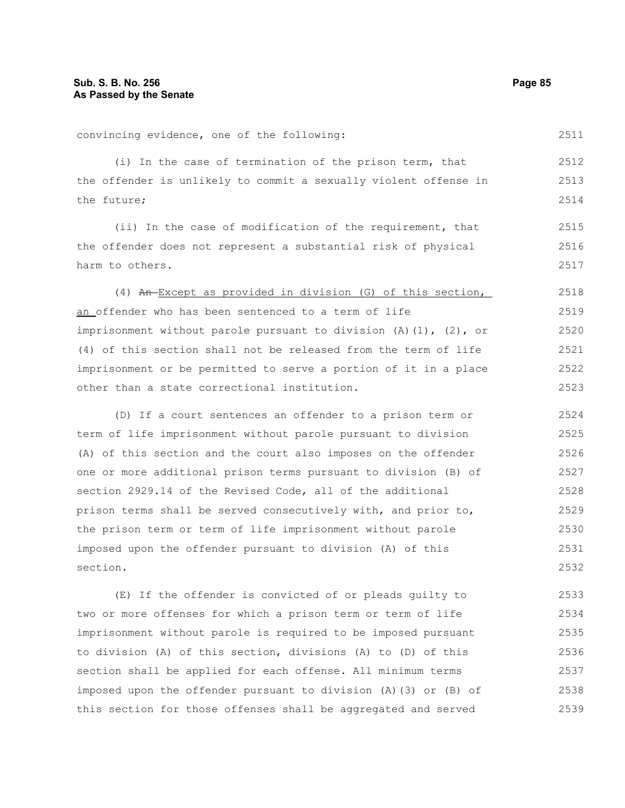section.

| convincing evidence, one of the following:                                | 2511 |
|---------------------------------------------------------------------------|------|
| (i) In the case of termination of the prison term, that                   | 2512 |
| the offender is unlikely to commit a sexually violent offense in          | 2513 |
| the future;                                                               | 2514 |
| (ii) In the case of modification of the requirement, that                 | 2515 |
| the offender does not represent a substantial risk of physical            | 2516 |
| harm to others.                                                           | 2517 |
| (4) An-Except as provided in division (G) of this section,                | 2518 |
| an offender who has been sentenced to a term of life                      | 2519 |
| imprisonment without parole pursuant to division $(A)$ $(1)$ , $(2)$ , or | 2520 |
| (4) of this section shall not be released from the term of life           | 2521 |
| imprisonment or be permitted to serve a portion of it in a place          | 2522 |
| other than a state correctional institution.                              | 2523 |
| (D) If a court sentences an offender to a prison term or                  | 2524 |
| term of life imprisonment without parole pursuant to division             | 2525 |
| (A) of this section and the court also imposes on the offender            | 2526 |
| one or more additional prison terms pursuant to division (B) of           | 2527 |
| section 2929.14 of the Revised Code, all of the additional                | 2528 |
| prison terms shall be served consecutively with, and prior to,            | 2529 |
| the prison term or term of life imprisonment without parole               | 2530 |
| imposed upon the offender pursuant to division (A) of this                | 2531 |

(E) If the offender is convicted of or pleads guilty to two or more offenses for which a prison term or term of life imprisonment without parole is required to be imposed pursuant to division (A) of this section, divisions (A) to (D) of this section shall be applied for each offense. All minimum terms imposed upon the offender pursuant to division (A)(3) or (B) of this section for those offenses shall be aggregated and served 2533 2534 2535 2536 2537 2538 2539

2511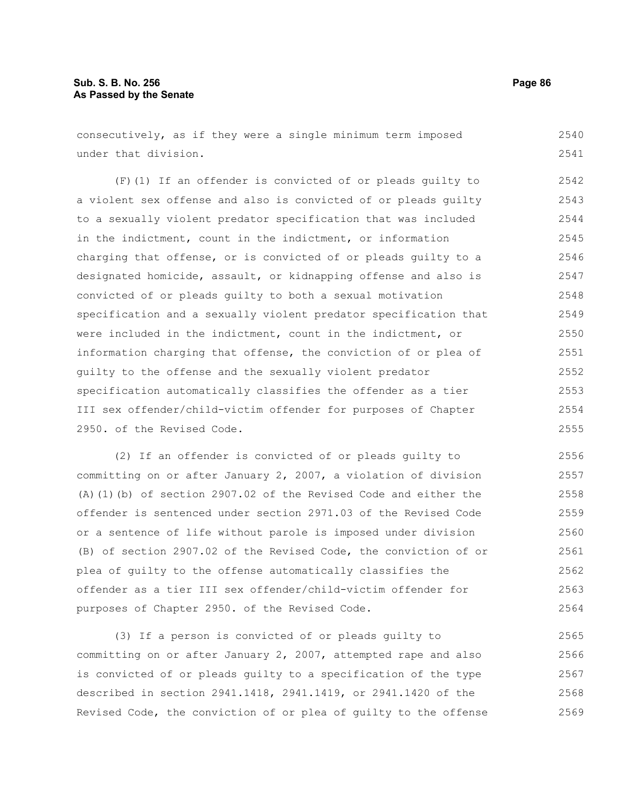# **Sub. S. B. No. 256 Page 86 As Passed by the Senate**

consecutively, as if they were a single minimum term imposed under that division. 2540 2541

(F)(1) If an offender is convicted of or pleads guilty to a violent sex offense and also is convicted of or pleads guilty to a sexually violent predator specification that was included in the indictment, count in the indictment, or information charging that offense, or is convicted of or pleads guilty to a designated homicide, assault, or kidnapping offense and also is convicted of or pleads guilty to both a sexual motivation specification and a sexually violent predator specification that were included in the indictment, count in the indictment, or information charging that offense, the conviction of or plea of guilty to the offense and the sexually violent predator specification automatically classifies the offender as a tier III sex offender/child-victim offender for purposes of Chapter 2950. of the Revised Code. 2542 2543 2544 2545 2546 2547 2548 2549 2550 2551 2552 2553 2554 2555

(2) If an offender is convicted of or pleads guilty to committing on or after January 2, 2007, a violation of division (A)(1)(b) of section 2907.02 of the Revised Code and either the offender is sentenced under section 2971.03 of the Revised Code or a sentence of life without parole is imposed under division (B) of section 2907.02 of the Revised Code, the conviction of or plea of guilty to the offense automatically classifies the offender as a tier III sex offender/child-victim offender for purposes of Chapter 2950. of the Revised Code. 2556 2557 2558 2559 2560 2561 2562 2563 2564

(3) If a person is convicted of or pleads guilty to committing on or after January 2, 2007, attempted rape and also is convicted of or pleads guilty to a specification of the type described in section 2941.1418, 2941.1419, or 2941.1420 of the Revised Code, the conviction of or plea of guilty to the offense 2565 2566 2567 2568 2569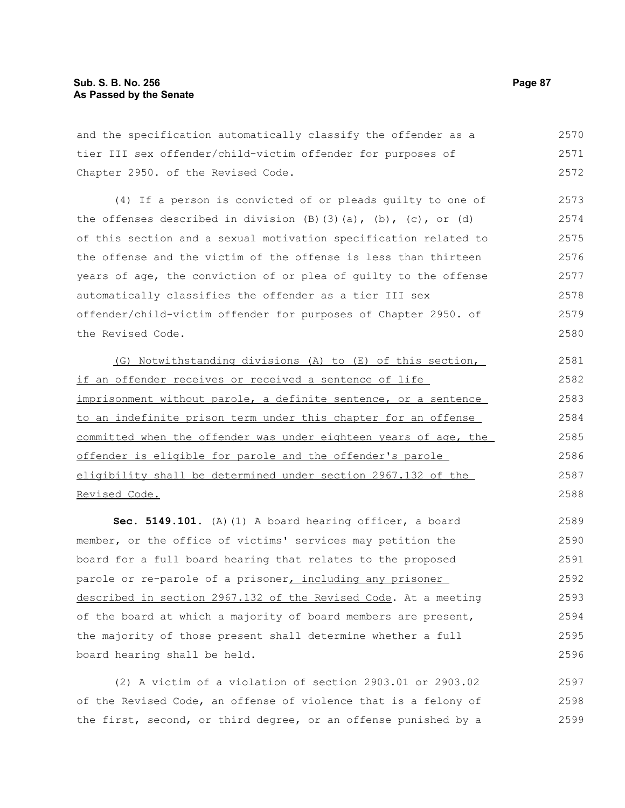and the specification automatically classify the offender as a tier III sex offender/child-victim offender for purposes of Chapter 2950. of the Revised Code. 2570 2571 2572

(4) If a person is convicted of or pleads guilty to one of the offenses described in division  $(B)$   $(3)$   $(a)$ ,  $(b)$ ,  $(c)$ , or  $(d)$ of this section and a sexual motivation specification related to the offense and the victim of the offense is less than thirteen years of age, the conviction of or plea of guilty to the offense automatically classifies the offender as a tier III sex offender/child-victim offender for purposes of Chapter 2950. of the Revised Code. 2573 2574 2575 2576 2577 2578 2579 2580

(G) Notwithstanding divisions (A) to (E) of this section, if an offender receives or received a sentence of life imprisonment without parole, a definite sentence, or a sentence to an indefinite prison term under this chapter for an offense committed when the offender was under eighteen years of age, the offender is eligible for parole and the offender's parole eligibility shall be determined under section 2967.132 of the Revised Code. 2581 2582 2583 2584 2585 2586 2587 2588

**Sec. 5149.101.** (A)(1) A board hearing officer, a board member, or the office of victims' services may petition the board for a full board hearing that relates to the proposed parole or re-parole of a prisoner, including any prisoner described in section 2967.132 of the Revised Code. At a meeting of the board at which a majority of board members are present, the majority of those present shall determine whether a full board hearing shall be held. 2589 2590 2591 2592 2593 2594 2595 2596

(2) A victim of a violation of section 2903.01 or 2903.02 of the Revised Code, an offense of violence that is a felony of the first, second, or third degree, or an offense punished by a 2597 2598 2599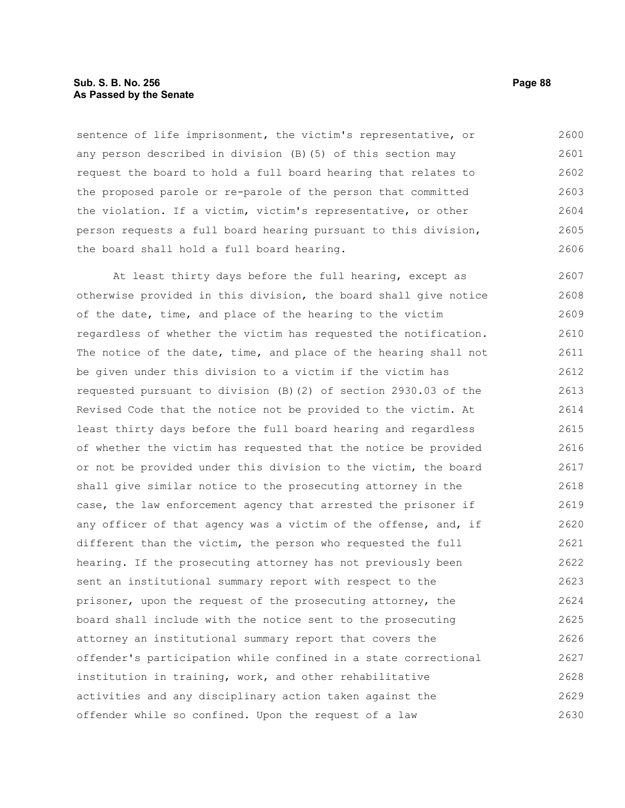# **Sub. S. B. No. 256 Page 88 As Passed by the Senate**

sentence of life imprisonment, the victim's representative, or any person described in division (B)(5) of this section may request the board to hold a full board hearing that relates to the proposed parole or re-parole of the person that committed the violation. If a victim, victim's representative, or other person requests a full board hearing pursuant to this division, the board shall hold a full board hearing. 2600 2601 2602 2603 2604 2605 2606

At least thirty days before the full hearing, except as otherwise provided in this division, the board shall give notice of the date, time, and place of the hearing to the victim regardless of whether the victim has requested the notification. The notice of the date, time, and place of the hearing shall not be given under this division to a victim if the victim has requested pursuant to division (B)(2) of section 2930.03 of the Revised Code that the notice not be provided to the victim. At least thirty days before the full board hearing and regardless of whether the victim has requested that the notice be provided or not be provided under this division to the victim, the board shall give similar notice to the prosecuting attorney in the case, the law enforcement agency that arrested the prisoner if any officer of that agency was a victim of the offense, and, if different than the victim, the person who requested the full hearing. If the prosecuting attorney has not previously been sent an institutional summary report with respect to the prisoner, upon the request of the prosecuting attorney, the board shall include with the notice sent to the prosecuting attorney an institutional summary report that covers the offender's participation while confined in a state correctional institution in training, work, and other rehabilitative activities and any disciplinary action taken against the offender while so confined. Upon the request of a law 2607 2608 2609 2610 2611 2612 2613 2614 2615 2616 2617 2618 2619 2620 2621 2622 2623 2624 2625 2626 2627 2628 2629 2630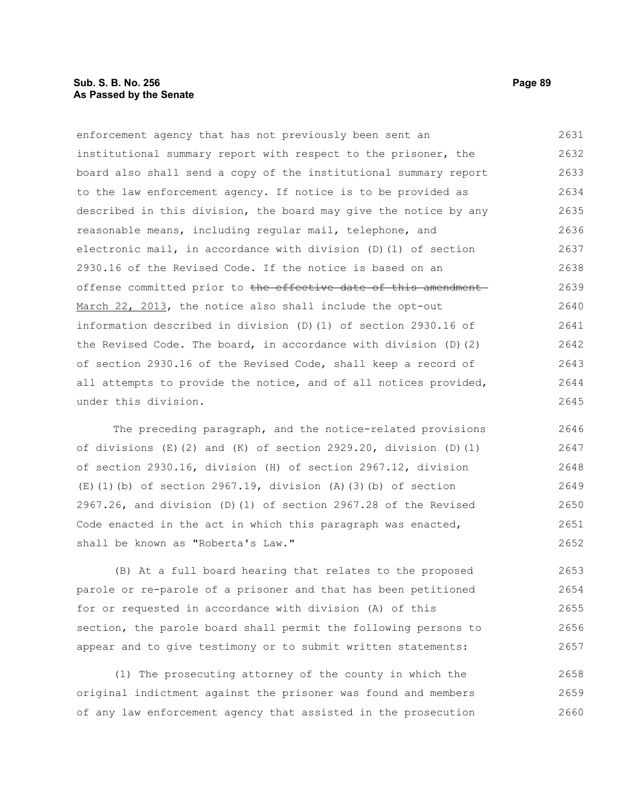enforcement agency that has not previously been sent an institutional summary report with respect to the prisoner, the board also shall send a copy of the institutional summary report to the law enforcement agency. If notice is to be provided as described in this division, the board may give the notice by any reasonable means, including regular mail, telephone, and electronic mail, in accordance with division (D)(1) of section 2930.16 of the Revised Code. If the notice is based on an offense committed prior to the effective date of this amendment-March 22, 2013, the notice also shall include the opt-out information described in division (D)(1) of section 2930.16 of the Revised Code. The board, in accordance with division (D)(2) of section 2930.16 of the Revised Code, shall keep a record of all attempts to provide the notice, and of all notices provided, under this division. 2631 2632 2633 2634 2635 2636 2637 2638 2639 2640 2641 2642 2643 2644 2645

The preceding paragraph, and the notice-related provisions of divisions  $(E)$  (2) and  $(K)$  of section 2929.20, division (D)(1) of section 2930.16, division (H) of section 2967.12, division  $(E)$ (1)(b) of section 2967.19, division (A)(3)(b) of section 2967.26, and division (D)(1) of section 2967.28 of the Revised Code enacted in the act in which this paragraph was enacted, shall be known as "Roberta's Law." 2646 2647 2648 2649 2650 2651 2652

(B) At a full board hearing that relates to the proposed parole or re-parole of a prisoner and that has been petitioned for or requested in accordance with division (A) of this section, the parole board shall permit the following persons to appear and to give testimony or to submit written statements:

(1) The prosecuting attorney of the county in which the original indictment against the prisoner was found and members of any law enforcement agency that assisted in the prosecution 2658 2659 2660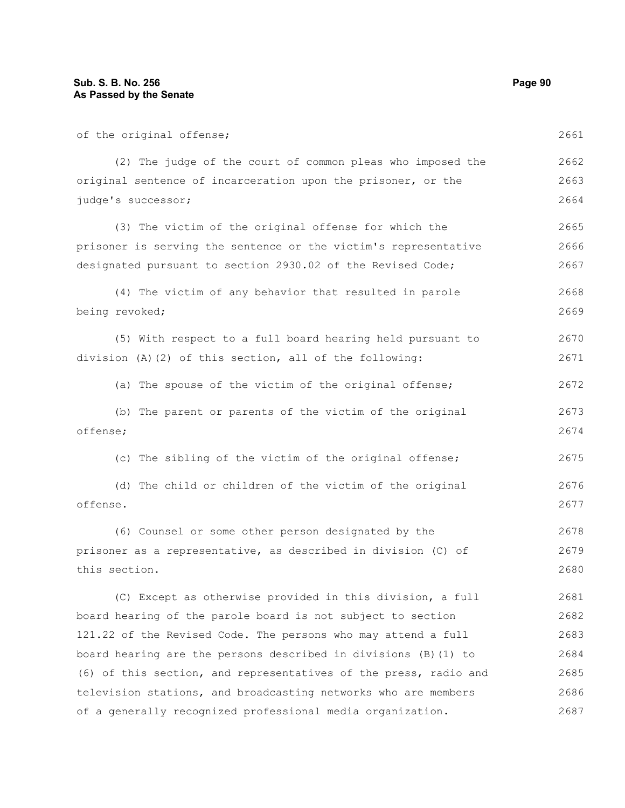of the original offense; (2) The judge of the court of common pleas who imposed the original sentence of incarceration upon the prisoner, or the judge's successor; (3) The victim of the original offense for which the prisoner is serving the sentence or the victim's representative designated pursuant to section 2930.02 of the Revised Code; (4) The victim of any behavior that resulted in parole being revoked; (5) With respect to a full board hearing held pursuant to division (A)(2) of this section, all of the following: (a) The spouse of the victim of the original offense; (b) The parent or parents of the victim of the original offense; (c) The sibling of the victim of the original offense; (d) The child or children of the victim of the original offense. (6) Counsel or some other person designated by the prisoner as a representative, as described in division (C) of this section. (C) Except as otherwise provided in this division, a full board hearing of the parole board is not subject to section 121.22 of the Revised Code. The persons who may attend a full board hearing are the persons described in divisions (B)(1) to (6) of this section, and representatives of the press, radio and television stations, and broadcasting networks who are members 2661 2662 2663 2664 2665 2666 2667 2668 2669 2670 2671 2672 2673 2674 2675 2676 2677 2678 2679 2680 2681 2682 2683 2684 2685 2686

of a generally recognized professional media organization.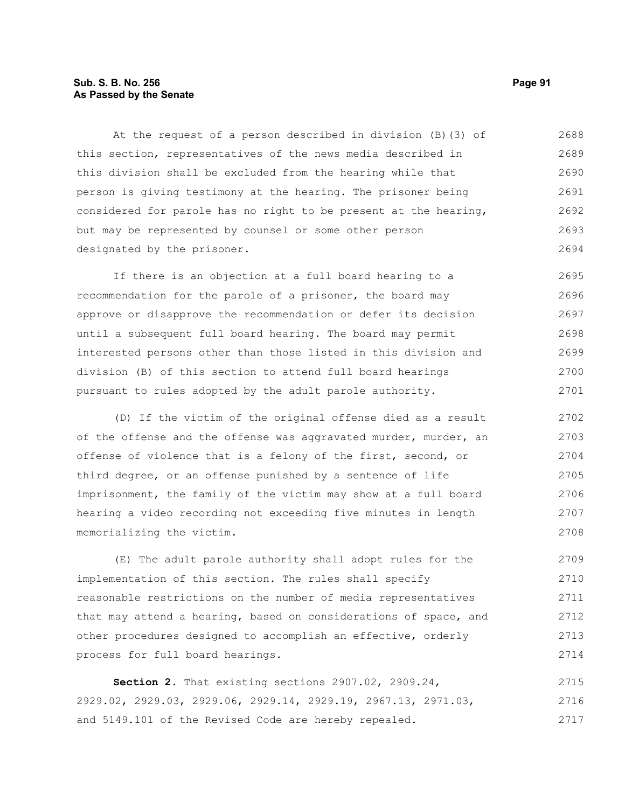# **Sub. S. B. No. 256 Page 91 As Passed by the Senate**

At the request of a person described in division (B)(3) of this section, representatives of the news media described in this division shall be excluded from the hearing while that person is giving testimony at the hearing. The prisoner being considered for parole has no right to be present at the hearing, but may be represented by counsel or some other person designated by the prisoner. 2688 2689 2690 2691 2692 2693 2694

If there is an objection at a full board hearing to a recommendation for the parole of a prisoner, the board may approve or disapprove the recommendation or defer its decision until a subsequent full board hearing. The board may permit interested persons other than those listed in this division and division (B) of this section to attend full board hearings pursuant to rules adopted by the adult parole authority. 2695 2696 2697 2698 2699 2700 2701

(D) If the victim of the original offense died as a result of the offense and the offense was aggravated murder, murder, an offense of violence that is a felony of the first, second, or third degree, or an offense punished by a sentence of life imprisonment, the family of the victim may show at a full board hearing a video recording not exceeding five minutes in length memorializing the victim. 2702 2703 2704 2705 2706 2707 2708

(E) The adult parole authority shall adopt rules for the implementation of this section. The rules shall specify reasonable restrictions on the number of media representatives that may attend a hearing, based on considerations of space, and other procedures designed to accomplish an effective, orderly process for full board hearings. 2709 2710 2711 2712 2713 2714

**Section 2.** That existing sections 2907.02, 2909.24, 2929.02, 2929.03, 2929.06, 2929.14, 2929.19, 2967.13, 2971.03, and 5149.101 of the Revised Code are hereby repealed. 2715 2716 2717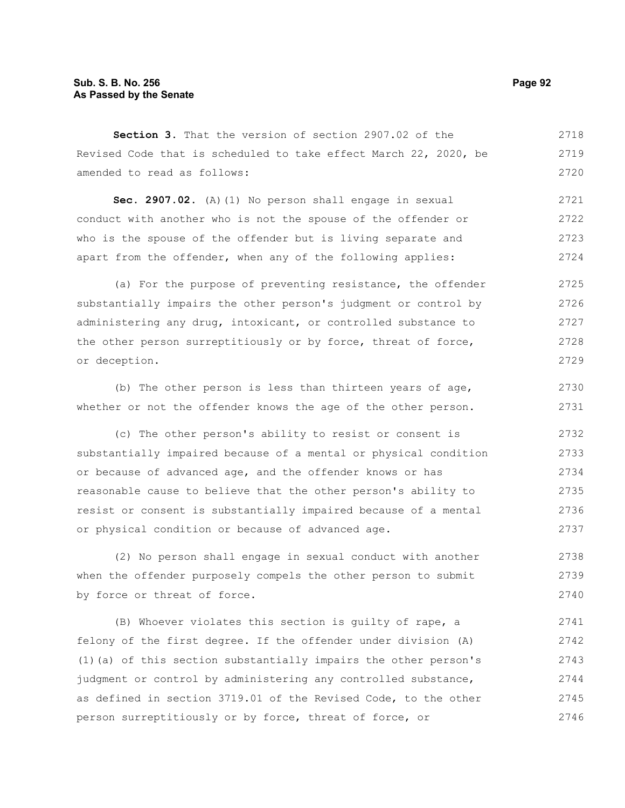**Section 3.** That the version of section 2907.02 of the Revised Code that is scheduled to take effect March 22, 2020, be amended to read as follows: 2718 2719 2720

**Sec. 2907.02.** (A)(1) No person shall engage in sexual conduct with another who is not the spouse of the offender or who is the spouse of the offender but is living separate and apart from the offender, when any of the following applies: 2721 2722 2723 2724

(a) For the purpose of preventing resistance, the offender substantially impairs the other person's judgment or control by administering any drug, intoxicant, or controlled substance to the other person surreptitiously or by force, threat of force, or deception. 2725 2726 2727 2728 2729

(b) The other person is less than thirteen years of age, whether or not the offender knows the age of the other person. 2730 2731

(c) The other person's ability to resist or consent is substantially impaired because of a mental or physical condition or because of advanced age, and the offender knows or has reasonable cause to believe that the other person's ability to resist or consent is substantially impaired because of a mental or physical condition or because of advanced age. 2732 2733 2734 2735 2736 2737

(2) No person shall engage in sexual conduct with another when the offender purposely compels the other person to submit by force or threat of force. 2738 2739 2740

(B) Whoever violates this section is guilty of rape, a felony of the first degree. If the offender under division (A) (1)(a) of this section substantially impairs the other person's judgment or control by administering any controlled substance, as defined in section 3719.01 of the Revised Code, to the other person surreptitiously or by force, threat of force, or 2741 2742 2743 2744 2745 2746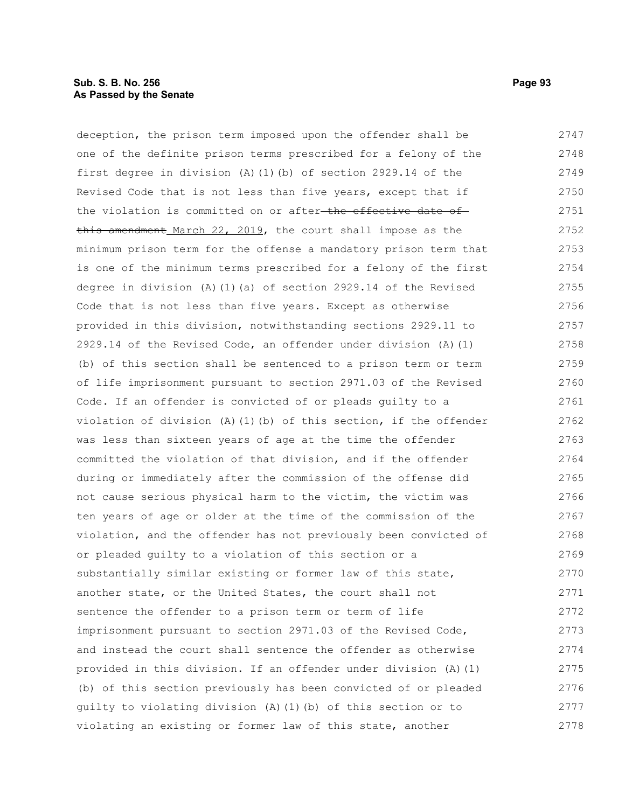### **Sub. S. B. No. 256 Page 93 As Passed by the Senate**

deception, the prison term imposed upon the offender shall be one of the definite prison terms prescribed for a felony of the first degree in division (A)(1)(b) of section 2929.14 of the Revised Code that is not less than five years, except that if the violation is committed on or after-the effective date ofthis amendment March 22, 2019, the court shall impose as the minimum prison term for the offense a mandatory prison term that is one of the minimum terms prescribed for a felony of the first degree in division (A)(1)(a) of section 2929.14 of the Revised Code that is not less than five years. Except as otherwise provided in this division, notwithstanding sections 2929.11 to 2929.14 of the Revised Code, an offender under division  $(A)$  (1) (b) of this section shall be sentenced to a prison term or term of life imprisonment pursuant to section 2971.03 of the Revised Code. If an offender is convicted of or pleads guilty to a violation of division  $(A)$   $(1)$   $(b)$  of this section, if the offender was less than sixteen years of age at the time the offender committed the violation of that division, and if the offender during or immediately after the commission of the offense did not cause serious physical harm to the victim, the victim was ten years of age or older at the time of the commission of the violation, and the offender has not previously been convicted of or pleaded guilty to a violation of this section or a substantially similar existing or former law of this state, another state, or the United States, the court shall not sentence the offender to a prison term or term of life imprisonment pursuant to section 2971.03 of the Revised Code, and instead the court shall sentence the offender as otherwise provided in this division. If an offender under division (A)(1) (b) of this section previously has been convicted of or pleaded guilty to violating division (A)(1)(b) of this section or to violating an existing or former law of this state, another 2747 2748 2749 2750 2751 2752 2753 2754 2755 2756 2757 2758 2759 2760 2761 2762 2763 2764 2765 2766 2767 2768 2769 2770 2771 2772 2773 2774 2775 2776 2777 2778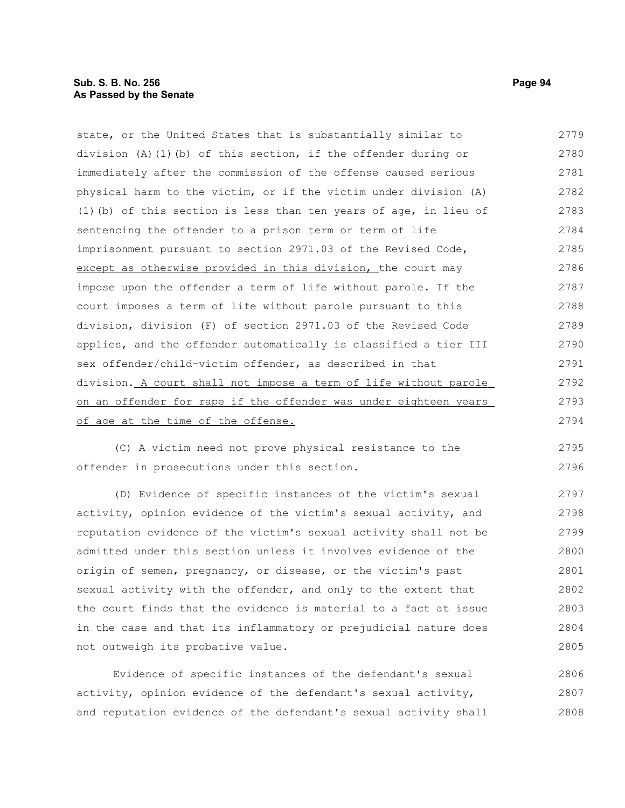| state, or the United States that is substantially similar to          | 2779 |
|-----------------------------------------------------------------------|------|
| division $(A)$ $(1)$ $(b)$ of this section, if the offender during or | 2780 |
| immediately after the commission of the offense caused serious        | 2781 |
| physical harm to the victim, or if the victim under division (A)      | 2782 |
| $(1)$ (b) of this section is less than ten years of age, in lieu of   | 2783 |
| sentencing the offender to a prison term or term of life              | 2784 |
| imprisonment pursuant to section 2971.03 of the Revised Code,         | 2785 |
| except as otherwise provided in this division, the court may          | 2786 |
| impose upon the offender a term of life without parole. If the        | 2787 |
| court imposes a term of life without parole pursuant to this          | 2788 |
| division, division (F) of section 2971.03 of the Revised Code         | 2789 |
| applies, and the offender automatically is classified a tier III      | 2790 |
| sex offender/child-victim offender, as described in that              | 2791 |
| division. A court shall not impose a term of life without parole      | 2792 |
| on an offender for rape if the offender was under eighteen years      | 2793 |
| of age at the time of the offense.                                    | 2794 |
|                                                                       |      |

(C) A victim need not prove physical resistance to the offender in prosecutions under this section.

(D) Evidence of specific instances of the victim's sexual activity, opinion evidence of the victim's sexual activity, and reputation evidence of the victim's sexual activity shall not be admitted under this section unless it involves evidence of the origin of semen, pregnancy, or disease, or the victim's past sexual activity with the offender, and only to the extent that the court finds that the evidence is material to a fact at issue in the case and that its inflammatory or prejudicial nature does not outweigh its probative value. 2797 2798 2799 2800 2801 2802 2803 2804 2805

Evidence of specific instances of the defendant's sexual activity, opinion evidence of the defendant's sexual activity, and reputation evidence of the defendant's sexual activity shall 2806 2807 2808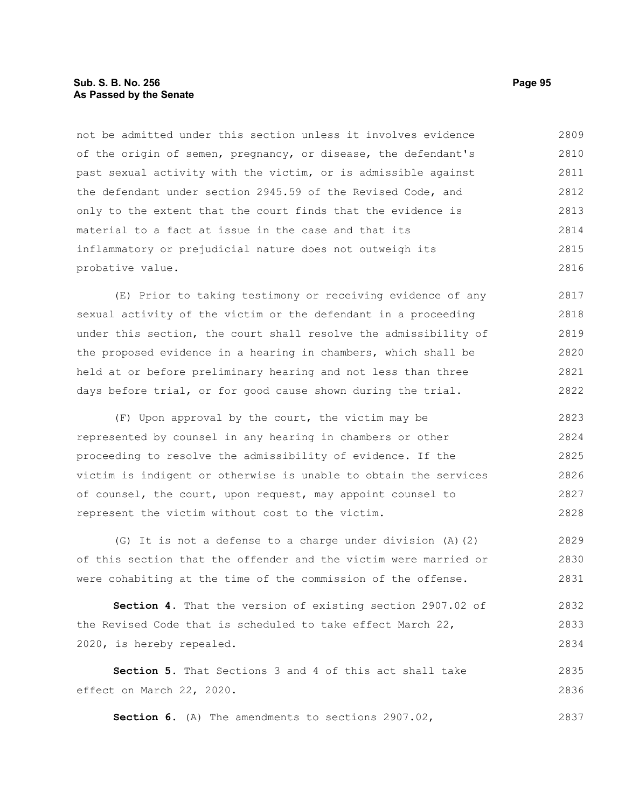# **Sub. S. B. No. 256 Page 95 As Passed by the Senate**

not be admitted under this section unless it involves evidence of the origin of semen, pregnancy, or disease, the defendant's past sexual activity with the victim, or is admissible against the defendant under section 2945.59 of the Revised Code, and only to the extent that the court finds that the evidence is material to a fact at issue in the case and that its inflammatory or prejudicial nature does not outweigh its probative value. 2809 2810 2811 2812 2813 2814 2815 2816

(E) Prior to taking testimony or receiving evidence of any sexual activity of the victim or the defendant in a proceeding under this section, the court shall resolve the admissibility of the proposed evidence in a hearing in chambers, which shall be held at or before preliminary hearing and not less than three days before trial, or for good cause shown during the trial. 2817 2818 2819 2820 2821 2822

(F) Upon approval by the court, the victim may be represented by counsel in any hearing in chambers or other proceeding to resolve the admissibility of evidence. If the victim is indigent or otherwise is unable to obtain the services of counsel, the court, upon request, may appoint counsel to represent the victim without cost to the victim. 2823 2824 2825 2826 2827 2828

(G) It is not a defense to a charge under division (A)(2) of this section that the offender and the victim were married or were cohabiting at the time of the commission of the offense. 2829 2830 2831

**Section 4.** That the version of existing section 2907.02 of the Revised Code that is scheduled to take effect March 22, 2020, is hereby repealed. 2832 2833 2834

**Section 5.** That Sections 3 and 4 of this act shall take effect on March 22, 2020. 2835 2836

**Section 6.** (A) The amendments to sections 2907.02, 2837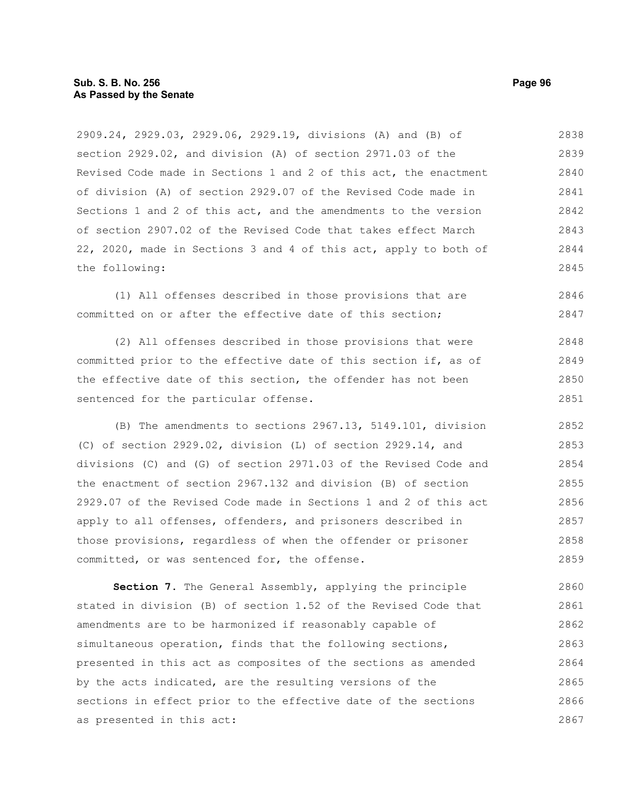### **Sub. S. B. No. 256 Page 96 As Passed by the Senate**

2909.24, 2929.03, 2929.06, 2929.19, divisions (A) and (B) of section 2929.02, and division (A) of section 2971.03 of the Revised Code made in Sections 1 and 2 of this act, the enactment of division (A) of section 2929.07 of the Revised Code made in Sections 1 and 2 of this act, and the amendments to the version of section 2907.02 of the Revised Code that takes effect March 22, 2020, made in Sections 3 and 4 of this act, apply to both of the following: 2838 2839 2840 2841 2842 2843 2844 2845

(1) All offenses described in those provisions that are committed on or after the effective date of this section; 2846 2847

(2) All offenses described in those provisions that were committed prior to the effective date of this section if, as of the effective date of this section, the offender has not been sentenced for the particular offense. 2848 2849 2850 2851

(B) The amendments to sections 2967.13, 5149.101, division (C) of section 2929.02, division (L) of section 2929.14, and divisions (C) and (G) of section 2971.03 of the Revised Code and the enactment of section 2967.132 and division (B) of section 2929.07 of the Revised Code made in Sections 1 and 2 of this act apply to all offenses, offenders, and prisoners described in those provisions, regardless of when the offender or prisoner committed, or was sentenced for, the offense. 2852 2853 2854 2855 2856 2857 2858 2859

**Section 7.** The General Assembly, applying the principle stated in division (B) of section 1.52 of the Revised Code that amendments are to be harmonized if reasonably capable of simultaneous operation, finds that the following sections, presented in this act as composites of the sections as amended by the acts indicated, are the resulting versions of the sections in effect prior to the effective date of the sections as presented in this act: 2860 2861 2862 2863 2864 2865 2866 2867